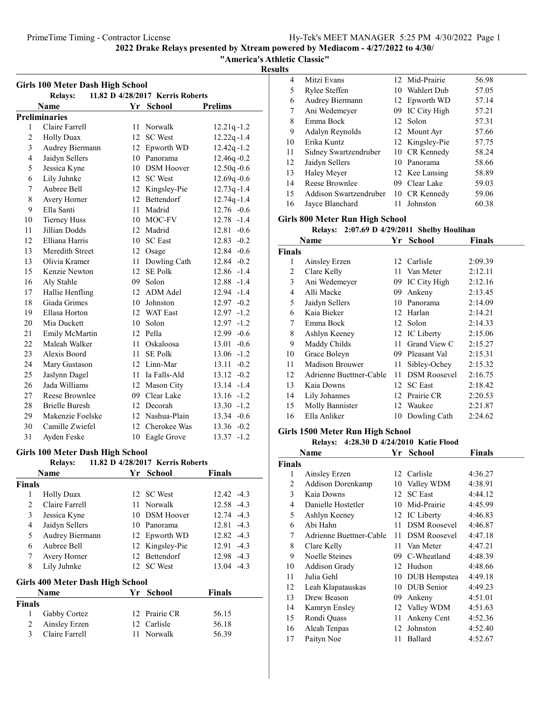"America's Athletic Classic"

### Results

| <b>Girls 100 Meter Dash High School</b>            |                       |    |                   |                 |  |  |
|----------------------------------------------------|-----------------------|----|-------------------|-----------------|--|--|
| 11.82 D 4/28/2017 Kerris Roberts<br><b>Relays:</b> |                       |    |                   |                 |  |  |
|                                                    | Name                  | Yr | <b>School</b>     | <b>Prelims</b>  |  |  |
|                                                    | <b>Preliminaries</b>  |    |                   |                 |  |  |
| 1                                                  | Claire Farrell        | 11 | Norwalk           | $12.21q - 1.2$  |  |  |
| $\overline{2}$                                     | <b>Holly Duax</b>     | 12 | <b>SC</b> West    | $12.22q - 1.4$  |  |  |
| 3                                                  | Audrey Biermann       |    | 12 Epworth WD     | $12.42q - 1.2$  |  |  |
| $\overline{4}$                                     | Jaidyn Sellers        |    | 10 Panorama       | 12.46q-0.2      |  |  |
| 5                                                  | Jessica Kyne          | 10 | <b>DSM Hoover</b> | $12.50q - 0.6$  |  |  |
| 6                                                  | Lily Juhnke           | 12 | <b>SC</b> West    | $12.69q - 0.6$  |  |  |
| 7                                                  | Aubree Bell           | 12 | Kingsley-Pie      | $12.73q - 1.4$  |  |  |
| 8                                                  | Avery Horner          | 12 | Bettendorf        | $12.74q - 1.4$  |  |  |
| 9                                                  | Ella Santi            | 11 | Madrid            | 12.76 -0.6      |  |  |
| 10                                                 | <b>Tierney Huss</b>   |    | 10 MOC-FV         | 12.78 -1.4      |  |  |
| 11                                                 | Jillian Dodds         |    | 12 Madrid         | 12.81<br>$-0.6$ |  |  |
| 12                                                 | Elliana Harris        | 10 | <b>SC</b> East    | $12.83 - 0.2$   |  |  |
| 13                                                 | Meredith Street       | 12 | Osage             | 12.84 -0.6      |  |  |
| 13                                                 | Olivia Kramer         | 11 | Dowling Cath      | $12.84 - 0.2$   |  |  |
| 15                                                 | Kenzie Newton         | 12 | <b>SE Polk</b>    | $12.86 - 1.4$   |  |  |
| 16                                                 | Aly Stahle            |    | 09 Solon          | 12.88 -1.4      |  |  |
| 17                                                 | Hallie Henfling       |    | 12 ADM Adel       | 12.94 -1.4      |  |  |
| 18                                                 | Giada Grimes          | 10 | Johnston          | $12.97 -0.2$    |  |  |
| 19                                                 | Ellasa Horton         | 12 | <b>WAT East</b>   | 12.97<br>$-1.2$ |  |  |
| 20                                                 | Mia Duckett           | 10 | Solon             | $-1.2$<br>12.97 |  |  |
| 21                                                 | Emily McMartin        | 12 | Pella             | $-0.6$<br>12.99 |  |  |
| 22                                                 | Maleah Walker         | 11 | Oskaloosa         | $-0.6$<br>13.01 |  |  |
| 23                                                 | Alexis Boord          | 11 | <b>SE Polk</b>    | $13.06 - 1.2$   |  |  |
| 24                                                 | Mary Gustason         |    | 12 Linn-Mar       | $13.11 - 0.2$   |  |  |
| 25                                                 | Jaslynn Dagel         |    | 11 Ia Falls-Ald   | $-0.2$<br>13.12 |  |  |
| 26                                                 | Jada Williams         |    | 12 Mason City     | $-1.4$<br>13.14 |  |  |
| 27                                                 | Reese Brownlee        | 09 | Clear Lake        | 13.16<br>$-1.2$ |  |  |
| 28                                                 | <b>Brielle Buresh</b> |    | 12 Decorah        | $13.30 - 1.2$   |  |  |
| 29                                                 | Makenzie Foelske      |    | 12 Nashua-Plain   | 13.34 -0.6      |  |  |
| 30                                                 | Camille Zwiefel       |    | 12 Cherokee Was   | 13.36 -0.2      |  |  |
| 31                                                 | Ayden Feske           | 10 | Eagle Grove       | 13.37<br>$-1.2$ |  |  |

### Girls 100 Meter Dash High School

### Relays: 11.82 D 4/28/2017 Kerris Roberts

|               | <b>Name</b>                      | Yr School       | <b>Finals</b> |
|---------------|----------------------------------|-----------------|---------------|
| <b>Finals</b> |                                  |                 |               |
| 1             | <b>Holly Duax</b>                | 12 SC West      | $12.42 - 4.3$ |
| 2             | Claire Farrell                   | 11 Norwalk      | 12.58 -4.3    |
| 3             | Jessica Kyne                     | 10 DSM Hoover   | $12.74 - 4.3$ |
| 4             | Jaidyn Sellers                   | 10 Panorama     | $12.81 - 4.3$ |
| 5             | Audrey Biermann                  | 12 Epworth WD   | $12.82 - 4.3$ |
| 6             | Aubree Bell                      | 12 Kingsley-Pie | 12.91 -4.3    |
| 7             | Avery Horner                     | 12 Bettendorf   | 12.98 -4.3    |
| 8             | Lily Juhnke                      | 12 SC West      | $13.04 -4.3$  |
|               | Girls 400 Meter Dash High School |                 |               |
|               | Name                             | Yr School       | <b>Finals</b> |
| <b>Finals</b> |                                  |                 |               |
| 1             | Gabby Cortez                     | 12 Prairie CR   | 56.15         |
| 2             | Ainsley Erzen                    | 12 Carlisle     | 56.18         |
| 3             | Claire Farrell                   | 11 Norwalk      | 56.39         |

| 4  | Mitzi Evans            |    | 12 Mid-Prairie  | 56.98 |
|----|------------------------|----|-----------------|-------|
| 5  | Rylee Steffen          |    | 10 Wahlert Dub  | 57.05 |
| 6  | Audrey Biermann        |    | 12 Epworth WD   | 57.14 |
| 7  | Ani Wedemeyer          |    | 09 IC City High | 57.21 |
| 8  | Emma Bock              |    | 12 Solon        | 57.31 |
| 9  | Adalyn Reynolds        |    | 12 Mount Ayr    | 57.66 |
| 10 | Erika Kuntz            |    | 12 Kingsley-Pie | 57.75 |
| 11 | Sidney Swartzendruber  |    | 10 CR Kennedy   | 58.24 |
| 12 | Jaidyn Sellers         |    | 10 Panorama     | 58.66 |
| 13 | Haley Meyer            |    | 12 Kee Lansing  | 58.89 |
| 14 | Reese Brownlee         |    | 09 Clear Lake   | 59.03 |
| 15 | Addison Swartzendruber |    | 10 CR Kennedy   | 59.06 |
| 16 | Jayce Blanchard        | 11 | Johnston        | 60.38 |
|    |                        |    |                 |       |

### Girls 800 Meter Run High School

Relays:  $2:07.69$  D  $4/29/2011$  Shelby Houlihan

|               | Name                    | Yr   | <b>School</b>       | <b>Finals</b> |
|---------------|-------------------------|------|---------------------|---------------|
| <b>Finals</b> |                         |      |                     |               |
| 1             | Ainsley Erzen           |      | 12 Carlisle         | 2:09.39       |
| 2             | Clare Kelly             | 11.  | Van Meter           | 2:12.11       |
| 3             | Ani Wedemeyer           |      | 09 IC City High     | 2:12.16       |
| 4             | Alli Macke              | 09   | Ankeny              | 2:13.45       |
| 5             | Jaidyn Sellers          | 10   | Panorama            | 2:14.09       |
| 6             | Kaia Bieker             |      | 12 Harlan           | 2:14.21       |
| 7             | Emma Bock               |      | 12 Solon            | 2:14.33       |
| 8             | Ashlyn Keeney           |      | 12 IC Liberty       | 2:15.06       |
| 9             | Maddy Childs            |      | 11 Grand View C     | 2:15.27       |
| 10            | Grace Boleyn            |      | 09 Pleasant Val     | 2:15.31       |
| 11            | Madison Brouwer         | 11 - | Sibley-Ochey        | 2:15.32       |
| 12            | Adrienne Buettner-Cable | 11   | <b>DSM Roosevel</b> | 2:16.75       |
| 13            | Kaia Downs              | 12   | <b>SC</b> East      | 2:18.42       |
| 14            | Lily Johannes           | 12   | Prairie CR          | 2:20.53       |
| 15            | <b>Molly Bannister</b>  |      | 12 Waukee           | 2:21.87       |
| 16            | Ella Anliker            |      | 10 Dowling Cath     | 2:24.62       |

### Girls 1500 Meter Run High School

Relays: 4:28.30 D 4/24/2010 Katie Flood

|               | Name                    | Yr  | School              | Finals  |
|---------------|-------------------------|-----|---------------------|---------|
| <b>Finals</b> |                         |     |                     |         |
| 1             | Ainsley Erzen           |     | 12 Carlisle         | 4:36.27 |
| 2             | Addison Dorenkamp       | 10  | Valley WDM          | 4:38.91 |
| 3             | Kaia Downs              | 12  | <b>SC</b> East      | 4:44.12 |
| 4             | Danielle Hostetler      | 10  | Mid-Prairie         | 4:45.99 |
| 5             | Ashlyn Keeney           |     | 12 IC Liberty       | 4:46.83 |
| 6             | Abi Hahn                | 11  | <b>DSM</b> Roosevel | 4:46.87 |
| 7             | Adrienne Buettner-Cable | 11  | <b>DSM</b> Roosevel | 4:47.18 |
| 8             | Clare Kelly             | 11. | Van Meter           | 4:47.21 |
| 9             | Noelle Steines          | 09  | C-Wheatland         | 4:48.39 |
| 10            | <b>Addison Grady</b>    |     | 12 Hudson           | 4:48.66 |
| 11            | Julia Gehl              |     | 10 DUB Hempstea     | 4:49.18 |
| 12            | Leah Klapatauskas       | 10  | DUB Senior          | 4:49.23 |
| 13            | Drew Beason             | 09  | Ankeny              | 4:51.01 |
| 14            | Kamryn Ensley           |     | 12 Valley WDM       | 4:51.63 |
| 15            | Rondi Quass             | 11  | Ankeny Cent         | 4:52.36 |
| 16            | Aleah Tenpas            | 12  | Johnston            | 4:52.40 |
| 17            | Paityn Noe              | 11  | Ballard             | 4:52.67 |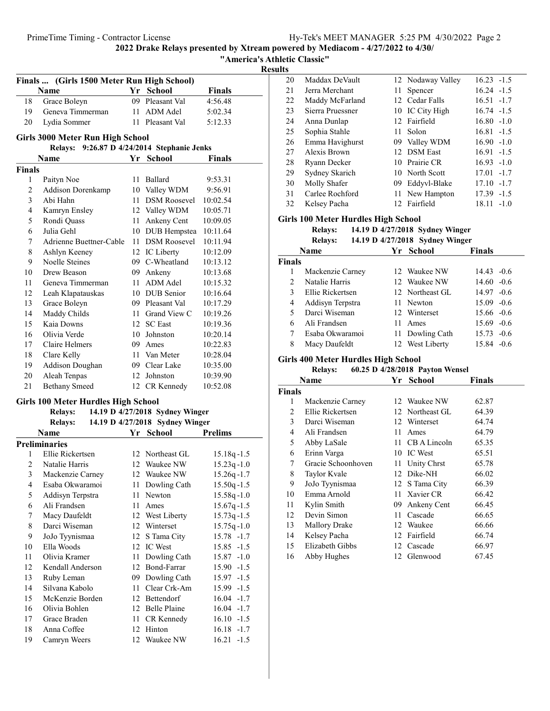**Results** 

|                         |                                             |    |                                 | Κt              |
|-------------------------|---------------------------------------------|----|---------------------------------|-----------------|
|                         | Finals  (Girls 1500 Meter Run High School)  |    |                                 |                 |
|                         | Name                                        |    | Yr School                       | Finals          |
| 18                      | Grace Boleyn                                |    | 09 Pleasant Val                 | 4:56.48         |
| 19                      | Geneva Timmerman                            |    | 11 ADM Adel                     | 5:02.34         |
| 20                      | Lydia Sommer                                |    | 11 Pleasant Val                 | 5:12.33         |
|                         | <b>Girls 3000 Meter Run High School</b>     |    |                                 |                 |
|                         | Relays: 9:26.87 D 4/24/2014 Stephanie Jenks |    |                                 |                 |
|                         | Name                                        |    | Yr School                       | <b>Finals</b>   |
| <b>Finals</b>           |                                             |    |                                 |                 |
| 1                       | Paityn Noe                                  | 11 | Ballard                         | 9:53.31         |
| $\overline{c}$          | Addison Dorenkamp                           |    | 10 Valley WDM                   | 9:56.91         |
| 3                       | Abi Hahn                                    | 11 | <b>DSM Roosevel</b>             | 10:02.54        |
| 4                       | Kamryn Ensley                               |    | 12 Valley WDM                   | 10:05.71        |
| 5                       | Rondi Quass                                 | 11 | Ankeny Cent                     | 10:09.05        |
| 6                       | Julia Gehl                                  |    | 10 DUB Hempstea                 | 10:11.64        |
| 7                       | Adrienne Buettner-Cable                     | 11 | <b>DSM Roosevel</b>             | 10:11.94        |
| 8                       | Ashlyn Keeney                               |    | 12 IC Liberty                   | 10:12.09        |
| 9                       | Noelle Steines                              |    | 09 C-Wheatland                  | 10:13.12        |
| 10                      | Drew Beason                                 |    | 09 Ankeny                       | 10:13.68        |
| 11                      | Geneva Timmerman                            | 11 | ADM Adel                        | 10:15.32        |
| 12                      | Leah Klapatauskas                           |    | 10 DUB Senior                   | 10:16.64        |
| 13                      | Grace Boleyn                                |    | 09 Pleasant Val                 | 10:17.29        |
| 14                      | Maddy Childs                                |    | 11 Grand View C                 | 10:19.26        |
| 15                      | Kaia Downs                                  |    | 12 SC East                      | 10:19.36        |
| 16                      | Olivia Verde                                |    | 10 Johnston                     | 10:20.14        |
| 17                      | Claire Helmers                              |    | 09 Ames                         | 10:22.83        |
| 18                      | Clare Kelly                                 |    | 11 Van Meter                    | 10:28.04        |
| 19                      | Addison Doughan                             |    | 09 Clear Lake                   | 10:35.00        |
| 20                      | Aleah Tenpas                                |    | 12 Johnston                     | 10:39.90        |
| 21                      | <b>Bethany Smeed</b>                        |    | 12 CR Kennedy                   | 10:52.08        |
|                         |                                             |    |                                 |                 |
|                         | <b>Girls 100 Meter Hurdles High School</b>  |    |                                 |                 |
|                         | <b>Relays:</b>                              |    | 14.19 D 4/27/2018 Sydney Winger |                 |
|                         | <b>Relays:</b>                              |    | 14.19 D 4/27/2018 Sydney Winger |                 |
|                         | Name                                        |    | Yr School                       | <b>Prelims</b>  |
|                         | <b>Preliminaries</b>                        |    |                                 |                 |
| 1                       | Ellie Rickertsen                            |    | 12 Northeast GL                 | $15.18q - 1.5$  |
| 2                       | Natalie Harris                              |    | 12 Waukee NW                    | $15.23q - 1.0$  |
| 3                       | Mackenzie Carney                            | 12 | Waukee NW                       | 15.26q -1.7     |
| $\overline{\mathbf{4}}$ | Esaba Okwaramoi                             | 11 | Dowling Cath                    | $15.50q - 1.5$  |
| 5                       | Addisyn Terpstra                            | 11 | Newton                          | $15.58q - 1.0$  |
| 6                       | Ali Frandsen                                | 11 | Ames                            | $15.67q - 1.5$  |
| 7                       | Macy Daufeldt                               | 12 | West Liberty                    | $15.73q - 1.5$  |
| 8                       | Darci Wiseman                               | 12 | Winterset                       | $15.75q - 1.0$  |
| 9                       | JoJo Tyynismaa                              | 12 | S Tama City                     | 15.78 -1.7      |
| 10                      | Ella Woods                                  | 12 | IC West                         | $15.85 - 1.5$   |
| 11                      | Olivia Kramer                               | 11 | Dowling Cath                    | 15.87<br>$-1.0$ |
| 12                      | Kendall Anderson                            | 12 | Bond-Farrar                     | 15.90<br>$-1.5$ |
| 13                      | Ruby Leman                                  | 09 | Dowling Cath                    | 15.97 -1.5      |
| 14                      | Silvana Kabolo                              | 11 | Clear Crk-Am                    | 15.99 -1.5      |
| 15                      | McKenzie Borden                             | 12 | Bettendorf                      | 16.04<br>$-1.7$ |
| 16                      | Olivia Bohlen                               | 12 | <b>Belle Plaine</b>             | 16.04<br>$-1.7$ |
| 17                      | Grace Braden                                | 11 | CR Kennedy                      | $16.10 - 1.5$   |
| 18                      | Anna Coffee                                 | 12 | Hinton                          | 16.18<br>$-1.7$ |
| 19                      | Camryn Weers                                |    | 12 Waukee NW                    | 16.21<br>$-1.5$ |

| LЭ |                  |    |                   |                 |
|----|------------------|----|-------------------|-----------------|
| 20 | Maddax DeVault   |    | 12 Nodaway Valley | $16.23 - 1.5$   |
| 21 | Jerra Merchant   | 11 | Spencer           | $16.24 - 1.5$   |
| 22 | Maddy McFarland  |    | 12 Cedar Falls    | $16.51 - 1.7$   |
| 23 | Sierra Pruessner |    | 10 IC City High   | $16.74 - 1.5$   |
| 24 | Anna Dunlap      |    | 12 Fairfield      | $16.80 - 1.0$   |
| 25 | Sophia Stahle    |    | 11 Solon          | $16.81 - 1.5$   |
| 26 | Emma Havighurst  |    | 09 Valley WDM     | $16.90 -1.0$    |
| 27 | Alexis Brown     |    | 12 DSM East       | $16.91 - 1.5$   |
| 28 | Ryann Decker     |    | 10 Prairie CR     | $16.93 - 1.0$   |
| 29 | Sydney Skarich   |    | 10 North Scott    | $17.01 - 1.7$   |
| 30 | Molly Shafer     |    | 09 Eddyvl-Blake   | $17.10 - 1.7$   |
| 31 | Carlee Rochford  |    | 11 New Hampton    | $17.39 - 1.5$   |
| 32 | Kelsey Pacha     |    | 12 Fairfield      | 18.11<br>$-1.0$ |
|    |                  |    |                   |                 |

### Girls 100 Meter Hurdles High School

Relays:  $14.19 \text{ D } 4/27/2018 \text{ Sydney Winger}$ 

```
Relays: 14.19 D 4/27/2018 Sydney Winger
```

|        | Name             |     | Yr School       | <b>Finals</b> |
|--------|------------------|-----|-----------------|---------------|
| Finals |                  |     |                 |               |
|        | Mackenzie Carney |     | 12 Waukee NW    | $14.43 - 0.6$ |
| 2      | Natalie Harris   |     | 12 Waukee NW    | $14.60 - 0.6$ |
| 3      | Ellie Rickertsen |     | 12 Northeast GL | $14.97 - 0.6$ |
| 4      | Addisyn Terpstra |     | 11 Newton       | $15.09 - 0.6$ |
| 5      | Darci Wiseman    |     | 12 Winterset    | $15.66 - 0.6$ |
| 6      | Ali Frandsen     | 11. | Ames            | $15.69 - 0.6$ |
|        | Esaba Okwaramoi  |     | 11 Dowling Cath | $15.73 - 0.6$ |
| 8      | Macy Daufeldt    |     | 12 West Liberty | 15.84 -0.6    |
|        |                  |     |                 |               |

# Girls 400 Meter Hurdles High School<br>Relays: 60.25 D 4/28/2018 P

| 60.25 D 4/28/2018 Payton Wensel<br><b>Relays:</b> |                      |     |                 |        |  |
|---------------------------------------------------|----------------------|-----|-----------------|--------|--|
|                                                   | Name                 |     | Yr School       | Finals |  |
| Finals                                            |                      |     |                 |        |  |
| 1                                                 | Mackenzie Carney     |     | 12 Waukee NW    | 62.87  |  |
| 2                                                 | Ellie Rickertsen     |     | 12 Northeast GL | 64.39  |  |
| 3                                                 | Darci Wiseman        | 12  | Winterset       | 64.74  |  |
| $\overline{4}$                                    | Ali Frandsen         | 11  | Ames            | 64.79  |  |
| 5                                                 | Abby LaSale          | 11  | CB A Lincoln    | 65.35  |  |
| 6                                                 | Erinn Varga          | 10  | <b>IC</b> West  | 65.51  |  |
| 7                                                 | Gracie Schoonhoven   | 11. | Unity Chrst     | 65.78  |  |
| 8                                                 | Taylor Kvale         | 12  | Dike-NH         | 66.02  |  |
| 9                                                 | JoJo Tyynismaa       |     | 12 S Tama City  | 66.39  |  |
| 10                                                | Emma Arnold          |     | 11 Xavier CR    | 66.42  |  |
| 11                                                | Kylin Smith          | 09. | Ankeny Cent     | 66.45  |  |
| 12                                                | Devin Simon          | 11  | Cascade         | 66.65  |  |
| 13                                                | <b>Mallory Drake</b> |     | 12 Waukee       | 66.66  |  |
| 14                                                | Kelsey Pacha         | 12  | Fairfield       | 66.74  |  |
| 15                                                | Elizabeth Gibbs      |     | 12 Cascade      | 66.97  |  |
| 16                                                | Abby Hughes          |     | 12 Glenwood     | 67.45  |  |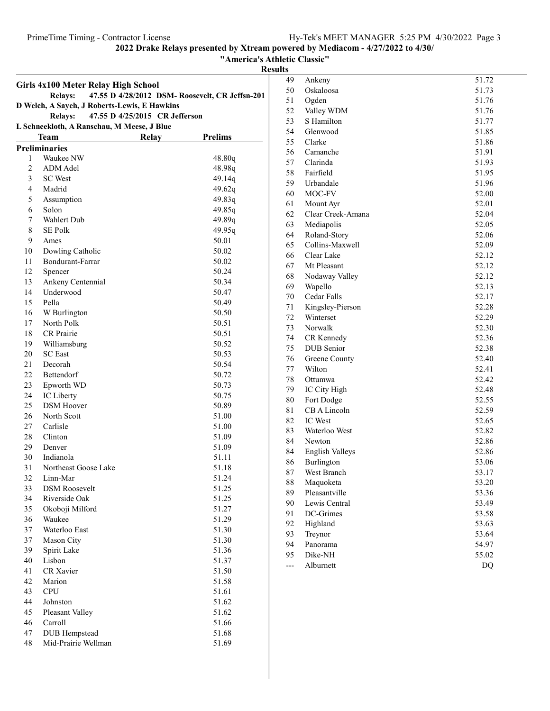"America's Athletic Classic"

### Results

|                                                                                                  | Girls 4x100 Meter Relay High School                               |       |                |  |  |  |  |  |
|--------------------------------------------------------------------------------------------------|-------------------------------------------------------------------|-------|----------------|--|--|--|--|--|
|                                                                                                  | 47.55 D 4/28/2012 DSM- Roosevelt, CR Jeffsn-201<br><b>Relays:</b> |       |                |  |  |  |  |  |
| D Welch, A Sayeh, J Roberts-Lewis, E Hawkins<br><b>Relays:</b><br>47.55 D 4/25/2015 CR Jefferson |                                                                   |       |                |  |  |  |  |  |
|                                                                                                  | L Schneekloth, A Ranschau, M Meese, J Blue                        |       |                |  |  |  |  |  |
|                                                                                                  | Team                                                              | Relay | <b>Prelims</b> |  |  |  |  |  |
|                                                                                                  | <b>Preliminaries</b>                                              |       |                |  |  |  |  |  |
| 1                                                                                                | Waukee NW                                                         |       | 48.80q         |  |  |  |  |  |
| $\overline{2}$                                                                                   | ADM Adel                                                          |       | 48.98q         |  |  |  |  |  |
| 3                                                                                                | <b>SC</b> West                                                    |       | 49.14q         |  |  |  |  |  |
| 4                                                                                                | Madrid                                                            |       | 49.62q         |  |  |  |  |  |
| 5                                                                                                | Assumption                                                        |       | 49.83q         |  |  |  |  |  |
| 6                                                                                                | Solon                                                             |       | 49.85q         |  |  |  |  |  |
| 7                                                                                                | Wahlert Dub                                                       |       | 49.89q         |  |  |  |  |  |
| 8                                                                                                | SE Polk                                                           |       | 49.95q         |  |  |  |  |  |
| 9                                                                                                | Ames                                                              |       | 50.01          |  |  |  |  |  |
| 10                                                                                               | Dowling Catholic                                                  |       | 50.02          |  |  |  |  |  |
| 11                                                                                               | Bondurant-Farrar                                                  |       | 50.02          |  |  |  |  |  |
| 12                                                                                               | Spencer                                                           |       | 50.24          |  |  |  |  |  |
| 13                                                                                               | Ankeny Centennial                                                 |       | 50.34          |  |  |  |  |  |
| 14                                                                                               | Underwood                                                         |       | 50.47          |  |  |  |  |  |
| 15                                                                                               | Pella                                                             |       | 50.49          |  |  |  |  |  |
| 16                                                                                               | W Burlington                                                      |       | 50.50          |  |  |  |  |  |
| 17                                                                                               | North Polk                                                        |       | 50.51          |  |  |  |  |  |
| 18                                                                                               | <b>CR</b> Prairie                                                 |       | 50.51          |  |  |  |  |  |
| 19                                                                                               | Williamsburg                                                      |       | 50.52          |  |  |  |  |  |
| 20                                                                                               | <b>SC</b> East                                                    |       | 50.53          |  |  |  |  |  |
| 21                                                                                               | Decorah                                                           |       | 50.54          |  |  |  |  |  |
| 22                                                                                               | Bettendorf                                                        |       | 50.72          |  |  |  |  |  |
| 23                                                                                               | Epworth WD                                                        |       | 50.73          |  |  |  |  |  |
| 24                                                                                               | IC Liberty                                                        |       | 50.75          |  |  |  |  |  |
| 25                                                                                               | <b>DSM</b> Hoover                                                 |       | 50.89          |  |  |  |  |  |
| 26                                                                                               | North Scott                                                       |       | 51.00          |  |  |  |  |  |
| 27                                                                                               | Carlisle                                                          |       | 51.00          |  |  |  |  |  |
| 28                                                                                               | Clinton                                                           |       | 51.09          |  |  |  |  |  |
| 29                                                                                               | Denver                                                            |       | 51.09          |  |  |  |  |  |
| 30                                                                                               | Indianola                                                         |       | 51.11          |  |  |  |  |  |
| 31                                                                                               | Northeast Goose Lake                                              |       | 51.18          |  |  |  |  |  |
| 32                                                                                               | Linn-Mar                                                          |       | 51.24          |  |  |  |  |  |
| 33                                                                                               | <b>DSM Roosevelt</b>                                              |       | 51.25          |  |  |  |  |  |
| 34                                                                                               | Riverside Oak                                                     |       | 51.25          |  |  |  |  |  |
| 35                                                                                               | Okoboji Milford                                                   |       | 51.27          |  |  |  |  |  |
| 36                                                                                               | Waukee                                                            |       | 51.29          |  |  |  |  |  |
| 37                                                                                               | Waterloo East                                                     |       | 51.30          |  |  |  |  |  |
| 37                                                                                               | Mason City                                                        |       | 51.30          |  |  |  |  |  |
| 39                                                                                               | Spirit Lake                                                       |       | 51.36          |  |  |  |  |  |
| 40                                                                                               | Lisbon                                                            |       | 51.37          |  |  |  |  |  |
| 41                                                                                               | <b>CR</b> Xavier                                                  |       | 51.50          |  |  |  |  |  |
| 42                                                                                               | Marion                                                            |       | 51.58          |  |  |  |  |  |
| 43                                                                                               | <b>CPU</b>                                                        |       | 51.61          |  |  |  |  |  |
| 44                                                                                               | Johnston                                                          |       | 51.62          |  |  |  |  |  |
| 45                                                                                               | Pleasant Valley                                                   |       | 51.62          |  |  |  |  |  |
| 46                                                                                               | Carroll                                                           |       | 51.66          |  |  |  |  |  |
| 47                                                                                               | DUB Hempstead                                                     |       | 51.68          |  |  |  |  |  |
| 48                                                                                               | Mid-Prairie Wellman                                               |       | 51.69          |  |  |  |  |  |

| 49 | Ankeny                 | 51.72     |
|----|------------------------|-----------|
| 50 | Oskaloosa              | 51.73     |
| 51 | Ogden                  | 51.76     |
| 52 | Valley WDM             | 51.76     |
| 53 | S Hamilton             | 51.77     |
| 54 | Glenwood               | 51.85     |
| 55 | Clarke                 | 51.86     |
| 56 | Camanche               | 51.91     |
| 57 | Clarinda               | 51.93     |
| 58 | Fairfield              | 51.95     |
| 59 | Urbandale              | 51.96     |
| 60 | MOC-FV                 | 52.00     |
| 61 | Mount Ayr              | 52.01     |
| 62 | Clear Creek-Amana      | 52.04     |
| 63 | Mediapolis             | 52.05     |
| 64 | Roland-Story           | 52.06     |
| 65 | Collins-Maxwell        | 52.09     |
| 66 | Clear Lake             | 52.12     |
| 67 | Mt Pleasant            | 52.12     |
| 68 | Nodaway Valley         | 52.12     |
| 69 | Wapello                | 52.13     |
| 70 | Cedar Falls            | 52.17     |
| 71 | Kingsley-Pierson       | 52.28     |
| 72 | Winterset              | 52.29     |
| 73 | Norwalk                | 52.30     |
| 74 | CR Kennedy             | 52.36     |
| 75 | DUB Senior             | 52.38     |
| 76 | Greene County          | 52.40     |
| 77 | Wilton                 | 52.41     |
| 78 | Ottumwa                | 52.42     |
| 79 | IC City High           | 52.48     |
| 80 | Fort Dodge             | 52.55     |
| 81 | CB A Lincoln           | 52.59     |
| 82 | <b>IC</b> West         | 52.65     |
| 83 | Waterloo West          | 52.82     |
| 84 | Newton                 | 52.86     |
| 84 | <b>English Valleys</b> | 52.86     |
| 86 | Burlington             | 53.06     |
| 87 | West Branch            | 53.17     |
| 88 | Maquoketa              | 53.20     |
| 89 | Pleasantville          | 53.36     |
| 90 | Lewis Central          | 53.49     |
| 91 | DC-Grimes              | 53.58     |
| 92 | Highland               | 53.63     |
| 93 | Treynor                | 53.64     |
| 94 | Panorama               | 54.97     |
| 95 | Dike-NH                | 55.02     |
|    | Alburnett              | <b>DQ</b> |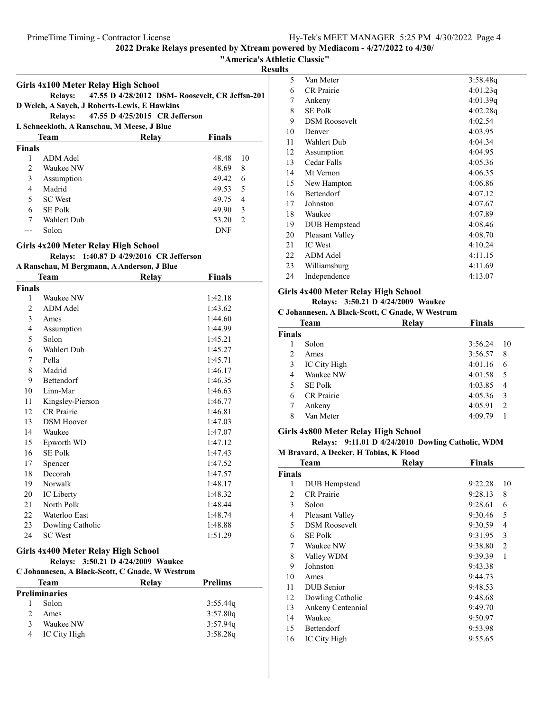"America's Athletic Classic"

sults

|                |                                                 |                                                 |                         | Re |
|----------------|-------------------------------------------------|-------------------------------------------------|-------------------------|----|
|                | Girls 4x100 Meter Relay High School             |                                                 |                         |    |
|                | <b>Relays:</b>                                  | 47.55 D 4/28/2012 DSM- Roosevelt, CR Jeffsn-201 |                         |    |
|                | D Welch, A Sayeh, J Roberts-Lewis, E Hawkins    |                                                 |                         |    |
|                | <b>Relays:</b>                                  | 47.55 D 4/25/2015 CR Jefferson                  |                         |    |
|                | L Schneekloth, A Ranschau, M Meese, J Blue      |                                                 |                         |    |
|                | Team                                            | <b>Relay</b>                                    | <b>Finals</b>           |    |
| Finals         |                                                 |                                                 |                         |    |
| 1              | <b>ADM</b> Adel                                 |                                                 | 10<br>48.48             |    |
| $\overline{c}$ | Waukee NW                                       |                                                 | 48.69<br>8              |    |
| 3              | Assumption                                      |                                                 | 49.42<br>6              |    |
| $\overline{4}$ | Madrid                                          |                                                 | 5<br>49.53              |    |
| 5              | <b>SC</b> West                                  |                                                 | $\overline{4}$<br>49.75 |    |
| 6              | <b>SE Polk</b>                                  |                                                 | 3<br>49.90              |    |
| 7              | Wahlert Dub                                     |                                                 | 2<br>53.20              |    |
| ---            | Solon                                           |                                                 | DNF                     |    |
|                | Girls 4x200 Meter Relay High School             |                                                 |                         |    |
|                |                                                 | Relays: 1:40.87 D 4/29/2016 CR Jefferson        |                         |    |
|                | A Ranschau, M Bergmann, A Anderson, J Blue      |                                                 |                         |    |
|                | Team                                            | <b>Relay</b>                                    | <b>Finals</b>           |    |
| Finals         |                                                 |                                                 |                         |    |
| 1              | Waukee NW                                       |                                                 | 1:42.18                 |    |
| $\overline{c}$ | ADM Adel                                        |                                                 | 1:43.62                 |    |
| 3              | Ames                                            |                                                 | 1:44.60                 |    |
| $\overline{4}$ | Assumption                                      |                                                 | 1:44.99                 |    |
| 5              | Solon                                           |                                                 | 1:45.21                 |    |
| 6              | Wahlert Dub                                     |                                                 | 1:45.27                 |    |
| 7              | Pella                                           |                                                 | 1:45.71                 |    |
| 8              | Madrid                                          |                                                 | 1:46.17                 |    |
| 9              | Bettendorf                                      |                                                 | 1:46.35                 |    |
| 10             | Linn-Mar                                        |                                                 | 1:46.63                 |    |
| 11             | Kingsley-Pierson                                |                                                 | 1:46.77                 |    |
| 12             | <b>CR</b> Prairie                               |                                                 | 1:46.81                 |    |
| 13             | <b>DSM</b> Hoover                               |                                                 | 1:47.03                 |    |
| 14             | Waukee                                          |                                                 | 1:47.07                 |    |
| 15             | Epworth WD                                      |                                                 | 1:47.12                 |    |
| 16             | <b>SE Polk</b>                                  |                                                 | 1:47.43                 |    |
| 17             | Spencer                                         |                                                 | 1:47.52                 |    |
| 18             | Decorah                                         |                                                 | 1:47.57                 |    |
| 19             | Norwalk                                         |                                                 | 1:48.17                 |    |
| 20             | IC Liberty                                      |                                                 | 1:48.32                 |    |
| 21             | North Polk                                      |                                                 | 1:48.44                 |    |
| 22             | Waterloo East                                   |                                                 | 1:48.74                 |    |
| 23             | Dowling Catholic                                |                                                 | 1:48.88                 |    |
| 24             | <b>SC</b> West                                  |                                                 | 1:51.29                 |    |
|                | Girls 4x400 Meter Relay High School             |                                                 |                         |    |
|                |                                                 | Relays: 3:50.21 D 4/24/2009 Waukee              |                         |    |
|                | C Johannesen, A Black-Scott, C Gnade, W Westrum |                                                 |                         |    |
|                | Team                                            | Relay                                           | <b>Prelims</b>          |    |
|                | <b>Preliminaries</b>                            |                                                 |                         |    |
| 1              | Solon                                           |                                                 | 3:55.44q                |    |
| $\overline{c}$ | Ames                                            |                                                 | 3:57.80q                |    |
| 3              | Waukee NW                                       |                                                 | 3:57.94q                |    |

4 3:58.28q IC City High

| 5  | Van Meter            | 3:58.48q |
|----|----------------------|----------|
| 6  | <b>CR</b> Prairie    | 4:01.23q |
| 7  | Ankeny               | 4:01.39q |
| 8  | <b>SE Polk</b>       | 4:02.28q |
| 9  | <b>DSM Roosevelt</b> | 4:02.54  |
| 10 | Denver               | 4:03.95  |
| 11 | Wahlert Dub          | 4:04.34  |
| 12 | Assumption           | 4:04.95  |
| 13 | Cedar Falls          | 4:05.36  |
| 14 | Mt Vernon            | 4:06.35  |
| 15 | New Hampton          | 4:06.86  |
| 16 | <b>Bettendorf</b>    | 4:07.12  |
| 17 | Johnston             | 4:07.67  |
| 18 | Waukee               | 4:07.89  |
| 19 | <b>DUB</b> Hempstead | 4:08.46  |
| 20 | Pleasant Valley      | 4:08.70  |
| 21 | <b>IC</b> West       | 4:10.24  |
| 22 | <b>ADM</b> Adel      | 4:11.15  |
| 23 | Williamsburg         | 4:11.69  |
| 24 | Independence         | 4:13.07  |

### Girls 4x400 Meter Relay High School

Relays: 3:50.21 D 4/24/2009 Waukee

| C Johannesen, A Black-Scott, C Gnade, W Westrum |       |               |                          |  |  |
|-------------------------------------------------|-------|---------------|--------------------------|--|--|
| Team                                            | Relav | <b>Finals</b> |                          |  |  |
| <b>Finals</b>                                   |       |               |                          |  |  |
| Solon                                           |       | 3:56.24       | 10                       |  |  |
| Ames                                            |       | 3:56.57       | 8                        |  |  |
| IC City High                                    |       | 4:01.16       | 6                        |  |  |
| <b>Waukee NW</b>                                |       | 4:01.58       | 5                        |  |  |
| <b>SE Polk</b>                                  |       | 4:03.85       | 4                        |  |  |
| <b>CR</b> Prairie                               |       | 4:05.36       | 3                        |  |  |
| Ankeny                                          |       | 4:05.91       | $\mathfrak{D}_{1}^{(1)}$ |  |  |
| Van Meter                                       |       | 4:09.79       |                          |  |  |
|                                                 |       |               |                          |  |  |

### Girls 4x800 Meter Relay High School

Relays: 9:11.01 D 4/24/2010 Dowling Catholic, WDM

M Bravard, A Decker, H Tobias, K Flood

| <b>Team</b>    |                      | Relay | <b>Finals</b> |                |
|----------------|----------------------|-------|---------------|----------------|
| <b>Finals</b>  |                      |       |               |                |
| 1              | DUB Hempstead        |       | 9:22.28       | 10             |
| $\overline{c}$ | <b>CR</b> Prairie    |       | 9:28.13       | 8              |
| 3              | Solon                |       | 9:28.61       | 6              |
| 4              | Pleasant Valley      |       | 9:30.46       | 5              |
| 5              | <b>DSM Roosevelt</b> |       | 9:30.59       | 4              |
| 6              | <b>SE Polk</b>       |       | 9:31.95       | 3              |
| 7              | Waukee NW            |       | 9:38.80       | $\overline{2}$ |
| 8              | Valley WDM           |       | 9:39.39       | 1              |
| 9              | Johnston             |       | 9:43.38       |                |
| 10             | Ames                 |       | 9:44.73       |                |
| 11             | <b>DUB</b> Senior    |       | 9:48.53       |                |
| 12             | Dowling Catholic     |       | 9:48.68       |                |
| 13             | Ankeny Centennial    |       | 9:49.70       |                |
| 14             | Waukee               |       | 9:50.97       |                |
| 15             | <b>Bettendorf</b>    |       | 9:53.98       |                |
| 16             | IC City High         |       | 9:55.65       |                |
|                |                      |       |               |                |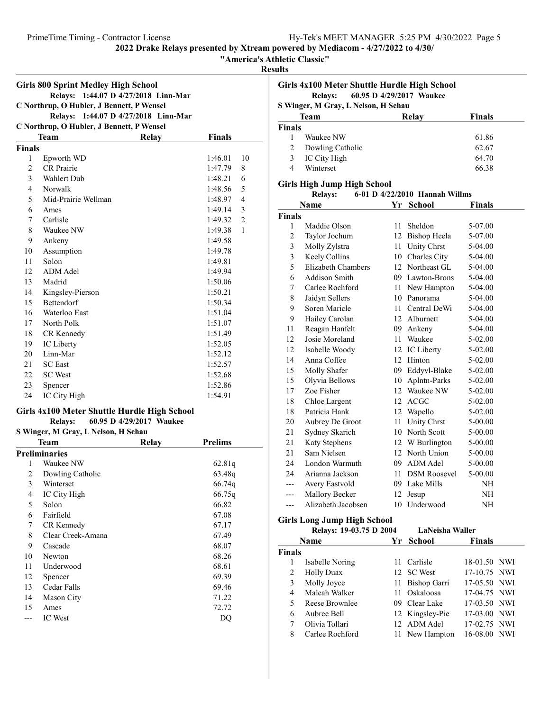"America's Athletic Classic"

Results

| <b>Girls 800 Sprint Medley High School</b> |                                                                                             |  |         |                |  |  |  |
|--------------------------------------------|---------------------------------------------------------------------------------------------|--|---------|----------------|--|--|--|
|                                            | 1:44.07 D 4/27/2018 Linn-Mar<br><b>Relays:</b><br>C Northrup, O Hubler, J Bennett, P Wensel |  |         |                |  |  |  |
|                                            | Relays: 1:44.07 D 4/27/2018 Linn-Mar                                                        |  |         |                |  |  |  |
|                                            | C Northrup, O Hubler, J Bennett, P Wensel                                                   |  |         |                |  |  |  |
|                                            | <b>Team</b><br><b>Finals</b><br>Relay                                                       |  |         |                |  |  |  |
| <b>Finals</b>                              |                                                                                             |  |         |                |  |  |  |
| 1                                          | Epworth WD                                                                                  |  | 1:46.01 | 10             |  |  |  |
| $\overline{2}$                             | <b>CR</b> Prairie                                                                           |  | 1:47.79 | 8              |  |  |  |
| 3                                          | Wahlert Dub                                                                                 |  | 1:48.21 | 6              |  |  |  |
| $\overline{4}$                             | Norwalk                                                                                     |  | 1:48.56 | 5              |  |  |  |
| 5                                          | Mid-Prairie Wellman                                                                         |  | 1:48.97 | $\overline{4}$ |  |  |  |
| 6                                          | Ames                                                                                        |  | 1:49.14 | 3              |  |  |  |
| 7                                          | Carlisle                                                                                    |  | 1:49.32 | $\overline{2}$ |  |  |  |
| 8                                          | Waukee NW                                                                                   |  | 1:49.38 | $\mathbf{1}$   |  |  |  |
| 9                                          | Ankeny                                                                                      |  | 1:49.58 |                |  |  |  |
| 10                                         | Assumption                                                                                  |  | 1:49.78 |                |  |  |  |
| 11                                         | Solon                                                                                       |  | 1:49.81 |                |  |  |  |
| 12                                         | ADM Adel                                                                                    |  | 1:49.94 |                |  |  |  |
| 13                                         | Madrid                                                                                      |  | 1:50.06 |                |  |  |  |
| 14                                         | Kingsley-Pierson                                                                            |  | 1:50.21 |                |  |  |  |
| 15                                         | <b>Bettendorf</b>                                                                           |  | 1:50.34 |                |  |  |  |
| 16                                         | Waterloo East                                                                               |  | 1:51.04 |                |  |  |  |
| 17                                         | North Polk                                                                                  |  | 1:51.07 |                |  |  |  |
| 18                                         | CR Kennedy                                                                                  |  | 1:51.49 |                |  |  |  |
| 19                                         | IC Liberty                                                                                  |  | 1:52.05 |                |  |  |  |
| 20                                         | Linn-Mar                                                                                    |  | 1:52.12 |                |  |  |  |
| 21                                         | <b>SC</b> East                                                                              |  | 1:52.57 |                |  |  |  |
| 22                                         | <b>SC</b> West                                                                              |  | 1:52.68 |                |  |  |  |
| 23                                         | Spencer                                                                                     |  | 1:52.86 |                |  |  |  |
| 24                                         | IC City High                                                                                |  | 1:54.91 |                |  |  |  |

### Girls 4x100 Meter Shuttle Hurdle High School

Relays: 60.95 D 4/29/2017 Waukee

| S Winger, M Gray, L Nelson, H Schau |                      |       |                |  |  |
|-------------------------------------|----------------------|-------|----------------|--|--|
|                                     | Team                 | Relay | <b>Prelims</b> |  |  |
|                                     | <b>Preliminaries</b> |       |                |  |  |
| 1                                   | Waukee NW            |       | 62.81q         |  |  |
| 2                                   | Dowling Catholic     |       | 63.48g         |  |  |
| 3                                   | Winterset            |       | 66.74q         |  |  |
| 4                                   | IC City High         |       | 66.75q         |  |  |
| 5                                   | Solon                |       | 66.82          |  |  |
| 6                                   | Fairfield            |       | 67.08          |  |  |
| 7                                   | CR Kennedy           |       | 67.17          |  |  |
| 8                                   | Clear Creek-Amana    |       | 67.49          |  |  |
| 9                                   | Cascade              |       | 68.07          |  |  |
| 10                                  | Newton               |       | 68.26          |  |  |
| 11                                  | Underwood            |       | 68.61          |  |  |
| 12                                  | Spencer              |       | 69.39          |  |  |
| 13                                  | Cedar Falls          |       | 69.46          |  |  |
| 14                                  | Mason City           |       | 71.22          |  |  |
| 15                                  | Ames                 |       | 72.72          |  |  |
|                                     | <b>IC</b> West       |       | DQ             |  |  |

| uns                                                                               | Girls 4x100 Meter Shuttle Hurdle High School |    |                                |         |  |
|-----------------------------------------------------------------------------------|----------------------------------------------|----|--------------------------------|---------|--|
| 60.95 D 4/29/2017 Waukee<br><b>Relays:</b><br>S Winger, M Gray, L Nelson, H Schau |                                              |    |                                |         |  |
|                                                                                   | <b>Team</b>                                  |    | Relay                          | Finals  |  |
| <b>Finals</b>                                                                     |                                              |    |                                |         |  |
| 1                                                                                 | Waukee NW                                    |    |                                | 61.86   |  |
| 2                                                                                 | Dowling Catholic                             |    |                                | 62.67   |  |
| 3                                                                                 | IC City High                                 |    |                                | 64.70   |  |
| 4                                                                                 | Winterset                                    |    |                                | 66.38   |  |
|                                                                                   | Girls High Jump High School                  |    |                                |         |  |
|                                                                                   | <b>Relays:</b>                               |    | 6-01 D 4/22/2010 Hannah Willms |         |  |
|                                                                                   | Name                                         | Yr | – School                       | Finals  |  |
| <b>Finals</b>                                                                     |                                              |    |                                |         |  |
| 1                                                                                 | Maddie Olson                                 | 11 | <b>Sheldon</b>                 | 5-07.00 |  |
| 2                                                                                 | Taylor Jochum                                | 12 | Bishop Heela                   | 5-07.00 |  |
| 3                                                                                 | Molly Zylstra                                | 11 | Unity Chrst                    | 5-04.00 |  |
| 3                                                                                 | Keely Collins                                | 10 | Charles City                   | 5-04.00 |  |
| 5                                                                                 | Elizabeth Chambers                           |    | 12 Northeast GL                | 5-04.00 |  |
| 6                                                                                 | <b>Addison Smith</b>                         | 09 | Lawton-Brons                   | 5-04.00 |  |
| 7                                                                                 | Carlee Rochford                              | 11 | New Hampton                    | 5-04.00 |  |
| 8                                                                                 | Jaidyn Sellers                               |    | 10 Panorama                    | 5-04.00 |  |

|                | Name                        | Yr | <b>School</b>       | <b>Finals</b> |
|----------------|-----------------------------|----|---------------------|---------------|
| Finals         |                             |    |                     |               |
| 1              | Maddie Olson                | 11 | Sheldon             | 5-07.00       |
| $\overline{2}$ | Taylor Jochum               | 12 | <b>Bishop Heela</b> | 5-07.00       |
| 3              | Molly Zylstra               | 11 | Unity Chrst         | 5-04.00       |
| 3              | Keely Collins               | 10 | Charles City        | 5-04.00       |
| 5              | Elizabeth Chambers          |    | 12 Northeast GL     | 5-04.00       |
| 6              | Addison Smith               |    | 09 Lawton-Brons     | 5-04.00       |
| 7              | Carlee Rochford             | 11 | New Hampton         | 5-04.00       |
| 8              | Jaidyn Sellers              |    | 10 Panorama         | 5-04.00       |
| 9              | Soren Maricle               |    | 11 Central DeWi     | 5-04.00       |
| 9              | Hailey Carolan              |    | 12 Alburnett        | 5-04.00       |
| 11             | Reagan Hanfelt              |    | 09 Ankeny           | 5-04.00       |
| 12             | Josie Moreland              | 11 | Waukee              | 5-02.00       |
| 12             | Isabelle Woody              | 12 | IC Liberty          | 5-02.00       |
| 14             | Anna Coffee                 | 12 | Hinton              | 5-02.00       |
| 15             | Molly Shafer                |    | 09 Eddyvl-Blake     | 5-02.00       |
| 15             | Olyvia Bellows              | 10 | Aplntn-Parks        | 5-02.00       |
| 17             | Zoe Fisher                  |    | 12 Waukee NW        | 5-02.00       |
| 18             | Chloe Largent               |    | 12 ACGC             | 5-02.00       |
| 18             | Patricia Hank               | 12 | Wapello             | 5-02.00       |
| 20             | Aubrey De Groot             | 11 | Unity Chrst         | 5-00.00       |
| 21             | Sydney Skarich              |    | 10 North Scott      | 5-00.00       |
| 21             | Katy Stephens               |    | 12 W Burlington     | 5-00.00       |
| 21             | Sam Nielsen                 |    | 12 North Union      | 5-00.00       |
| 24             | London Warmuth              |    | 09 ADM Adel         | 5-00.00       |
| 24             | Arianna Jackson             | 11 | <b>DSM Roosevel</b> | 5-00.00       |
| ---            | Avery Eastvold              |    | 09 Lake Mills       | NH            |
| ---            | Mallory Becker              | 12 | Jesup               | NH            |
| ---            | Alizabeth Jacobsen          | 10 | Underwood           | <b>NH</b>     |
|                | Girls Long Jump High School |    |                     |               |
|                |                             |    |                     |               |

| Name              | School                  | <b>Finals</b>                                                                                                                           |                                                                                                                                 |
|-------------------|-------------------------|-----------------------------------------------------------------------------------------------------------------------------------------|---------------------------------------------------------------------------------------------------------------------------------|
| <b>Finals</b>     |                         |                                                                                                                                         |                                                                                                                                 |
| Isabelle Noring   |                         |                                                                                                                                         |                                                                                                                                 |
| <b>Holly Duax</b> |                         |                                                                                                                                         |                                                                                                                                 |
| Molly Joyce       |                         |                                                                                                                                         |                                                                                                                                 |
| Maleah Walker     |                         |                                                                                                                                         |                                                                                                                                 |
| Reese Brownlee    |                         |                                                                                                                                         |                                                                                                                                 |
| Aubree Bell       |                         |                                                                                                                                         |                                                                                                                                 |
| Olivia Tollari    |                         |                                                                                                                                         |                                                                                                                                 |
| Carlee Rochford   |                         | 16-08.00                                                                                                                                | NWI                                                                                                                             |
|                   | Relays: 19-03.75 D 2004 | Yr<br>11 Carlisle<br>12 SC West<br>11 Bishop Garri<br>11 Oskaloosa<br>09 Clear Lake<br>12 Kingsley-Pie<br>12 ADM Adel<br>11 New Hampton | LaNeisha Waller<br>18-01.50 NWI<br>17-10.75 NWI<br>17-05.50 NWI<br>17-04.75 NWI<br>17-03.50 NWI<br>17-03.00 NWI<br>17-02.75 NWI |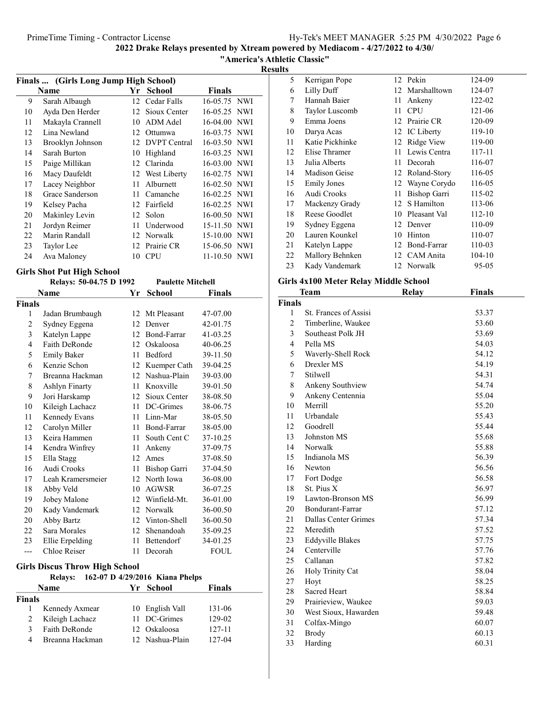"America's Athletic Classic"

Results

| Finals  (Girls Long Jump High School) |                  |    |                 |                |  |
|---------------------------------------|------------------|----|-----------------|----------------|--|
|                                       | Name             | Yr | <b>School</b>   | Finals         |  |
| 9                                     | Sarah Albaugh    |    | 12 Cedar Falls  | 16-05.75 NWI   |  |
| 10                                    | Ayda Den Herder  |    | 12 Sioux Center | 16-05.25 NWI   |  |
| 11                                    | Makayla Crannell | 10 | ADM Adel        | 16-04.00 NWI   |  |
| 12                                    | Lina Newland     |    | 12 Ottumwa      | 16-03.75 NWI   |  |
| 13                                    | Brooklyn Johnson |    | 12 DVPT Central | 16-03.50 NWI   |  |
| 14                                    | Sarah Burton     | 10 | Highland        | 16-03.25 NWI   |  |
| 15                                    | Paige Millikan   |    | 12 Clarinda     | 16-03.00 NWI   |  |
| 16                                    | Macy Daufeldt    |    | 12 West Liberty | 16-02.75 NWI   |  |
| 17                                    | Lacey Neighbor   | 11 | Alburnett       | 16-02.50 NWI   |  |
| 18                                    | Grace Sanderson  |    | 11 Camanche     | $16-02.25$ NWI |  |
| 19                                    | Kelsey Pacha     |    | 12 Fairfield    | 16-02.25 NWI   |  |
| 20                                    | Makinley Levin   |    | 12 Solon        | 16-00.50 NWI   |  |
| 21                                    | Jordyn Reimer    | 11 | Underwood       | 15-11.50 NWI   |  |
| 22                                    | Marin Randall    |    | 12 Norwalk      | 15-10.00 NWI   |  |
| 23                                    | Taylor Lee       |    | 12 Prairie CR   | 15-06.50 NWI   |  |
| 24                                    | Ava Maloney      | 10 | CPU             | 11-10.50 NWI   |  |

# Girls Shot Put High School

|        | Relays: 50-04.75 D 1992 |    | <b>Paulette Mitchell</b> |          |  |
|--------|-------------------------|----|--------------------------|----------|--|
|        | Name                    | Yr | School                   | Finals   |  |
| Finals |                         |    |                          |          |  |
| 1      | Jadan Brumbaugh         | 12 | Mt Pleasant              | 47-07.00 |  |
| 2      | Sydney Eggena           | 12 | Denver                   | 42-01.75 |  |
| 3      | Katelyn Lappe           |    | 12 Bond-Farrar           | 41-03.25 |  |
| 4      | Faith DeRonde           | 12 | Oskaloosa                | 40-06.25 |  |
| 5      | <b>Emily Baker</b>      | 11 | Bedford                  | 39-11.50 |  |
| 6      | Kenzie Schon            | 12 | Kuemper Cath             | 39-04.25 |  |
| 7      | Breanna Hackman         |    | 12 Nashua-Plain          | 39-03.00 |  |
| 8      | Ashlyn Finarty          | 11 | Knoxville                | 39-01.50 |  |
| 9      | Jori Harskamp           | 12 | Sioux Center             | 38-08.50 |  |
| 10     | Kileigh Lachacz         |    | 11 DC-Grimes             | 38-06.75 |  |
| 11     | Kennedy Evans           |    | 11 Linn-Mar              | 38-05.50 |  |
| 12     | Carolyn Miller          |    | 11 Bond-Farrar           | 38-05.00 |  |
| 13     | Keira Hammen            | 11 | South Cent C             | 37-10.25 |  |
| 14     | Kendra Winfrey          | 11 | Ankeny                   | 37-09.75 |  |
| 15     | Ella Stagg              | 12 | Ames                     | 37-08.50 |  |
| 16     | Audi Crooks             | 11 | Bishop Garri             | 37-04.50 |  |
| 17     | Leah Kramersmeier       | 12 | North Iowa               | 36-08.00 |  |
| 18     | Abby Veld               | 10 | AGWSR                    | 36-07.25 |  |
| 19     | Jobey Malone            |    | 12 Winfield-Mt.          | 36-01.00 |  |
| 20     | Kady Vandemark          | 12 | Norwalk                  | 36-00.50 |  |
| 20     | Abby Bartz              |    | 12 Vinton-Shell          | 36-00.50 |  |
| 22     | Sara Morales            | 12 | Shenandoah               | 35-09.25 |  |
| 23     | Ellie Erpelding         |    | 11 Bettendorf            | 34-01.25 |  |
| ---    | Chloe Reiser            | 11 | Decorah                  | FOUL     |  |

### Girls Discus Throw High School

|               | <b>Relays:</b>  | 162-07 D 4/29/2016 Kiana Phelps |               |
|---------------|-----------------|---------------------------------|---------------|
|               | <b>Name</b>     | Yr School                       | <b>Finals</b> |
| <b>Finals</b> |                 |                                 |               |
|               | Kennedy Axmear  | 10 English Vall                 | 131-06        |
| 2             | Kileigh Lachacz | 11 DC-Grimes                    | 129-02        |
| 3             | Faith DeRonde   | 12 Oskaloosa                    | 127-11        |
| 4             | Breanna Hackman | 12 Nashua-Plain                 | 127-04        |

| 5  | Kerrigan Pope         |    | 12 Pekin        | 124-09     |
|----|-----------------------|----|-----------------|------------|
| 6  | Lilly Duff            |    | 12 Marshalltown | 124-07     |
| 7  | Hannah Baier          | 11 | Ankeny          | 122-02     |
| 8  | <b>Taylor Luscomb</b> | 11 | <b>CPU</b>      | 121-06     |
| 9  | Emma Joens            |    | 12 Prairie CR   | 120-09     |
| 10 | Darya Acas            |    | 12 IC Liberty   | 119-10     |
| 11 | Katie Pickhinke       |    | 12 Ridge View   | 119-00     |
| 12 | Elise Thramer         |    | 11 Lewis Centra | 117-11     |
| 13 | Julia Alberts         | 11 | Decorah         | 116-07     |
| 14 | Madison Geise         |    | 12 Roland-Story | 116-05     |
| 15 | <b>Emily Jones</b>    |    | 12 Wayne Corydo | 116-05     |
| 16 | Audi Crooks           | 11 | Bishop Garri    | 115-02     |
| 17 | Mackenzy Grady        |    | 12 S Hamilton   | 113-06     |
| 18 | Reese Goodlet         |    | 10 Pleasant Val | $112 - 10$ |
| 19 | Sydney Eggena         |    | 12 Denver       | 110-09     |
| 20 | Lauren Kounkel        |    | 10 Hinton       | 110-07     |
| 21 | Katelyn Lappe         |    | 12 Bond-Farrar  | 110-03     |
| 22 | Mallory Behnken       |    | 12 CAM Anita    | 104-10     |
| 23 | Kady Vandemark        |    | 12 Norwalk      | 95-05      |

### Girls 4x100 Meter Relay Middle School

|                | <b>Team</b>             | <b>Relay</b> | <b>Finals</b> |
|----------------|-------------------------|--------------|---------------|
| Finals         |                         |              |               |
| 1              | St. Frances of Assisi   |              | 53.37         |
| $\overline{c}$ | Timberline, Waukee      |              | 53.60         |
| 3              | Southeast Polk JH       |              | 53.69         |
| $\overline{4}$ | Pella MS                |              | 54.03         |
| 5              | Waverly-Shell Rock      |              | 54.12         |
| 6              | Drexler MS              |              | 54.19         |
| 7              | Stilwell                |              | 54.31         |
| 8              | Ankeny Southview        |              | 54.74         |
| 9              | Ankeny Centennia        |              | 55.04         |
| 10             | Merrill                 |              | 55.20         |
| 11             | Urbandale               |              | 55.43         |
| 12             | Goodrell                |              | 55.44         |
| 13             | Johnston MS             |              | 55.68         |
| 14             | Norwalk                 |              | 55.88         |
| 15             | Indianola MS            |              | 56.39         |
| 16             | Newton                  |              | 56.56         |
| 17             | Fort Dodge              |              | 56.58         |
| 18             | St. Pius X              |              | 56.97         |
| 19             | Lawton-Bronson MS       |              | 56.99         |
| 20             | Bondurant-Farrar        |              | 57.12         |
| 21             | Dallas Center Grimes    |              | 57.34         |
| 22             | Meredith                |              | 57.52         |
| 23             | <b>Eddyville Blakes</b> |              | 57.75         |
| 24             | Centerville             |              | 57.76         |
| 25             | Callanan                |              | 57.82         |
| 26             | Holy Trinity Cat        |              | 58.04         |
| 27             | Hoyt                    |              | 58.25         |
| 28             | <b>Sacred Heart</b>     |              | 58.84         |
| 29             | Prairieview, Waukee     |              | 59.03         |
| 30             | West Sioux, Hawarden    |              | 59.48         |
| 31             | Colfax-Mingo            |              | 60.07         |
| 32             | <b>Brody</b>            |              | 60.13         |
| 33             | Harding                 |              | 60.31         |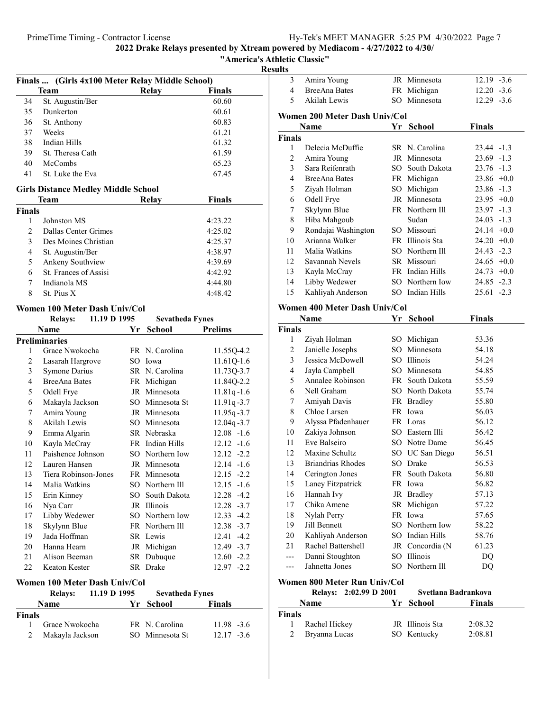### "America's Athletic Classic"

 $\frac{\text{Results}}{\frac{1}{3}}$ 

|                | Finals  (Girls 4x100 Meter Relay Middle School)<br>Team |    | Relay                  | <b>Finals</b>  |
|----------------|---------------------------------------------------------|----|------------------------|----------------|
| 34             | St. Augustin/Ber                                        |    |                        | 60.60          |
| 35             | Dunkerton                                               |    |                        | 60.61          |
| 36             | St. Anthony                                             |    |                        | 60.83          |
| 37             | Weeks                                                   |    |                        | 61.21          |
| 38             | Indian Hills                                            |    |                        | 61.32          |
| 39             | St. Theresa Cath                                        |    |                        | 61.59          |
| 40             | McCombs                                                 |    |                        | 65.23          |
| 41             | St. Luke the Eva                                        |    |                        | 67.45          |
|                |                                                         |    |                        |                |
|                | <b>Girls Distance Medley Middle School</b><br>Team      |    | Relay                  | <b>Finals</b>  |
| <b>Finals</b>  |                                                         |    |                        |                |
| 1              | Johnston MS                                             |    |                        | 4:23.22        |
| $\overline{c}$ | Dallas Center Grimes                                    |    |                        | 4:25.02        |
| 3              | Des Moines Christian                                    |    |                        | 4:25.37        |
| $\overline{4}$ | St. Augustin/Ber                                        |    |                        | 4:38.97        |
| 5              | Ankeny Southview                                        |    |                        | 4:39.69        |
| 6              | St. Frances of Assisi                                   |    |                        | 4:42.92        |
| 7              | Indianola MS                                            |    |                        | 4:44.80        |
| 8              | St. Pius X                                              |    |                        | 4:48.42        |
|                | Women 100 Meter Dash Univ/Col                           |    |                        |                |
|                | 11.19 D 1995<br><b>Relays:</b>                          |    | <b>Sevatheda Fynes</b> |                |
|                | <b>Name</b>                                             | Yr | <b>School</b>          | <b>Prelims</b> |
|                | <b>Preliminaries</b>                                    |    |                        |                |
| 1              | Grace Nwokocha                                          |    | FR N. Carolina         | 11.55Q-4.2     |
| 2              | Lasarah Hargrove                                        |    | SO Iowa                | 11.61Q-1.6     |
| 3              | Symone Darius                                           |    | SR N. Carolina         | 11.73Q-3.7     |
| 4              | <b>BreeAna Bates</b>                                    |    | FR Michigan            | 11.84Q-2.2     |
| 5              | Odell Frye                                              |    | JR Minnesota           | $11.81q - 1.6$ |
| 6              | Makayla Jackson                                         |    | SO Minnesota St        | $11.91q - 3.7$ |
| 7              | Amira Young                                             |    | JR Minnesota           | $11.95q - 3.7$ |
| 8              | Akilah Lewis                                            |    | SO Minnesota           | 12.04q-3.7     |
| 9              | Emma Algarin                                            |    | SR Nebraska            | $12.08 - 1.6$  |
| 10             | Kayla McCray                                            |    | FR Indian Hills        | $12.12 -1.6$   |
| 11             | Paishence Johnson                                       |    | SO Northern Iow        | $12.12 -2.2$   |
| 12             | Lauren Hansen                                           |    | JR Minnesota           | $12.14 - 1.6$  |
| 13             | Tiera Robinson-Jones                                    |    | FR Minnesota           | $12.15 - 2.2$  |
| 14             | Malia Watkins                                           |    | SO Northern Ill        | $12.15 - 1.6$  |
| 15             | Erin Kinney                                             |    | SO South Dakota        | 12.28 -4.2     |
| 16             | Nya Carr                                                |    | JR Illinois            | $12.28 - 3.7$  |
| 17             | Libby Wedewer                                           |    | SO Northern Iow        | $12.33 - 4.2$  |
| 18             | Skylynn Blue                                            |    | FR Northern Ill        | $12.38 - 3.7$  |
| 19             | Jada Hoffman                                            |    | SR Lewis               | $12.41 - 4.2$  |
| $20\,$         | Hanna Hearn                                             |    | JR Michigan            | 12.49 -3.7     |
| 21             | Alison Beeman                                           |    | SR Dubuque             | $12.60 - 2.2$  |
| 22             | Keaton Kester                                           |    | SR Drake               | $12.97 - 2.2$  |
|                | Women 100 Meter Dash Univ/Col                           |    |                        |                |
|                | 11.19 D 1995<br><b>Relays:</b>                          |    | <b>Sevatheda Fynes</b> |                |

|        | INCIAVS.        | 11.17 U 1770 | эсуапісца гупся |               |
|--------|-----------------|--------------|-----------------|---------------|
|        | <b>Name</b>     |              | Yr School       | <b>Finals</b> |
| Finals |                 |              |                 |               |
|        | Grace Nwokocha  |              | FR N. Carolina  | $11.98 - 3.6$ |
|        | Makayla Jackson |              | SO Minnesota St | $12.17 - 3.6$ |
|        |                 |              |                 |               |

|                     | Nama                             |        | Vr. School                         | Finale        |  |
|---------------------|----------------------------------|--------|------------------------------------|---------------|--|
|                     | Relays: 2:02.99 D 2001           |        | Svetlana Badrankova                |               |  |
|                     | Women 800 Meter Run Univ/Col     |        |                                    |               |  |
| ---                 | Jahnetta Jones                   |        | SO Northern Ill                    | DQ            |  |
| ---                 | Danni Stoughton                  |        | SO Illinois                        | DQ            |  |
| 21                  | Rachel Battershell               |        | JR Concordia (N                    | 61.23         |  |
| 20                  | Kahliyah Anderson                |        | SO Indian Hills                    | 58.76         |  |
| 19                  | Jill Bennett                     |        | SO Northern Iow                    | 58.22         |  |
| 18                  | Nylah Perry                      |        | FR Iowa                            | 57.65         |  |
| 17                  | Chika Amene                      |        | SR Michigan                        | 57.22         |  |
| 16                  | Hannah Ivy                       |        | JR Bradley                         | 57.13         |  |
| 15                  | Laney Fitzpatrick                |        | FR Iowa                            | 56.82         |  |
| 14                  | Cerington Jones                  |        | FR South Dakota                    | 56.80         |  |
| 13                  | <b>Briandrias Rhodes</b>         |        | SO Drake                           | 56.53         |  |
| 12                  | Maxine Schultz                   |        | SO UC San Diego                    | 56.51         |  |
| 11                  | Eve Balseiro                     |        | SO Notre Dame                      | 56.45         |  |
| 10                  | Zakiya Johnson                   |        | SO Eastern Illi                    | 56.42         |  |
| 9                   | Alyssa Pfadenhauer               |        | FR Loras                           | 56.12         |  |
| $\,$ $\,$           | Chloe Larsen                     |        | FR Iowa                            | 56.03         |  |
| 7                   | Amiyah Davis                     |        | FR Bradley                         | 55.80         |  |
| 6                   | Nell Graham                      |        | SO North Dakota                    | 55.74         |  |
| 5                   | Annalee Robinson                 |        | FR South Dakota                    | 55.59         |  |
| 4                   | Jayla Campbell                   |        | SO Minnesota                       | 54.85         |  |
| 3                   | Jessica McDowell                 |        | SO Illinois                        | 54.24         |  |
| $\overline{c}$      | Janielle Josephs                 | $SO^-$ | Minnesota                          | 54.18         |  |
| 1                   | Ziyah Holman                     |        | SO Michigan                        | 53.36         |  |
| Finals              |                                  |        |                                    |               |  |
|                     | Name                             |        | Yr School                          | <b>Finals</b> |  |
|                     | Women 400 Meter Dash Univ/Col    |        |                                    |               |  |
| 15                  | Kahliyah Anderson                |        |                                    | $25.61 -2.3$  |  |
|                     |                                  |        | SO Indian Hills                    | $24.85 -2.3$  |  |
| 13<br>14            | Kayla McCray<br>Libby Wedewer    |        | FR Indian Hills<br>SO Northern Iow | $24.73 +0.0$  |  |
|                     |                                  |        |                                    | $24.65$ +0.0  |  |
| 11<br>12            | Malia Watkins<br>Savannah Nevels |        | SO Northern Ill<br>SR Missouri     | $24.43 -2.3$  |  |
| 10                  | Arianna Walker                   |        | FR Illinois Sta                    | $24.20 +0.0$  |  |
| 9                   | Rondajai Washington              |        | SO Missouri                        | $24.14 +0.0$  |  |
| $\,$ $\,$           | Hiba Mahgoub                     |        | Sudan                              | $24.03 -1.3$  |  |
| 7                   | Skylynn Blue                     |        | FR Northern Ill                    | $23.97 -1.3$  |  |
| 6                   | Odell Frye                       |        | JR Minnesota                       | $23.95 +0.0$  |  |
| 5                   | Ziyah Holman                     |        | SO Michigan                        | $23.86 -1.3$  |  |
| $\overline{4}$      | BreeAna Bates                    |        | FR Michigan                        | $23.86 + 0.0$ |  |
|                     | Sara Reifenrath                  |        | SO South Dakota                    | $23.76 - 1.3$ |  |
| $\mathfrak{2}$<br>3 | Amira Young                      |        | JR Minnesota                       | $23.69 -1.3$  |  |
| 1                   | Delecia McDuffie                 |        | SR N. Carolina                     | 23.44 -1.3    |  |
| Finals              |                                  |        |                                    |               |  |
|                     | Name                             | Yr     | <b>School</b>                      | Finals        |  |
|                     | Women 200 Meter Dash Univ/Col    |        |                                    |               |  |
|                     |                                  |        |                                    |               |  |
| 5                   | Akilah Lewis                     | $SO^-$ | Minnesota                          | $12.29 - 3.6$ |  |
| $\overline{4}$      | <b>BreeAna Bates</b>             |        | FR Michigan                        | $12.20 - 3.6$ |  |
| 3                   | Amira Young                      | JR     | Minnesota                          | $12.19 - 3.6$ |  |

|        | <b>Relays:</b> 2:02.99 D 2001 |                 | Svetlana Badrankova |  |
|--------|-------------------------------|-----------------|---------------------|--|
|        | <b>Name</b>                   | Yr School       | Finals              |  |
| Finals |                               |                 |                     |  |
|        | Rachel Hickey                 | JR Illinois Sta | 2:08.32             |  |
| 2      | Bryanna Lucas                 | SO Kentucky     | 2:08.81             |  |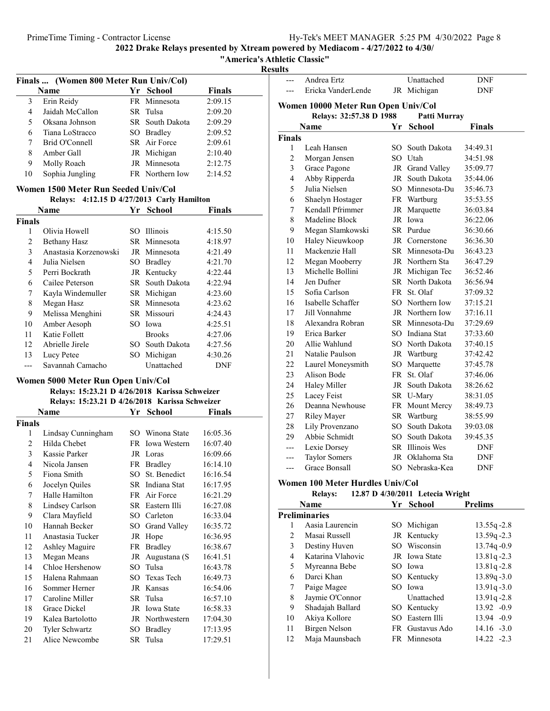"America's Athletic Classic"

Results

| Finals  (Women 800 Meter Run Univ/Col)               |                                                |              |                 |               |  |
|------------------------------------------------------|------------------------------------------------|--------------|-----------------|---------------|--|
|                                                      | Name                                           |              | Yr School       | <b>Finals</b> |  |
| 3                                                    | Erin Reidy                                     |              | FR Minnesota    | 2:09.15       |  |
| $\overline{4}$                                       | Jaidah McCallon                                |              | SR Tulsa        | 2:09.20       |  |
| 5                                                    | Oksana Johnson                                 |              | SR South Dakota | 2:09.29       |  |
| 6                                                    | Tiana LoStracco                                |              | SO Bradley      | 2:09.52       |  |
| 7                                                    | Brid O'Connell                                 |              | SR Air Force    | 2:09.61       |  |
| 8                                                    | Amber Gall                                     |              | JR Michigan     | 2:10.40       |  |
| 9                                                    | Molly Roach                                    | JR           | Minnesota       | 2:12.75       |  |
| 10                                                   | Sophia Jungling                                |              | FR Northern Iow | 2:14.52       |  |
| Women 1500 Meter Run Seeded Univ/Col                 |                                                |              |                 |               |  |
| 4:12.15 D 4/27/2013 Carly Hamilton<br><b>Relays:</b> |                                                |              |                 |               |  |
|                                                      | <b>Name</b>                                    | Yr           | <b>School</b>   | <b>Finals</b> |  |
| <b>Finals</b>                                        |                                                |              |                 |               |  |
| 1                                                    | Olivia Howell                                  |              | SO Illinois     | 4:15.50       |  |
| $\overline{2}$                                       | <b>Bethany Hasz</b>                            |              | SR Minnesota    | 4:18.97       |  |
| 3                                                    | Anastasia Korzenowski                          |              | JR Minnesota    | 4:21.49       |  |
| $\overline{4}$                                       | Julia Nielsen                                  | SO.          | <b>Bradley</b>  | 4:21.70       |  |
| 5                                                    | Perri Bockrath                                 |              | JR Kentucky     | 4:22.44       |  |
| 6                                                    | Cailee Peterson                                |              | SR South Dakota | 4:22.94       |  |
| 7                                                    | Kayla Windemuller                              |              | SR Michigan     | 4:23.60       |  |
| 8                                                    | Megan Hasz                                     |              | SR Minnesota    | 4:23.62       |  |
| 9                                                    | Melissa Menghini                               |              | SR Missouri     | 4:24.43       |  |
| 10                                                   | Amber Aesoph                                   |              | SO Iowa         | 4:25.51       |  |
| 11                                                   | Katie Follett                                  |              | <b>Brooks</b>   | 4:27.06       |  |
| 12                                                   | Abrielle Jirele                                |              | SO South Dakota | 4:27.56       |  |
| 13                                                   | Lucy Petee                                     | $SO_{\odot}$ | Michigan        | 4:30.26       |  |
| ---                                                  | Savannah Camacho                               |              | Unattached      | DNF           |  |
|                                                      | Women 5000 Meter Run Open Univ/Col             |              |                 |               |  |
|                                                      | Relays: 15:23.21 D 4/26/2018 Karissa Schweizer |              |                 |               |  |
|                                                      | Relays: 15:23.21 D 4/26/2018 Karissa Schweizer |              |                 |               |  |

| Name          |                    | Yr  | <b>School</b>       | Finals   |
|---------------|--------------------|-----|---------------------|----------|
| <b>Finals</b> |                    |     |                     |          |
| 1             | Lindsay Cunningham |     | SO Winona State     | 16:05.36 |
| 2             | Hilda Chebet       | FR. | <b>Iowa Western</b> | 16:07.40 |
| 3             | Kassie Parker      | JR  | Loras               | 16:09.66 |
| 4             | Nicola Jansen      |     | FR Bradley          | 16:14.10 |
| 5             | Fiona Smith        | SO. | St. Benedict        | 16:16.54 |
| 6             | Jocelyn Quiles     |     | SR Indiana Stat     | 16:17.95 |
| 7             | Halle Hamilton     |     | FR Air Force        | 16:21.29 |
| 8             | Lindsey Carlson    |     | SR Eastern Illi     | 16:27.08 |
| 9             | Clara Mayfield     | SO. | Carleton            | 16:33.04 |
| 10            | Hannah Becker      | SO  | Grand Valley        | 16:35.72 |
| 11            | Anastasia Tucker   | JR  | Hope                | 16:36.95 |
| 12            | Ashley Maguire     | FR  | Bradley             | 16:38.67 |
| 13            | Megan Means        | JR  | Augustana (S        | 16:41.51 |
| 14            | Chloe Hershenow    | SO. | Tulsa               | 16:43.78 |
| 15            | Halena Rahmaan     | SО  | Texas Tech          | 16:49.73 |
| 16            | Sommer Herner      | JR  | Kansas              | 16:54.06 |
| 17            | Caroline Miller    | SR. | Tulsa               | 16:57.10 |
| 18            | Grace Dickel       | JR  | <b>Iowa State</b>   | 16:58.33 |
| 19            | Kalea Bartolotto   |     | JR Northwestern     | 17:04.30 |
| 20            | Tyler Schwartz     | SО  | <b>Bradley</b>      | 17:13.95 |
| 21            | Alice Newcombe     |     | SR Tulsa            | 17:29.51 |
|               |                    |     |                     |          |

|               | Andrea Ertz                         |     | Unattached                       | DNF            |
|---------------|-------------------------------------|-----|----------------------------------|----------------|
| $---$         | Ericka VanderLende                  |     | JR Michigan                      | DNF            |
|               | Women 10000 Meter Run Open Univ/Col |     |                                  |                |
|               | Relays: 32:57.38 D 1988             |     | Patti Murray                     |                |
|               | Name                                | Yr  | <b>School</b>                    | <b>Finals</b>  |
| <b>Finals</b> |                                     |     |                                  |                |
| 1             | Leah Hansen                         | SO. | South Dakota                     | 34:49.31       |
| 2             | Morgan Jensen                       |     | SO Utah                          | 34:51.98       |
| 3             | Grace Pagone                        |     | JR Grand Valley                  | 35:09.77       |
| 4             | Abby Ripperda                       |     | JR South Dakota                  | 35:44.06       |
| 5             | Julia Nielsen                       |     | SO Minnesota-Du                  | 35:46.73       |
| 6             | Shaelyn Hostager                    |     | FR Wartburg                      | 35:53.55       |
| 7             | Kendall Pfrimmer                    | JR  |                                  | 36:03.84       |
| 8             | Madeline Block                      |     | Marquette<br>JR Iowa             | 36:22.06       |
| 9             |                                     |     | SR Purdue                        | 36:30.66       |
| 10            | Megan Slamkowski                    |     | JR Cornerstone                   | 36:36.30       |
|               | Haley Nieuwkoop                     |     |                                  |                |
| 11            | Mackenzie Hall                      |     | SR Minnesota-Du                  | 36:43.23       |
| 12            | Megan Mooberry                      |     | JR Northern Sta                  | 36:47.29       |
| 13            | Michelle Bollini                    |     | JR Michigan Tec                  | 36:52.46       |
| 14            | Jen Dufner                          |     | SR North Dakota                  | 36:56.94       |
| 15            | Sofia Carlson                       | FR  | St. Olaf                         | 37:09.32       |
| 16            | Isabelle Schaffer                   |     | SO Northern Iow                  | 37:15.21       |
| 17            | Jill Vonnahme                       |     | JR Northern Iow                  | 37:16.11       |
| 18            | Alexandra Robran                    |     | SR Minnesota-Du                  | 37:29.69       |
| 19            | Erica Barker                        |     | SO Indiana Stat                  | 37:33.60       |
| 20            | Allie Wahlund                       |     | SO North Dakota                  | 37:40.15       |
| 21            | Natalie Paulson                     | JR  | Wartburg                         | 37:42.42       |
| 22            | Laurel Moneysmith                   |     | SO Marquette                     | 37:45.78       |
| 23            | Alison Bode                         | FR  | St. Olaf                         | 37:46.06       |
| 24            | Haley Miller                        | JR  | South Dakota                     | 38:26.62       |
| 25            | Lacey Feist                         |     | SR U-Mary                        | 38:31.05       |
| 26            | Deanna Newhouse                     |     | FR Mount Mercy                   | 38:49.73       |
| 27            | <b>Riley Mayer</b>                  | SR  | Wartburg                         | 38:55.99       |
| 28            | Lily Provenzano                     | SO  | South Dakota                     | 39:03.08       |
| 29            | Abbie Schmidt                       | SO  | South Dakota                     | 39:45.35       |
| $---$         | Lexie Dorsey                        | SR  | Illinois Wes                     | DNF            |
| ---           | <b>Taylor Somers</b>                | JR  | Oklahoma Sta                     | DNF            |
| $---$         | Grace Bonsall                       |     | SO Nebraska-Kea                  | DNF            |
|               | Women 100 Meter Hurdles Univ/Col    |     |                                  |                |
|               | <b>Relays:</b>                      |     | 12.87 D 4/30/2011 Letecia Wright |                |
|               | Name                                |     | Yr School                        | Prelims        |
|               | <b>Preliminaries</b>                |     |                                  |                |
| 1             | Aasia Laurencin                     |     | SO Michigan                      | $13.55q - 2.8$ |
| 2             | Masai Russell                       |     | JR Kentucky                      | $13.59a - 2.3$ |
|               |                                     |     |                                  |                |

|  | Grace Bonsall                             |                            | SO. |  |
|--|-------------------------------------------|----------------------------|-----|--|
|  | Women 100 Meter Hurdles Univ/C<br>Relave• | 12.87 D $\frac{1}{30/201}$ |     |  |

|                | Name              | Yr | <b>School</b>   | <b>Prelims</b> |
|----------------|-------------------|----|-----------------|----------------|
|                | Preliminaries     |    |                 |                |
|                | Aasia Laurencin   |    | SO Michigan     | $13.55q - 2.8$ |
| $\mathfrak{D}$ | Masai Russell     |    | JR Kentucky     | $13.59q - 2.3$ |
| 3              | Destiny Huven     |    | SO Wisconsin    | $13.74q - 0.9$ |
| 4              | Katarina Vlahovic |    | JR Iowa State   | $13.81q - 2.3$ |
| 5              | Myreanna Bebe     |    | SO Iowa         | $13.81q - 2.8$ |
| 6              | Darci Khan        |    | SO Kentucky     | $13.89q - 3.0$ |
| 7              | Paige Magee       |    | SO Iowa         | $13.91q - 3.0$ |
| 8              | Jaymie O'Connor   |    | Unattached      | $13.91q - 2.8$ |
| 9              | Shadajah Ballard  |    | SO Kentucky     | $13.92 -0.9$   |
| 10             | Akiya Kollore     |    | SO Eastern Illi | 13.94 - 0.9    |
| 11             | Birgen Nelson     |    | FR Gustavus Ado | $14.16 - 3.0$  |
| 12             | Maja Maunsbach    |    | FR Minnesota    | $14.22 - 2.3$  |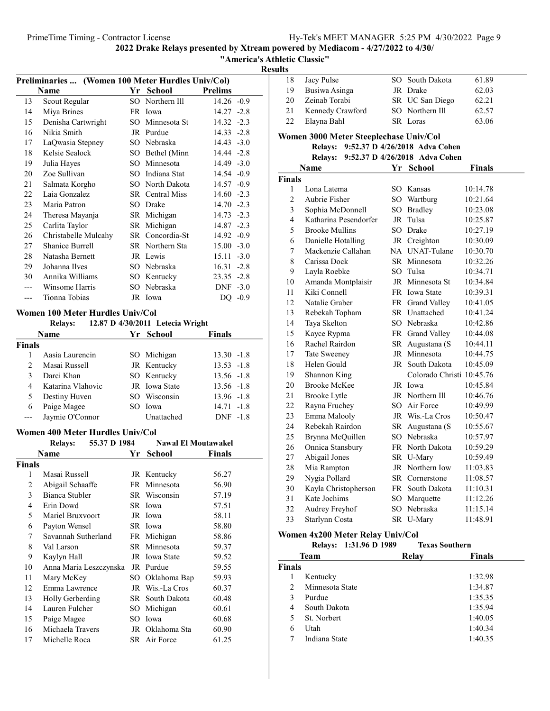| PrimeTime Timing - Contractor License | Hy-Tek's MEET MANAGER 5:25 PM 4/30/2022 Page 9 |
|---------------------------------------|------------------------------------------------|
|                                       |                                                |

### "America's Athletic Classic"

Results

| Preliminaries  (Women 100 Meter Hurdles Univ/Col) |                        |      |                 |                |        |
|---------------------------------------------------|------------------------|------|-----------------|----------------|--------|
|                                                   | Name                   | Yr   | <b>School</b>   | <b>Prelims</b> |        |
| 13                                                | Scout Regular          |      | SO Northern Ill | $14.26 - 0.9$  |        |
| 14                                                | Miya Brines            | FR   | Iowa            | $14.27 - 2.8$  |        |
| 15                                                | Denisha Cartwright     | SO.  | Minnesota St    | $14.32 -2.3$   |        |
| 16                                                | Nikia Smith            |      | JR Purdue       | $14.33 - 2.8$  |        |
| 17                                                | LaQwasia Stepney       | SO.  | Nebraska        | $14.43 - 3.0$  |        |
| 18                                                | Kelsie Sealock         | SO.  | Bethel (Minn    | 14.44 -2.8     |        |
| 19                                                | Julia Hayes            | SO.  | Minnesota       | $14.49 - 3.0$  |        |
| 20                                                | Zoe Sullivan           | SO.  | Indiana Stat    | 14.54 -0.9     |        |
| 21                                                | Salmata Korgho         | SO.  | North Dakota    | 14.57 -0.9     |        |
| 22                                                | Laia Gonzalez          |      | SR Central Miss | $14.60 -2.3$   |        |
| 23                                                | Maria Patron           | SO.  | Drake           | 14.70          | $-2.3$ |
| 24                                                | Theresa Mayanja        | SR   | Michigan        | $14.73 - 2.3$  |        |
| 25                                                | Carlita Taylor         | SR   | Michigan        | 14.87 -2.3     |        |
| 26                                                | Christabelle Mulcahy   | SR - | Concordia-St    | $14.92 -0.9$   |        |
| 27                                                | <b>Shanice Burrell</b> |      | SR Northern Sta | $15.00 - 3.0$  |        |
| 28                                                | Natasha Bernett        |      | JR Lewis        | $15.11 - 3.0$  |        |
| 29                                                | Johanna Ilves          | SO.  | Nebraska        | 16.31          | $-2.8$ |
| 30                                                | Annika Williams        | SO   | Kentucky        | $23.35 -2.8$   |        |
|                                                   | Winsome Harris         | SO.  | Nebraska        | <b>DNF</b>     | $-3.0$ |
|                                                   | Tionna Tobias          |      | JR Iowa         | DQ             | $-0.9$ |
|                                                   |                        |      |                 |                |        |

### Women 100 Meter Hurdles Univ/Col

### Relays:  $12.87$  D  $4/30/2011$  Letecia Wright

| <b>Name</b>           |                   |  | Yr School     | <b>Finals</b> |  |  |
|-----------------------|-------------------|--|---------------|---------------|--|--|
| Finals                |                   |  |               |               |  |  |
|                       | Aasia Laurencin   |  | SO Michigan   | $13.30 -1.8$  |  |  |
| $\mathcal{D}_{\cdot}$ | Masai Russell     |  | JR Kentucky   | $13.53 - 1.8$ |  |  |
|                       | Darci Khan        |  | SO Kentucky   | $13.56 - 1.8$ |  |  |
| 4                     | Katarina Vlahovic |  | JR Iowa State | $13.56 - 1.8$ |  |  |
| 5.                    | Destiny Huven     |  | SO Wisconsin  | $13.96 - 1.8$ |  |  |
| 6                     | Paige Magee       |  | SO Iowa       | $14.71 - 1.8$ |  |  |
|                       | Jaymie O'Connor   |  | Unattached    | DNF -1.8      |  |  |
|                       |                   |  |               |               |  |  |

### Women 400 Meter Hurdles Univ/Col

|               | <b>Relays:</b>         | 55.37 D 1984 |      | <b>Nawal El Moutawakel</b> |        |
|---------------|------------------------|--------------|------|----------------------------|--------|
|               | Name                   |              | Yr   | School                     | Finals |
| <b>Finals</b> |                        |              |      |                            |        |
| 1             | Masai Russell          |              |      | JR Kentucky                | 56.27  |
| 2             | Abigail Schaaffe       |              | FR   | Minnesota                  | 56.90  |
| 3             | Bianca Stubler         |              |      | SR Wisconsin               | 57.19  |
| 4             | Erin Dowd              |              |      | SR Iowa                    | 57.51  |
| 5             | Mariel Bruxvoort       |              | JR   | Iowa                       | 58.11  |
| 6             | Payton Wensel          |              |      | SR Iowa                    | 58.80  |
| 7             | Savannah Sutherland    |              | FR   | Michigan                   | 58.86  |
| 8             | Val Larson             |              |      | SR Minnesota               | 59.37  |
| 9             | Kaylyn Hall            |              | JR   | <b>Iowa State</b>          | 59.52  |
| 10            | Anna Maria Leszczynska |              | JR   | Purdue                     | 59.55  |
| 11            | Mary McKey             |              | SО   | Oklahoma Bap               | 59.93  |
| 12            | Emma Lawrence          |              | JR   | Wis.-La Cros               | 60.37  |
| 13            | Holly Gerberding       |              | SR - | South Dakota               | 60.48  |
| 14            | Lauren Fulcher         |              | SO   | Michigan                   | 60.61  |
| 15            | Paige Magee            |              | SO.  | Iowa                       | 60.68  |
| 16            | Michaela Travers       |              | JR   | Oklahoma Sta               | 60.90  |
| 17            | Michelle Roca          |              |      | SR Air Force               | 61.25  |

| нииз                |                                           |          |                                |               |
|---------------------|-------------------------------------------|----------|--------------------------------|---------------|
| 18                  | Jacy Pulse                                | SO       | South Dakota                   | 61.89         |
| 19                  | Busiwa Asinga                             |          | JR Drake                       | 62.03         |
| 20                  | Zeinab Torabi                             |          | SR UC San Diego                | 62.21         |
| 21                  | Kennedy Crawford                          |          | Northern Ill<br>$SO_{-}$       | 62.57         |
| 22                  | Elayna Bahl                               |          | SR Loras                       | 63.06         |
|                     |                                           |          |                                |               |
|                     | Women 3000 Meter Steeplechase Univ/Col    |          | 9:52.37 D 4/26/2018 Adva Cohen |               |
|                     | <b>Relays:</b>                            |          | 9:52.37 D 4/26/2018 Adva Cohen |               |
|                     | <b>Relays:</b><br>Name                    | Yr       | School                         | <b>Finals</b> |
| <b>Finals</b>       |                                           |          |                                |               |
|                     |                                           |          |                                |               |
| 1<br>$\overline{c}$ | Lona Latema<br>Aubrie Fisher              | SO.      | SO Kansas                      | 10:14.78      |
| 3                   |                                           |          | Wartburg                       | 10:21.64      |
| $\overline{4}$      | Sophia McDonnell<br>Katharina Pesendorfer | SO<br>JR | <b>Bradley</b><br>Tulsa        | 10:23.08      |
|                     |                                           |          |                                | 10:25.87      |
| 5                   | <b>Brooke Mullins</b>                     |          | SO Drake                       | 10:27.19      |
| 6                   | Danielle Hotalling                        |          | JR Creighton                   | 10:30.09      |
| $\overline{7}$      | Mackenzie Callahan                        |          | NA UNAT-Tulane                 | 10:30.70      |
| 8                   | Carissa Dock                              |          | SR Minnesota                   | 10:32.26      |
| 9                   | Layla Roebke                              |          | SO Tulsa                       | 10:34.71      |
| 10                  | Amanda Montplaisir                        |          | JR Minnesota St                | 10:34.84      |
| 11                  | Kiki Connell                              |          | FR Iowa State                  | 10:39.31      |
| 12                  | Natalie Graber                            |          | FR Grand Valley                | 10:41.05      |
| 13                  | Rebekah Topham                            |          | SR Unattached                  | 10:41.24      |
| 14                  | Taya Skelton                              |          | SO Nebraska                    | 10:42.86      |
| 15                  | Kayce Rypma                               |          | FR Grand Valley                | 10:44.08      |
| 16                  | Rachel Rairdon                            | SR       | Augustana (S                   | 10:44.11      |
| 17                  | <b>Tate Sweeney</b>                       |          | JR Minnesota                   | 10:44.75      |
| 18                  | Helen Gould                               | JR       | South Dakota                   | 10:45.09      |
| 19                  | Shannon King                              |          | Colorado Christi 10:45.76      |               |
| 20                  | <b>Brooke McKee</b>                       |          | JR Iowa                        | 10:45.84      |
| 21                  | <b>Brooke Lytle</b>                       |          | JR Northern Ill                | 10:46.76      |
| 22                  | Rayna Fruchey                             |          | SO Air Force                   | 10:49.99      |
| 23                  | Emma Malooly                              |          | JR Wis.-La Cros                | 10:50.47      |
| 24                  | Rebekah Rairdon                           | SR       | Augustana (S                   | 10:55.67      |
| 25                  | Brynna McQuillen                          |          | SO Nebraska                    | 10:57.97      |
| 26                  | Onnica Stansbury                          |          | FR North Dakota                | 10:59.29      |
| 27                  | Abigail Jones                             |          | SR U-Mary                      | 10:59.49      |
| 28                  | Mia Rampton                               |          | JR Northern Iow                | 11:03.83      |
| 29                  | Nygia Pollard                             |          | SR Cornerstone                 | 11:08.57      |
| 30                  | Kayla Christopherson                      |          | FR South Dakota                | 11:10.31      |
| 31                  | Kate Jochims                              | SO.      | Marquette                      | 11:12.26      |
| 32                  | Audrey Freyhof                            | SO.      | Nebraska                       | 11:15.14      |
| 33                  | Starlynn Costa                            | SR       | U-Mary                         | 11:48.91      |

### Women 4x200 Meter Relay Univ/Col

|                | Relays: 1:31.96 D 1989 | <b>Texas Southern</b> |               |
|----------------|------------------------|-----------------------|---------------|
|                | <b>Team</b>            | Relay                 | <b>Finals</b> |
| <b>Finals</b>  |                        |                       |               |
|                | Kentucky               |                       | 1:32.98       |
| $\mathfrak{D}$ | Minnesota State        |                       | 1:34.87       |
| 3              | Purdue                 |                       | 1:35.35       |
| 4              | South Dakota           |                       | 1:35.94       |
| 5              | St. Norbert            |                       | 1:40.05       |
| 6              | Utah                   |                       | 1:40.34       |
|                | Indiana State          |                       | 1:40.35       |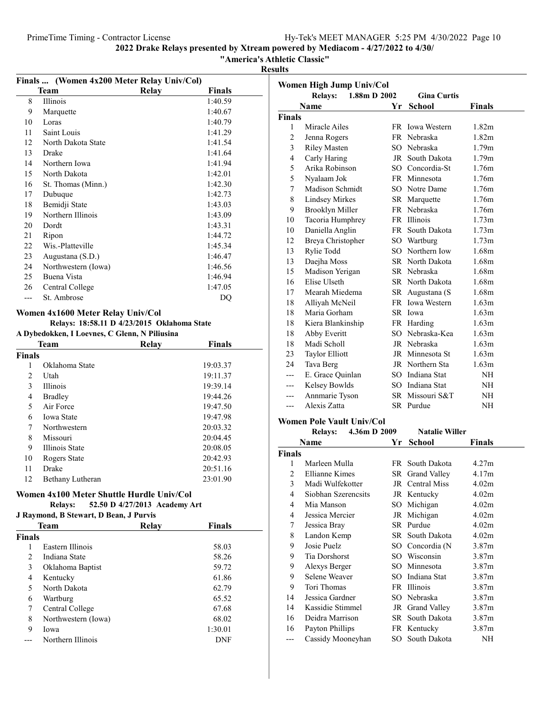"America's Athletic Classic"

Results

|                | Finals  (Women 4x200 Meter Relay Univ/Col)    |              |               |
|----------------|-----------------------------------------------|--------------|---------------|
|                | Team                                          | <b>Relay</b> | <b>Finals</b> |
| 8              | <b>Illinois</b>                               |              | 1:40.59       |
| 9              | Marquette                                     |              | 1:40.67       |
| 10             | Loras                                         |              | 1:40.79       |
| 11             | Saint Louis                                   |              | 1:41.29       |
| 12             | North Dakota State                            |              | 1:41.54       |
| 13             | Drake                                         |              | 1:41.64       |
| 14             | Northern Iowa                                 |              | 1:41.94       |
| 15             | North Dakota                                  |              | 1:42.01       |
| 16             | St. Thomas (Minn.)                            |              | 1:42.30       |
| 17             | Dubuque                                       |              | 1:42.73       |
| 18             | Bemidji State                                 |              | 1:43.03       |
| 19             | Northern Illinois                             |              | 1:43.09       |
| 20             | Dordt                                         |              | 1:43.31       |
| 21             | Ripon                                         |              | 1:44.72       |
| 22             | Wis.-Platteville                              |              | 1:45.34       |
| 23             | Augustana (S.D.)                              |              | 1:46.47       |
| 24             | Northwestern (Iowa)                           |              | 1:46.56       |
| 25             | Buena Vista                                   |              | 1:46.94       |
| 26             | Central College                               |              | 1:47.05       |
| $---$          | St. Ambrose                                   |              | DQ            |
|                | Women 4x1600 Meter Relay Univ/Col             |              |               |
|                | Relays: 18:58.11 D 4/23/2015 Oklahoma State   |              |               |
|                | A Dybedokken, I Loevnes, C Glenn, N Piliusina |              |               |
|                | <b>Team</b>                                   | <b>Relay</b> | <b>Finals</b> |
| Finals         |                                               |              |               |
| 1              | Oklahoma State                                |              | 19:03.37      |
| $\overline{2}$ | Utah                                          |              | 19:11.37      |
| 3              | Illinois                                      |              | 19:39.14      |
| $\overline{4}$ | <b>Bradley</b>                                |              | 19:44.26      |
| 5              | Air Force                                     |              | 19:47.50      |
| 6              | <b>Iowa State</b>                             |              | 19:47.98      |
| 7              | Northwestern                                  |              | 20:03.32      |
| 8              | Missouri                                      |              | 20:04.45      |
| 9              | <b>Illinois</b> State                         |              | 20:08.05      |
| 10             | Rogers State                                  |              | 20:42.93      |
| 11             | Drake                                         |              | 20:51.16      |
| 12             | Bethany Lutheran                              |              | 23:01.90      |
|                | Women 4x100 Meter Shuttle Hurdle Univ/Col     |              |               |

### Relays: 52.50 D 4/27/2013 Academy Art

#### J Raymond, B Stewart, D Bean, J Purvis

| J Raymonu, D Sicwart, D Dean, J I ui vis |                     |       |               |  |  |  |
|------------------------------------------|---------------------|-------|---------------|--|--|--|
|                                          | Team                | Relay | <b>Finals</b> |  |  |  |
| Finals                                   |                     |       |               |  |  |  |
|                                          | Eastern Illinois    |       | 58.03         |  |  |  |
| 2                                        | Indiana State       |       | 58.26         |  |  |  |
| 3                                        | Oklahoma Baptist    |       | 59.72         |  |  |  |
| 4                                        | Kentucky            |       | 61.86         |  |  |  |
| 5                                        | North Dakota        |       | 62.79         |  |  |  |
| 6                                        | Wartburg            |       | 65.52         |  |  |  |
| 7                                        | Central College     |       | 67.68         |  |  |  |
| 8                                        | Northwestern (Iowa) |       | 68.02         |  |  |  |
| 9                                        | Iowa                |       | 1:30.01       |  |  |  |
|                                          | Northern Illinois   |       | DNF           |  |  |  |
|                                          |                     |       |               |  |  |  |

| Women High Jump Univ/Col |                                |    |                        |                   |  |
|--------------------------|--------------------------------|----|------------------------|-------------------|--|
|                          | 1.88m D 2002<br><b>Relays:</b> |    | <b>Gina Curtis</b>     |                   |  |
|                          | <b>Name</b>                    | Yr | <b>School</b>          | <b>Finals</b>     |  |
| Finals                   |                                |    |                        |                   |  |
| 1                        | Miracle Ailes                  |    | FR Iowa Western        | 1.82 <sub>m</sub> |  |
| $\overline{2}$           | Jenna Rogers                   |    | FR Nebraska            | 1.82 <sub>m</sub> |  |
| 3                        | <b>Riley Masten</b>            |    | SO Nebraska            | 1.79 <sub>m</sub> |  |
| 4                        | Carly Haring                   |    | JR South Dakota        | 1.79 <sub>m</sub> |  |
| 5                        | Arika Robinson                 |    | SO Concordia-St        | 1.76m             |  |
| 5                        | Nyalaam Jok                    |    | FR Minnesota           | 1.76m             |  |
| 7                        | Madison Schmidt                |    | SO Notre Dame          | 1.76m             |  |
| 8                        | <b>Lindsey Mirkes</b>          |    | SR Marquette           | 1.76m             |  |
| 9                        | <b>Brooklyn Miller</b>         |    | FR Nebraska            | 1.76m             |  |
| 10                       | Tacoria Humphrey               |    | FR Illinois            | 1.73 <sub>m</sub> |  |
| 10                       | Daniella Anglin                |    | FR South Dakota        | 1.73 <sub>m</sub> |  |
| 12                       | Breya Christopher              |    | SO Wartburg            | 1.73m             |  |
| 13                       | Rylie Todd                     |    | SO Northern Iow        | 1.68m             |  |
| 13                       | Daejha Moss                    |    | <b>SR</b> North Dakota | 1.68m             |  |
| 15                       | Madison Yerigan                |    | SR Nebraska            | 1.68m             |  |
| 16                       | Elise Ulseth                   |    | SR North Dakota        | 1.68m             |  |
| 17                       | Mearah Miedema                 |    | SR Augustana (S        | 1.68m             |  |
| 18                       | Alliyah McNeil                 |    | FR Iowa Western        | 1.63m             |  |
| 18                       | Maria Gorham                   |    | SR Iowa                | 1.63m             |  |
| 18                       | Kiera Blankinship              |    | FR Harding             | 1.63m             |  |
| 18                       | Abby Everitt                   |    | SO Nebraska-Kea        | 1.63m             |  |
| 18                       | Madi Scholl                    |    | JR Nebraska            | 1.63m             |  |
| 23                       | Taylor Elliott                 |    | JR Minnesota St        | 1.63m             |  |
| 24                       | Tava Berg                      |    | JR Northern Sta        | 1.63m             |  |
| ---                      | E. Grace Quinlan               |    | SO Indiana Stat        | NH                |  |
| ---                      | Kelsey Bowlds                  |    | SO Indiana Stat        | NH                |  |
| ---                      | Annmarie Tyson                 |    | SR Missouri S&T        | NH                |  |
| ---                      | Alexis Zatta                   |    | SR Purdue              | NH                |  |
|                          |                                |    |                        |                   |  |

### Women Pole Vault Univ/Col

|                | <b>Relays:</b>       | 4.36m D 2009 |      | <b>Natalie Willer</b> |                   |
|----------------|----------------------|--------------|------|-----------------------|-------------------|
|                | Name                 |              | Yr   | School                | Finals            |
| Finals         |                      |              |      |                       |                   |
| 1              | Marleen Mulla        |              |      | FR South Dakota       | 4.27m             |
| $\overline{c}$ | Ellianne Kimes       |              |      | SR Grand Valley       | 4.17m             |
| 3              | Madi Wulfekotter     |              |      | JR Central Miss       | 4.02m             |
| 4              | Siobhan Szerencsits  |              |      | JR Kentucky           | 4.02 <sub>m</sub> |
| 4              | Mia Manson           |              | SO.  | Michigan              | 4.02m             |
| 4              | Jessica Mercier      |              |      | JR Michigan           | 4.02m             |
| 7              | Jessica Bray         |              |      | SR Purdue             | 4.02m             |
| 8              | Landon Kemp          |              |      | SR South Dakota       | 4.02m             |
| 9              | Josie Puelz          |              |      | SO Concordia (N       | 3.87 <sub>m</sub> |
| 9              | <b>Tia Dorshorst</b> |              | SО   | Wisconsin             | 3.87 <sub>m</sub> |
| 9              | Alexys Berger        |              | SO - | Minnesota             | 3.87 <sub>m</sub> |
| 9              | Selene Weaver        |              | SО   | Indiana Stat          | 3.87 <sub>m</sub> |
| 9              | Tori Thomas          |              |      | FR Illinois           | 3.87 <sub>m</sub> |
| 14             | Jessica Gardner      |              |      | SO Nebraska           | 3.87 <sub>m</sub> |
| 14             | Kassidie Stimmel     |              |      | JR Grand Valley       | 3.87m             |
| 16             | Deidra Marrison      |              |      | SR South Dakota       | 3.87m             |
| 16             | Payton Phillips      |              |      | FR Kentucky           | 3.87m             |
|                | Cassidy Mooneyhan    |              | SO - | South Dakota          | NΗ                |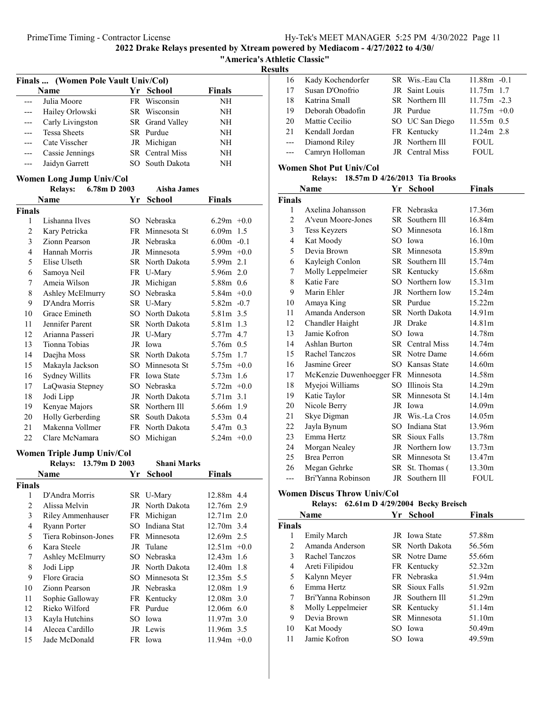| merica's Athletic Classic'' |  |
|-----------------------------|--|

Results

| Finals  (Women Pole Vault Univ/Col) |                     |  |                 |               |  |
|-------------------------------------|---------------------|--|-----------------|---------------|--|
|                                     | <b>Name</b>         |  | Yr School       | <b>Finals</b> |  |
|                                     | Julia Moore         |  | FR Wisconsin    | NH            |  |
| ---                                 | Hailey Orlowski     |  | SR Wisconsin    | NH            |  |
| ---                                 | Carly Livingston    |  | SR Grand Valley | NH            |  |
|                                     | <b>Tessa Sheets</b> |  | SR Purdue       | NH            |  |
|                                     | Cate Visscher       |  | JR Michigan     | NH            |  |
|                                     | Cassie Jennings     |  | SR Central Miss | NH            |  |
|                                     | Jaidyn Garrett      |  | SO South Dakota | NН            |  |

### Women Long Jump Univ/Col

|                | <b>Relays:</b>   | 6.78m D 2003 | <b>Aisha James</b> |               |
|----------------|------------------|--------------|--------------------|---------------|
|                | Name             | Yr           | School             | Finals        |
| <b>Finals</b>  |                  |              |                    |               |
| 1              | Lishanna Ilves   | SO.          | Nebraska           | $6.29m + 0.0$ |
| $\overline{c}$ | Kary Petricka    |              | FR Minnesota St    | $6.09m$ 1.5   |
| 3              | Zionn Pearson    |              | JR Nebraska        | $6.00m - 0.1$ |
| 4              | Hannah Morris    |              | JR Minnesota       | 5.99 $m$ +0.0 |
| 5              | Elise Ulseth     |              | SR North Dakota    | 5.99m 2.1     |
| 6              | Samoya Neil      |              | FR U-Mary          | 5.96m 2.0     |
| 7              | Ameia Wilson     |              | JR Michigan        | 5.88m 0.6     |
| 8              | Ashley McElmurry | SO.          | Nebraska           | $5.84m +0.0$  |
| 9              | D'Andra Morris   |              | SR U-Mary          | $5.82m -0.7$  |
| 10             | Grace Emineth    | SO.          | North Dakota       | 5.81m 3.5     |
| 11             | Jennifer Parent  |              | SR North Dakota    | 5.81m 1.3     |
| 12             | Arianna Passeri  |              | JR U-Mary          | 5.77m 4.7     |
| 13             | Tionna Tobias    |              | JR Iowa            | 5.76m 0.5     |
| 14             | Daejha Moss      |              | SR North Dakota    | 5.75m 1.7     |
| 15             | Makayla Jackson  | SO.          | Minnesota St       | $5.75m +0.0$  |
| 16             | Sydney Willits   |              | FR Iowa State      | 5.73m 1.6     |
| 17             | LaQwasia Stepney | SO.          | Nebraska           | $5.72m +0.0$  |
| 18             | Jodi Lipp        |              | JR North Dakota    | 5.71m 3.1     |
| 19             | Kenyae Majors    |              | SR Northern Ill    | 5.66m 1.9     |
| 20             | Holly Gerberding |              | SR South Dakota    | $5.53m$ 0.4   |
| 21             | Makenna Vollmer  |              | FR North Dakota    | 5.47m 0.3     |
| 22             | Clare McNamara   |              | SO Michigan        | $5.24m +0.0$  |

### Women Triple Jump Univ/Col

|               | Relays: 13.79m D 2003 | <b>Shani Marks</b> |                |  |
|---------------|-----------------------|--------------------|----------------|--|
|               | Name                  | Yr School          | <b>Finals</b>  |  |
| <b>Finals</b> |                       |                    |                |  |
| 1             | D'Andra Morris        | SR U-Mary          | 12.88m 4.4     |  |
| 2             | Alissa Melvin         | JR North Dakota    | 12.76m 2.9     |  |
| 3             | Riley Ammenhauser     | FR Michigan        | $12.71m$ 2.0   |  |
| 4             | Ryann Porter          | SO Indiana Stat    | 12.70m 3.4     |  |
| 5             | Tiera Robinson-Jones  | FR Minnesota       | $12.69m$ 2.5   |  |
| 6             | Kara Steele           | JR Tulane          | $12.51m + 0.0$ |  |
| 7             | Ashley McElmurry      | SO Nebraska        | $12.43m$ 1.6   |  |
| 8             | Jodi Lipp             | JR North Dakota    | $12.40m$ 1.8   |  |
| 9             | Flore Gracia          | SO Minnesota St    | 12.35m 5.5     |  |
| 10            | Zionn Pearson         | JR Nebraska        | 12.08m 1.9     |  |
| 11            | Sophie Galloway       | FR Kentucky        | 12.08m 3.0     |  |
| 12            | Rieko Wilford         | FR Purdue          | 12.06m 6.0     |  |
| 13            | Kayla Hutchins        | SO Iowa            | $11.97m$ 3.0   |  |
| 14            | Alecea Cardillo       | JR Lewis           | 11.96m 3.5     |  |
| 15            | Jade McDonald         | FR Iowa            | $11.94m +0.0$  |  |

| 16                  | Kady Kochendorfer | SR Wis.-Eau Cla | $11.88m - 0.1$ |
|---------------------|-------------------|-----------------|----------------|
| 17                  | Susan D'Onofrio   | JR Saint Louis  | $11.75m$ 1.7   |
| 18                  | Katrina Small     | SR Northern Ill | $11.75m - 2.3$ |
| 19                  | Deborah Obadofin  | JR Purdue       | $11.75m +0.0$  |
| 20                  | Mattie Cecilio    | SO UC San Diego | $11.55m$ 0.5   |
| 21                  | Kendall Jordan    | FR Kentucky     | $11.24m$ 2.8   |
| $---$               | Diamond Riley     | JR Northern Ill | <b>FOUL</b>    |
| $\qquad \qquad - -$ | Camryn Holloman   | JR Central Miss | <b>FOUL</b>    |

### Women Shot Put Univ/Col

### Relays: 18.57m D 4/26/2013 Tia Brooks

|               | Name                               | Yr  | <b>School</b>         | <b>Finals</b> |
|---------------|------------------------------------|-----|-----------------------|---------------|
| <b>Finals</b> |                                    |     |                       |               |
| 1             | Axelina Johansson                  |     | FR Nebraska           | 17.36m        |
| 2             | A'veun Moore-Jones                 |     | SR Southern Ill       | 16.84m        |
| 3             | <b>Tess Keyzers</b>                |     | SO Minnesota          | 16.18m        |
| 4             | Kat Moody                          | SO  | Iowa                  | 16.10m        |
| 5             | Devia Brown                        |     | SR Minnesota          | 15.89m        |
| 6             | Kayleigh Conlon                    |     | SR Southern Ill       | 15.74m        |
| 7             | Molly Leppelmeier                  |     | SR Kentucky           | 15.68m        |
| 8             | Katie Fare                         |     | SO Northern Iow       | 15.31m        |
| 9             | Marin Ehler                        |     | JR Northern Iow       | 15.24m        |
| 10            | Amaya King                         |     | SR Purdue             | 15.22m        |
| 11            | Amanda Anderson                    |     | SR North Dakota       | 14.91m        |
| 12            | Chandler Haight                    |     | JR Drake              | 14.81m        |
| 13            | Jamie Kofron                       |     | SO Iowa               | 14.78m        |
| 14            | Ashlan Burton                      |     | SR Central Miss       | 14.74m        |
| 15            | Rachel Tanczos                     |     | <b>SR</b> Notre Dame  | 14.66m        |
| 16            | Jasmine Greer                      |     | SO Kansas State       | 14.60m        |
| 17            | McKenzie Duwenhoegger FR Minnesota |     |                       | 14.58m        |
| 18            | Myejoi Williams                    | SO. | Illinois Sta          | 14.29m        |
| 19            | Katie Taylor                       |     | SR Minnesota St       | 14.14m        |
| 20            | Nicole Berry                       |     | JR Iowa               | 14.09m        |
| 21            | Skye Digman                        |     | JR Wis.-La Cros       | 14.05m        |
| 22            | Jayla Bynum                        |     | SO Indiana Stat       | 13.96m        |
| 23            | Emma Hertz                         |     | <b>SR</b> Sioux Falls | 13.78m        |
| 24            | Morgan Nealey                      |     | JR Northern Iow       | 13.73m        |
| 25            | <b>Brea Perron</b>                 |     | SR Minnesota St       | 13.47m        |
| 26            | Megan Gehrke                       |     | SR St. Thomas (       | 13.30m        |
| ---           | Bri'Yanna Robinson                 | JR  | Southern Ill          | FOUL          |

### Women Discus Throw Univ/Col

### Relays: 62.61m D 4/29/2004 Becky Breisch

|               | <b>Name</b>        | Yr School             | <b>Finals</b> |
|---------------|--------------------|-----------------------|---------------|
| <b>Finals</b> |                    |                       |               |
| 1             | <b>Emily March</b> | JR Iowa State         | 57.88m        |
| 2             | Amanda Anderson    | SR North Dakota       | 56.56m        |
| 3             | Rachel Tanczos     | <b>SR</b> Notre Dame  | 55.66m        |
| 4             | Areti Filipidou    | FR Kentucky           | 52.32m        |
| 5             | Kalynn Meyer       | FR Nebraska           | 51.94m        |
| 6             | Emma Hertz         | <b>SR</b> Sioux Falls | 51.92m        |
| 7             | Bri'Yanna Robinson | JR Southern Ill       | 51.29m        |
| 8             | Molly Leppelmeier  | SR Kentucky           | 51.14m        |
| 9             | Devia Brown        | SR Minnesota          | 51.10m        |
| 10            | Kat Moody          | SO Iowa               | 50.49m        |
| 11            | Jamie Kofron       | SO Iowa               | 49.59m        |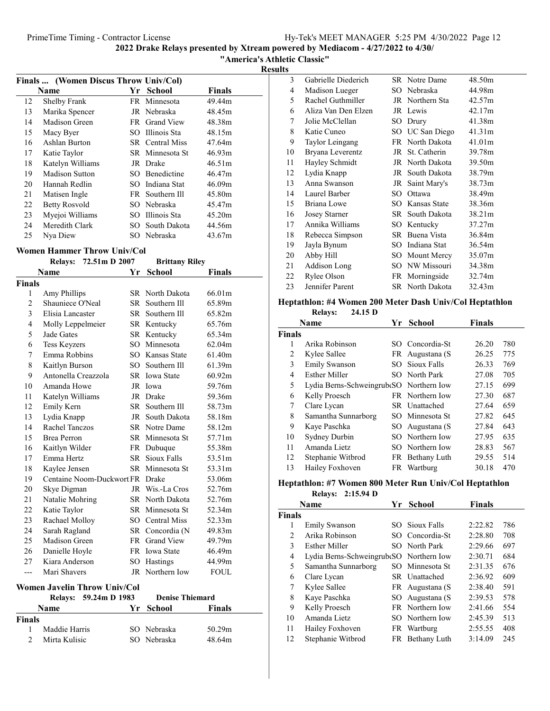"America's Athletic Classic"

Results

|    | Finals  (Women Discus Throw Univ/Col) |      |                 |               |  |
|----|---------------------------------------|------|-----------------|---------------|--|
|    | Name                                  | Yr - | <b>School</b>   | <b>Finals</b> |  |
| 12 | Shelby Frank                          |      | FR Minnesota    | 49.44m        |  |
| 13 | Marika Spencer                        |      | JR Nebraska     | 48.45m        |  |
| 14 | Madison Green                         |      | FR Grand View   | 48.38m        |  |
| 15 | Macy Byer                             |      | SO Illinois Sta | 48.15m        |  |
| 16 | Ashlan Burton                         |      | SR Central Miss | 47.64m        |  |
| 17 | Katie Taylor                          |      | SR Minnesota St | 46.93m        |  |
| 18 | Katelyn Williams                      |      | JR Drake        | 46.51m        |  |
| 19 | Madison Sutton                        |      | SO Benedictine  | 46.47m        |  |
| 20 | Hannah Redlin                         |      | SO Indiana Stat | 46.09m        |  |
| 21 | Matisen Ingle                         |      | FR Southern Ill | 45.80m        |  |
| 22 | <b>Betty Rosvold</b>                  |      | SO Nebraska     | 45.47m        |  |
| 23 | Myejoi Williams                       |      | SO Illinois Sta | 45.20m        |  |
| 24 | Meredith Clark                        |      | SO South Dakota | 44.56m        |  |
| 25 | Nya Diew                              |      | SO Nebraska     | 43.67m        |  |

#### Women Hammer Throw Univ/Col

Relays: 72.51m D 2007 Brittany Riley

|                | Name                      | Yr   | <b>School</b>          | <b>Finals</b> |
|----------------|---------------------------|------|------------------------|---------------|
| <b>Finals</b>  |                           |      |                        |               |
| 1              | Amy Phillips              |      | SR North Dakota        | 66.01m        |
| $\overline{c}$ | Shauniece O'Neal          | SR   | Southern Ill           | 65.89m        |
| 3              | Elisia Lancaster          | SR - | Southern Ill           | 65.82m        |
| 4              | Molly Leppelmeier         |      | SR Kentucky            | 65.76m        |
| 5              | Jade Gates                | SR   | Kentucky               | 65.34m        |
| 6              | <b>Tess Keyzers</b>       | SO   | Minnesota              | 62.04m        |
| 7              | Emma Robbins              |      | <b>SO</b> Kansas State | 61.40m        |
| 8              | Kaitlyn Burson            |      | SO Southern Ill        | 61.39m        |
| 9              | Antonella Creazzola       |      | SR Iowa State          | 60.92m        |
| 10             | Amanda Howe               |      | JR Iowa                | 59.76m        |
| 11             | Katelyn Williams          |      | JR Drake               | 59.36m        |
| 12             | Emily Kern                |      | SR Southern Ill        | 58.73m        |
| 13             | Lydia Knapp               | JR   | South Dakota           | 58.18m        |
| 14             | Rachel Tanczos            |      | SR Notre Dame          | 58.12m        |
| 15             | <b>Brea Perron</b>        |      | SR Minnesota St        | 57.71m        |
| 16             | Kaitlyn Wilder            |      | FR Dubuque             | 55.38m        |
| 17             | Emma Hertz                | SR   | Sioux Falls            | 53.51m        |
| 18             | Kaylee Jensen             |      | SR Minnesota St        | 53.31m        |
| 19             | Centaine Noom-Duckwort FR |      | Drake                  | 53.06m        |
| 20             | Skye Digman               | JR   | Wis.-La Cros           | 52.76m        |
| 21             | Natalie Mohring           | SR   | North Dakota           | 52.76m        |
| 22             | Katie Taylor              | SR   | Minnesota St           | 52.34m        |
| 23             | Rachael Molloy            | SО   | Central Miss           | 52.33m        |
| 24             | Sarah Ragland             |      | SR Concordia (N        | 49.83m        |
| 25             | Madison Green             | FR - | <b>Grand View</b>      | 49.79m        |
| 26             | Danielle Hoyle            |      | FR Iowa State          | 46.49m        |
| 27             | Kiara Anderson            | SO   | Hastings               | 44.99m        |
| ---            | Mari Shavers              | JR   | Northern Iow           | FOUL          |

### Women Javelin Throw Univ/Col

|        | Relays: 59.24m D 1983 | <b>Denise Thiemard</b> |        |
|--------|-----------------------|------------------------|--------|
|        | <b>Name</b>           | Yr School              | Finals |
| Finals |                       |                        |        |
|        | Maddie Harris         | SO Nebraska            | 50.29m |
|        | Mirta Kulisic         | SO Nebraska            | 48.64m |

| 3  | Gabrielle Diederich  |      | SR Notre Dame   | 48.50m |
|----|----------------------|------|-----------------|--------|
| 4  | Madison Lueger       |      | SO Nebraska     | 44.98m |
| 5  | Rachel Guthmiller    |      | JR Northern Sta | 42.57m |
| 6  | Aliza Van Den Elzen  |      | JR Lewis        | 42.17m |
| 7  | Jolie McClellan      | SO   | Drury           | 41.38m |
| 8  | Katie Cuneo          |      | SO UC San Diego | 41.31m |
| 9  | Taylor Leingang      |      | FR North Dakota | 41.01m |
| 10 | Bryana Leverentz     | JR   | St. Catherin    | 39.78m |
| 11 | Hayley Schmidt       |      | JR North Dakota | 39.50m |
| 12 | Lydia Knapp          | JR   | South Dakota    | 38.79m |
| 13 | Anna Swanson         | JR   | Saint Mary's    | 38.73m |
| 14 | Laurel Barber        | SO.  | Ottawa          | 38.49m |
| 15 | Briana Lowe          | SO.  | Kansas State    | 38.36m |
| 16 | <b>Josey Starner</b> | SR - | South Dakota    | 38.21m |
| 17 | Annika Williams      | SO.  | Kentucky        | 37.27m |
| 18 | Rebecca Simpson      |      | SR Buena Vista  | 36.84m |
| 19 | Jayla Bynum          | SO.  | Indiana Stat    | 36.54m |
| 20 | Abby Hill            |      | SO Mount Mercy  | 35.07m |
| 21 | Addison Long         | SO.  | NW Missouri     | 34.38m |
| 22 | Rylee Olson          |      | FR Morningside  | 32.74m |
| 23 | Jennifer Parent      |      | SR North Dakota | 32.43m |
|    |                      |      |                 |        |

#### Heptathlon: #4 Women 200 Meter Dash Univ/Col Heptathlon  $84.15<sub>D</sub>$

|               | <b>Relays:</b><br>24.15 D               |    |                       |               |     |
|---------------|-----------------------------------------|----|-----------------------|---------------|-----|
|               | Name                                    | Yr | <b>School</b>         | <b>Finals</b> |     |
| <b>Finals</b> |                                         |    |                       |               |     |
| 1             | Arika Robinson                          |    | SO Concordia-St       | 26.20         | 780 |
| 2             | Kylee Sallee                            |    | FR Augustana (S       | 26.25         | 775 |
| 3             | <b>Emily Swanson</b>                    |    | <b>SO</b> Sioux Falls | 26.33         | 769 |
| 4             | <b>Esther Miller</b>                    |    | SO North Park         | 27.08         | 705 |
| 5             | Lydia Berns-SchweingrubeSO Northern Iow |    |                       | 27.15         | 699 |
| 6             | Kelly Proesch                           |    | FR Northern Iow       | 27.30         | 687 |
| 7             | Clare Lycan                             |    | SR Unattached         | 27.64         | 659 |
| 8             | Samantha Sunnarborg                     |    | SO Minnesota St       | 27.82         | 645 |
| 9             | Kaye Paschka                            |    | SO Augustana (S       | 27.84         | 643 |
| 10            | Sydney Durbin                           |    | SO Northern Iow       | 27.95         | 635 |
| 11            | Amanda Lietz                            |    | SO Northern Iow       | 28.83         | 567 |
| 12            | Stephanie Witbrod                       |    | FR Bethany Luth       | 29.55         | 514 |
| 13            | Hailey Foxhoven                         |    | FR Wartburg           | 30.18         | 470 |

### Heptathlon: #7 Women 800 Meter Run Univ/Col Heptathlon

Relays: 2:15.94 D

|               | <b>Name</b>                             | Yr | School                | <b>Finals</b> |     |
|---------------|-----------------------------------------|----|-----------------------|---------------|-----|
| <b>Finals</b> |                                         |    |                       |               |     |
| 1             | <b>Emily Swanson</b>                    |    | <b>SO</b> Sioux Falls | 2:22.82       | 786 |
| 2             | Arika Robinson                          |    | SO Concordia-St       | 2:28.80       | 708 |
| 3             | <b>Esther Miller</b>                    |    | SO North Park         | 2:29.66       | 697 |
| 4             | Lydia Berns-SchweingrubeSO Northern Iow |    |                       | 2:30.71       | 684 |
| 5             | Samantha Sunnarborg                     |    | SO Minnesota St       | 2:31.35       | 676 |
| 6             | Clare Lycan                             |    | SR Unattached         | 2:36.92       | 609 |
| 7             | Kylee Sallee                            |    | FR Augustana (S       | 2:38.40       | 591 |
| 8             | Kaye Paschka                            |    | SO Augustana (S       | 2:39.53       | 578 |
| 9             | Kelly Proesch                           |    | FR Northern Iow       | 2:41.66       | 554 |
| 10            | Amanda Lietz                            |    | SO Northern Iow       | 2:45.39       | 513 |
| 11            | Hailey Foxhoven                         |    | FR Wartburg           | 2:55.55       | 408 |
| 12            | Stephanie Witbrod                       |    | FR Bethany Luth       | 3:14.09       | 245 |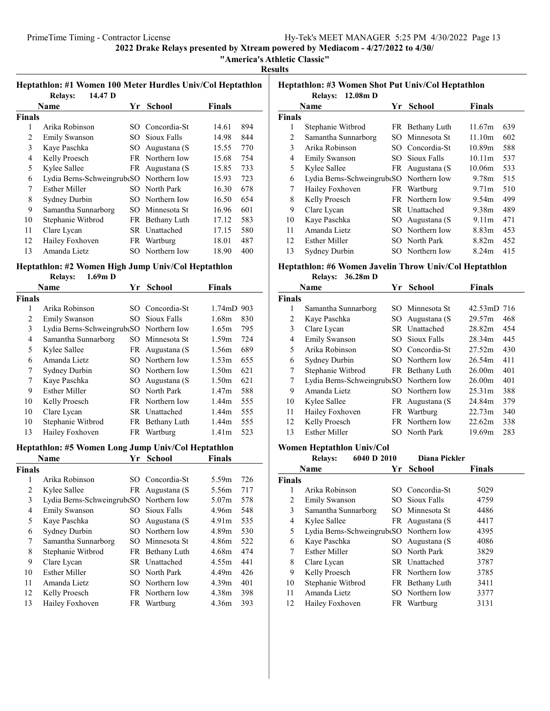### "America's Athletic Classic"

### Results

### Heptathlon: #1 Women 100 Meter Hurdles Univ/Col Heptathlon

| 14.47 D<br><b>Relays:</b> |             |               |                                                                                                                                                                                                                                               |     |
|---------------------------|-------------|---------------|-----------------------------------------------------------------------------------------------------------------------------------------------------------------------------------------------------------------------------------------------|-----|
|                           | Yr          | <b>School</b> | <b>Finals</b>                                                                                                                                                                                                                                 |     |
|                           |             |               |                                                                                                                                                                                                                                               |     |
| Arika Robinson            |             |               | 14.61                                                                                                                                                                                                                                         | 894 |
| <b>Emily Swanson</b>      |             |               | 14.98                                                                                                                                                                                                                                         | 844 |
| Kaye Paschka              | SO.         |               | 15.55                                                                                                                                                                                                                                         | 770 |
| Kelly Proesch             |             |               | 15.68                                                                                                                                                                                                                                         | 754 |
| Kylee Sallee              |             |               | 15.85                                                                                                                                                                                                                                         | 733 |
|                           |             |               | 15.93                                                                                                                                                                                                                                         | 723 |
| <b>Esther Miller</b>      |             |               | 16.30                                                                                                                                                                                                                                         | 678 |
| Sydney Durbin             |             |               | 16.50                                                                                                                                                                                                                                         | 654 |
| Samantha Sunnarborg       | SO.         |               | 16.96                                                                                                                                                                                                                                         | 601 |
| Stephanie Witbrod         |             |               | 17.12                                                                                                                                                                                                                                         | 583 |
| Clare Lycan               |             |               | 17.15                                                                                                                                                                                                                                         | 580 |
| Hailey Foxhoven           | FR.         | Wartburg      | 18.01                                                                                                                                                                                                                                         | 487 |
| Amanda Lietz              |             |               | 18.90                                                                                                                                                                                                                                         | 400 |
|                           | <b>Name</b> |               | SO Concordia-St<br>SO Sioux Falls<br>Augustana (S<br>FR Northern Iow<br>FR Augustana (S<br>Lydia Berns-SchweingrubeSO Northern Iow<br>SO North Park<br>SO Northern Iow<br>Minnesota St<br>FR Bethany Luth<br>SR Unattached<br>SO Northern Iow |     |

### Heptathlon: #2 Women High Jump Univ/Col Heptathlon

### Relays: 1.69m D

|        | Name                                    | Yr | <b>School</b>   | <b>Finals</b>        |     |
|--------|-----------------------------------------|----|-----------------|----------------------|-----|
| Finals |                                         |    |                 |                      |     |
| 1      | Arika Robinson                          |    | SO Concordia-St | $1.74 \text{m}D$ 903 |     |
| 2      | <b>Emily Swanson</b>                    |    | SO Sioux Falls  | 1.68m                | 830 |
| 3      | Lydia Berns-Schweingrub SO Northern Iow |    |                 | 1.65m                | 795 |
| 4      | Samantha Sunnarborg                     |    | SO Minnesota St | 1.59m                | 724 |
| 5      | Kylee Sallee                            |    | FR Augustana (S | 1.56m                | 689 |
| 6      | Amanda Lietz                            |    | SO Northern Iow | 1.53m                | 655 |
| 7      | Sydney Durbin                           |    | SO Northern Iow | 1.50m                | 621 |
| 7      | Kaye Paschka                            |    | SO Augustana (S | 1.50 <sub>m</sub>    | 621 |
| 9      | <b>Esther Miller</b>                    |    | SO North Park   | 1.47m                | 588 |
| 10     | Kelly Proesch                           |    | FR Northern Iow | 1.44m                | 555 |
| 10     | Clare Lycan                             |    | SR Unattached   | 1.44m                | 555 |
| 10     | Stephanie Witbrod                       |    | FR Bethany Luth | 1.44m                | 555 |
| 13     | Hailey Foxhoven                         |    | FR Wartburg     | 1.41 <sub>m</sub>    | 523 |

# Heptathlon: #5 Women Long Jump Univ/Col Heptathlon

### Yr School Finals

| <b>Finals</b> |                                         |                       |                   |     |
|---------------|-----------------------------------------|-----------------------|-------------------|-----|
| 1             | Arika Robinson                          | SO Concordia-St       | 5.59m             | 726 |
| 2             | Kylee Sallee                            | FR Augustana (S       | 5.56m             | 717 |
| 3             | Lydia Berns-Schweingrub SO Northern Iow |                       | 5.07m             | 578 |
| 4             | <b>Emily Swanson</b>                    | <b>SO</b> Sioux Falls | 4.96m             | 548 |
| 5             | Kaye Paschka                            | SO Augustana (S       | 4.91 <sub>m</sub> | 535 |
| 6             | Sydney Durbin                           | SO Northern Iow       | 4.89m             | 530 |
| 7             | Samantha Sunnarborg                     | SO Minnesota St       | 4.86m             | 522 |
| 8             | Stephanie Witbrod                       | FR Bethany Luth       | 4.68m             | 474 |
| 9             | Clare Lycan                             | SR Unattached         | 4.55m             | 441 |
| 10            | Esther Miller                           | SO North Park         | 4.49m             | 426 |
| 11            | Amanda Lietz                            | SO Northern Iow       | 4.39m             | 401 |
| 12            | Kelly Proesch                           | FR Northern Iow       | 4.38m             | 398 |
| 13            | Hailey Foxhoven                         | FR Wartburg           | 4.36m             | 393 |

### Heptathlon: #3 Women Shot Put Univ/Col Heptathlon

|        | $12.08m$ D<br><b>Relays:</b>             |    |                 |                   |     |
|--------|------------------------------------------|----|-----------------|-------------------|-----|
|        | Name                                     | Yr | <b>School</b>   | <b>Finals</b>     |     |
| Finals |                                          |    |                 |                   |     |
| 1      | Stephanie Witbrod                        |    | FR Bethany Luth | 11.67m            | 639 |
| 2      | Samantha Sunnarborg                      |    | SO Minnesota St | 11.10m            | 602 |
| 3      | Arika Robinson                           |    | SO Concordia-St | 10.89m            | 588 |
| 4      | <b>Emily Swanson</b>                     |    | SO Sioux Falls  | 10.11m            | 537 |
| 5      | Kylee Sallee                             |    | FR Augustana (S | 10.06m            | 533 |
| 6      | Lydia Berns-Schweingrube SO Northern Iow |    |                 | 9.78m             | 515 |
| 7      | Hailey Foxhoven                          |    | FR Wartburg     | 9.71 <sub>m</sub> | 510 |
| 8      | Kelly Proesch                            |    | FR Northern Iow | 9.54m             | 499 |
| 9      | Clare Lycan                              |    | SR Unattached   | 9.38m             | 489 |
| 10     | Kaye Paschka                             |    | SO Augustana (S | 9.11 <sub>m</sub> | 471 |
| 11     | Amanda Lietz                             |    | SO Northern Iow | 8.83m             | 453 |
| 12     | Esther Miller                            |    | SO North Park   | 8.82m             | 452 |
| 13     | Sydney Durbin                            |    | SO Northern Iow | 8.24m             | 415 |

#### Heptathlon: #6 Women Javelin Throw Univ/Col Heptathlon Relays: 36.28m D

|  | Relays: 30.2011 D |  |
|--|-------------------|--|
|--|-------------------|--|

|        | Name                                     | Yr | <b>School</b>   | <b>Finals</b>      |     |
|--------|------------------------------------------|----|-----------------|--------------------|-----|
| Finals |                                          |    |                 |                    |     |
| 1      | Samantha Sunnarborg                      |    | SO Minnesota St | 42.53mD 716        |     |
| 2      | Kaye Paschka                             |    | SO Augustana (S | 29.57m             | 468 |
| 3      | Clare Lycan                              |    | SR Unattached   | 28.82m             | 454 |
| 4      | <b>Emily Swanson</b>                     |    | SO Sioux Falls  | 28.34m             | 445 |
| 5      | Arika Robinson                           |    | SO Concordia-St | 27.52m             | 430 |
| 6      | Sydney Durbin                            |    | SO Northern Iow | 26.54m             | 411 |
| 7      | Stephanie Witbrod                        |    | FR Bethany Luth | 26.00 <sub>m</sub> | 401 |
| 7      | Lydia Berns-Schweingrube SO Northern Iow |    |                 | 26.00 <sub>m</sub> | 401 |
| 9      | Amanda Lietz                             |    | SO Northern Iow | 25.31m             | 388 |
| 10     | Kylee Sallee                             |    | FR Augustana (S | 24.84m             | 379 |
| 11     | Hailey Foxhoven                          |    | FR Wartburg     | 22.73m             | 340 |
| 12     | Kelly Proesch                            |    | FR Northern Iow | 22.62m             | 338 |
| 13     | <b>Esther Miller</b>                     |    | SO North Park   | 19.69m             | 283 |

### Women Heptathlon Univ/Col

|        | <b>Relays:</b>       | 6040 D 2010 |    | Diana Pickler                           |               |  |
|--------|----------------------|-------------|----|-----------------------------------------|---------------|--|
|        | Name                 |             | Yr | <b>School</b>                           | <b>Finals</b> |  |
| Finals |                      |             |    |                                         |               |  |
| 1      | Arika Robinson       |             |    | SO Concordia-St                         | 5029          |  |
| 2      | <b>Emily Swanson</b> |             |    | SO Sioux Falls                          | 4759          |  |
| 3      | Samantha Sunnarborg  |             |    | SO Minnesota St                         | 4486          |  |
| 4      | Kylee Sallee         |             |    | FR Augustana (S                         | 4417          |  |
| 5      |                      |             |    | Lydia Berns-SchweingrubeSO Northern Iow | 4395          |  |
| 6      | Kaye Paschka         |             |    | SO Augustana (S                         | 4086          |  |
| 7      | <b>Esther Miller</b> |             |    | SO North Park                           | 3829          |  |
| 8      | Clare Lycan          |             |    | SR Unattached                           | 3787          |  |
| 9      | Kelly Proesch        |             |    | FR Northern Iow                         | 3785          |  |
| 10     | Stephanie Witbrod    |             |    | FR Bethany Luth                         | 3411          |  |
| 11     | Amanda Lietz         |             |    | SO Northern Iow                         | 3377          |  |
| 12     | Hailey Foxhoven      |             |    | FR Wartburg                             | 3131          |  |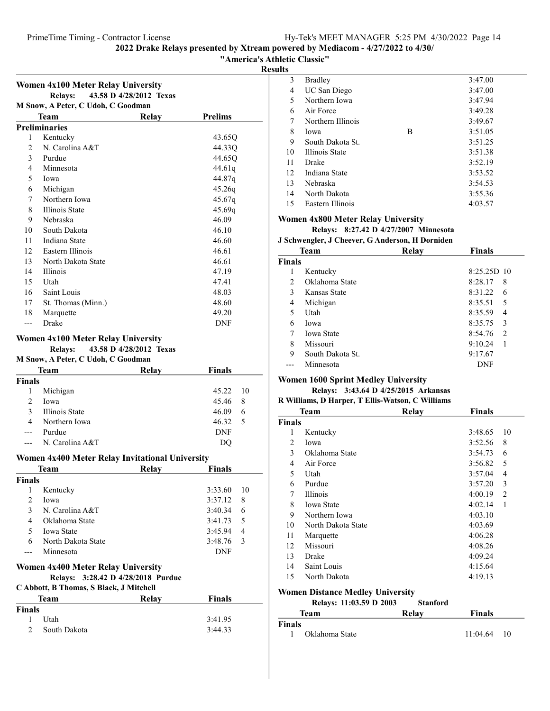### "America's Athletic Classic"

Results

| Women 4x100 Meter Relay University |                                    |                         |                |  |
|------------------------------------|------------------------------------|-------------------------|----------------|--|
|                                    | <b>Relays:</b>                     | 43.58 D 4/28/2012 Texas |                |  |
|                                    | M Snow, A Peter, C Udoh, C Goodman |                         |                |  |
|                                    | Team                               | Relay                   | <b>Prelims</b> |  |
|                                    | <b>Preliminaries</b>               |                         |                |  |
| 1                                  | Kentucky                           |                         | 43.65O         |  |
| 2                                  | N. Carolina A&T                    |                         | 44.33Q         |  |
| 3                                  | Purdue                             |                         | 44.65Q         |  |
| 4                                  | Minnesota                          |                         | 44.61q         |  |
| 5                                  | Iowa                               |                         | 44.87q         |  |
| 6                                  | Michigan                           |                         | 45.26q         |  |
| $\tau$                             | Northern Iowa                      |                         | 45.67q         |  |
| 8                                  | <b>Illinois State</b>              |                         | 45.69q         |  |
| 9                                  | Nebraska                           |                         | 46.09          |  |
| 10                                 | South Dakota                       |                         | 46.10          |  |
| 11                                 | Indiana State                      |                         | 46.60          |  |
| 12                                 | Eastern Illinois                   |                         | 46.61          |  |
| 13                                 | North Dakota State                 |                         | 46.61          |  |
| 14                                 | <b>Illinois</b>                    |                         | 47.19          |  |
| 15                                 | Utah                               |                         | 47.41          |  |
| 16                                 | Saint Louis                        |                         | 48.03          |  |
| 17                                 | St. Thomas (Minn.)                 |                         | 48.60          |  |
| 18                                 | Marquette                          |                         | 49.20          |  |
|                                    | Drake                              |                         | DNF            |  |

### Women 4x100 Meter Relay University

Relays: 43.58 D 4/28/2012 Texas

#### M Snow, A Peter, C Udoh, C Goodman

| Team          |                 | Relay | <b>Finals</b> |     |
|---------------|-----------------|-------|---------------|-----|
| <b>Finals</b> |                 |       |               |     |
| 1             | Michigan        |       | 45.22 10      |     |
| 2             | Iowa            |       | 45.46         | - 8 |
| 3             | Illinois State  |       | 46.09         | 6   |
| 4             | Northern Iowa   |       | 46.32         | - 5 |
|               | Purdue          |       | <b>DNF</b>    |     |
|               | N. Carolina A&T |       | DO            |     |
|               |                 |       |               |     |

#### Women 4x400 Meter Relay Invitational University

|        | Team               | Relay | Finals  |                |
|--------|--------------------|-------|---------|----------------|
| Finals |                    |       |         |                |
|        | Kentucky           |       | 3:33.60 | - 10           |
| 2      | Iowa               |       | 3:37.12 | - 8            |
| 3      | N. Carolina A&T    |       | 3:40.34 | 6              |
| 4      | Oklahoma State     |       | 3:41.73 | - 5            |
| 5      | <b>Iowa State</b>  |       | 3:45.94 | $\overline{4}$ |
| 6      | North Dakota State |       | 3:48.76 | $\overline{3}$ |
|        | Minnesota          |       | DNF     |                |

### Women 4x400 Meter Relay University Relays: 3:28.42 D 4/28/2018 Purdue

C Abbott, B Thomas, S Black, J Mitchell

|               | C Abbott, B Thomas, S Black, J Mitchell |       |         |  |  |
|---------------|-----------------------------------------|-------|---------|--|--|
|               | Team                                    | Relav | Finals  |  |  |
| <b>Finals</b> |                                         |       |         |  |  |
|               | Utah                                    |       | 3:41.95 |  |  |
| $\mathcal{D}$ | South Dakota                            |       | 3:44.33 |  |  |
|               |                                         |       |         |  |  |

| 3  | <b>Bradley</b>    |   | 3:47.00 |
|----|-------------------|---|---------|
| 4  | UC San Diego      |   | 3:47.00 |
| 5  | Northern Iowa     |   | 3:47.94 |
| 6  | Air Force         |   | 3:49.28 |
| 7  | Northern Illinois |   | 3:49.67 |
| 8  | Iowa              | В | 3:51.05 |
| 9  | South Dakota St.  |   | 3:51.25 |
| 10 | Illinois State    |   | 3:51.38 |
| 11 | Drake             |   | 3:52.19 |
| 12 | Indiana State     |   | 3:53.52 |
| 13 | Nebraska          |   | 3:54.53 |
| 14 | North Dakota      |   | 3:55.36 |
| 15 | Eastern Illinois  |   | 4:03.57 |
|    |                   |   |         |

### Women 4x800 Meter Relay University

Relays: 8:27.42 D 4/27/2007 Minnesota

### J Schwengler, J Cheever, G Anderson, H Dorniden

|               | Team              | Relay | <b>Finals</b>             |
|---------------|-------------------|-------|---------------------------|
| <b>Finals</b> |                   |       |                           |
|               | Kentucky          |       | $8:25.25D$ 10             |
| 2             | Oklahoma State    |       | 8:28.17<br>8              |
| 3             | Kansas State      |       | 8:31.22<br>6              |
| 4             | Michigan          |       | 8:35.51<br>5              |
| 5             | Utah              |       | 8:35.59<br>4              |
| 6             | Iowa              |       | 3<br>8:35.75              |
| 7             | <b>Iowa State</b> |       | $\mathfrak{D}$<br>8:54.76 |
| 8             | Missouri          |       | 9:10.24<br>1              |
| 9             | South Dakota St.  |       | 9:17.67                   |
|               | Minnesota         |       | DNF                       |

### Women 1600 Sprint Medley University

#### Relays: 3:43.64 D 4/25/2015 Arkansas R Williams, D Harper, T Ellis-Watson, C Williams

|               | $\bf{R}$ williams, D Harper, T Ems-watson, C williams |       |               |    |  |  |
|---------------|-------------------------------------------------------|-------|---------------|----|--|--|
|               | <b>Team</b>                                           | Relay | <b>Finals</b> |    |  |  |
| <b>Finals</b> |                                                       |       |               |    |  |  |
| 1             | Kentucky                                              |       | 3:48.65       | 10 |  |  |
| 2             | Iowa                                                  |       | 3:52.56       | 8  |  |  |
| 3             | Oklahoma State                                        |       | 3:54.73       | 6  |  |  |
| 4             | Air Force                                             |       | 3:56.82       | 5  |  |  |
| 5             | Utah                                                  |       | 3:57.04       | 4  |  |  |
| 6             | Purdue                                                |       | 3:57.20       | 3  |  |  |
| 7             | Illinois                                              |       | 4:00.19       | 2  |  |  |
| 8             | <b>Iowa State</b>                                     |       | 4:02.14       | 1  |  |  |
| 9             | Northern Iowa                                         |       | 4:03.10       |    |  |  |
| 10            | North Dakota State                                    |       | 4:03.69       |    |  |  |
| 11            | Marquette                                             |       | 4:06.28       |    |  |  |
| 12            | Missouri                                              |       | 4:08.26       |    |  |  |
| 13            | Drake                                                 |       | 4:09.24       |    |  |  |
| 14            | Saint Louis                                           |       | 4:15.64       |    |  |  |
| 15            | North Dakota                                          |       | 4:19.13       |    |  |  |

### Women Distance Medley University

| Relays: 11:03.59 D 2003 | <b>Stanford</b> |  |
|-------------------------|-----------------|--|

|        | Team           | Relav | <b>Finals</b> |     |
|--------|----------------|-------|---------------|-----|
| Finals |                |       |               |     |
|        | Oklahoma State |       | 11:04.64      | -10 |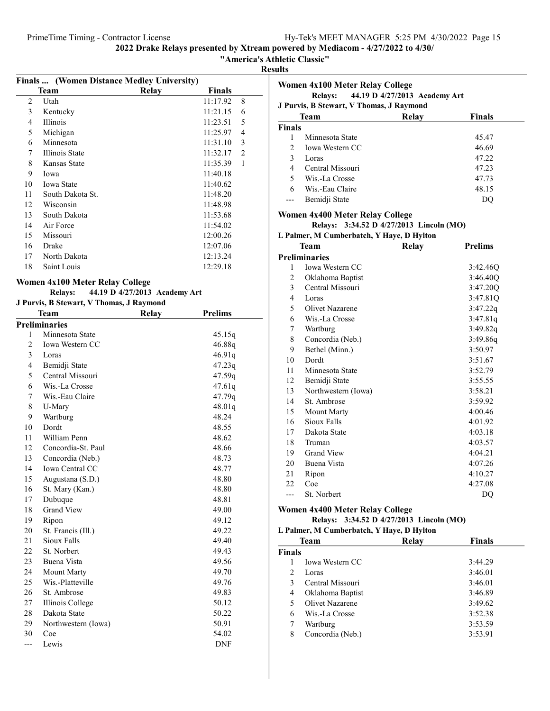"America's Athletic Classic"

Results

|    | <b>Finals </b> (Women Distance Medley University) |       |          |                |
|----|---------------------------------------------------|-------|----------|----------------|
|    | Team                                              | Relay | Finals   |                |
| 2  | Utah                                              |       | 11:17.92 | 8              |
| 3  | Kentucky                                          |       | 11:21.15 | 6              |
| 4  | <b>Illinois</b>                                   |       | 11:23.51 | 5              |
| 5  | Michigan                                          |       | 11:25.97 | 4              |
| 6  | Minnesota                                         |       | 11:31.10 | 3              |
| 7  | Illinois State                                    |       | 11:32.17 | $\mathfrak{D}$ |
| 8  | Kansas State                                      |       | 11:35.39 | 1              |
| 9  | Iowa                                              |       | 11:40.18 |                |
| 10 | <b>Iowa State</b>                                 |       | 11:40.62 |                |
| 11 | South Dakota St.                                  |       | 11:48.20 |                |
| 12 | Wisconsin                                         |       | 11:48.98 |                |
| 13 | South Dakota                                      |       | 11:53.68 |                |
| 14 | Air Force                                         |       | 11:54.02 |                |
| 15 | Missouri                                          |       | 12:00.26 |                |
| 16 | Drake                                             |       | 12:07.06 |                |
| 17 | North Dakota                                      |       | 12:13.24 |                |
| 18 | Saint Louis                                       |       | 12:29.18 |                |
|    |                                                   |       |          |                |

### Women 4x100 Meter Relay College

### Relays: 44.19 D 4/27/2013 Academy Art

### J Purvis, B Stewart, V Thomas, J Raymond

|                | Team                 | <b>Relay</b> | <b>Prelims</b> |
|----------------|----------------------|--------------|----------------|
|                | <b>Preliminaries</b> |              |                |
| 1              | Minnesota State      |              | 45.15q         |
| $\overline{c}$ | Iowa Western CC      |              | 46.88q         |
| 3              | Loras                |              | 46.91q         |
| $\overline{4}$ | Bemidji State        |              | 47.23q         |
| 5              | Central Missouri     |              | 47.59q         |
| 6              | Wis.-La Crosse       |              | 47.61q         |
| 7              | Wis.-Eau Claire      |              | 47.79q         |
| 8              | U-Mary               |              | 48.01q         |
| 9              | Wartburg             |              | 48.24          |
| 10             | Dordt                |              | 48.55          |
| 11             | William Penn         |              | 48.62          |
| 12             | Concordia-St. Paul   |              | 48.66          |
| 13             | Concordia (Neb.)     |              | 48.73          |
| 14             | Iowa Central CC      |              | 48.77          |
| 15             | Augustana (S.D.)     |              | 48.80          |
| 16             | St. Mary (Kan.)      |              | 48.80          |
| 17             | Dubuque              |              | 48.81          |
| 18             | <b>Grand View</b>    |              | 49.00          |
| 19             | Ripon                |              | 49.12          |
| 20             | St. Francis (Ill.)   |              | 49.22          |
| 21             | Sioux Falls          |              | 49.40          |
| 22             | St. Norbert          |              | 49.43          |
| 23             | Buena Vista          |              | 49.56          |
| 24             | <b>Mount Marty</b>   |              | 49.70          |
| 25             | Wis.-Platteville     |              | 49.76          |
| 26             | St. Ambrose          |              | 49.83          |
| 27             | Illinois College     |              | 50.12          |
| 28             | Dakota State         |              | 50.22          |
| 29             | Northwestern (Iowa)  |              | 50.91          |
| 30             | Coe                  |              | 54.02          |
| ---            | Lewis                |              | DNF            |

|                | Women 4x100 Meter Relay College           |                               |                |
|----------------|-------------------------------------------|-------------------------------|----------------|
|                | <b>Relays:</b>                            | 44.19 D 4/27/2013 Academy Art |                |
|                | J Purvis, B Stewart, V Thomas, J Raymond  |                               |                |
|                | Team                                      | Relav                         | <b>Finals</b>  |
| <b>Finals</b>  |                                           |                               |                |
| 1              | Minnesota State                           |                               | 45.47          |
| $\overline{c}$ | <b>Iowa Western CC</b>                    |                               | 46.69          |
| 3              | Loras                                     |                               | 47.22          |
| 4              | Central Missouri                          |                               | 47.23          |
| 5              | Wis.-La Crosse                            |                               | 47.73          |
| 6              | Wis.-Eau Claire                           |                               | 48.15          |
| ---            | Bemidji State                             |                               | DQ             |
|                | <b>Women 4x400 Meter Relay College</b>    |                               |                |
|                | Relays: 3:34.52 D 4/27/2013 Lincoln (MO)  |                               |                |
|                | L Palmer, M Cumberbatch, Y Haye, D Hylton |                               |                |
|                | <b>Team</b>                               | Relay                         | <b>Prelims</b> |
|                | <b>Preliminaries</b>                      |                               |                |
| 1              | Iowa Western CC                           |                               | 3:42.46Q       |
| 2              | Oklahoma Baptist                          |                               | 3:46.40Q       |
| 3              | Central Missouri                          |                               | 3:47.20Q       |
| 4              | Loras                                     |                               | 3:47.81Q       |
| 5              | Olivet Nazarene                           |                               | 3:47.22q       |
| 6              | Wis.-La Crosse                            |                               | 3:47.81q       |
| 7              | Wartburg                                  |                               | 3:49.82q       |
| 8              | Concordia (Neb.)                          |                               | 3:49.86q       |
| 9              | Bethel (Minn.)                            |                               | 3:50.97        |
| 10             | Dordt                                     |                               | 3:51.67        |
| 11             | Minnesota State                           |                               | 3:52.79        |
| 12             | Bemidji State                             |                               | 3:55.55        |
| 13             | Northwestern (Iowa)                       |                               | 3:58.21        |
| 14             | St. Ambrose                               |                               | 3:59.92        |
| 15             | Mount Marty                               |                               | 4:00.46        |
| 16             | Sioux Falls                               |                               | 4:01.92        |
| 17             | Dakota State                              |                               | 4:03.18        |
| 18             | Truman                                    |                               | 4:03.57        |
| 19             | <b>Grand View</b>                         |                               | 4:04.21        |
| 20             | Buena Vista                               |                               | 4:07.26        |
| 21             | Ripon                                     |                               | 4:10.27        |
| 22             | Coe                                       |                               | 4:27.08        |
| $---$          | St. Norbert                               |                               | DQ             |
|                |                                           |                               |                |

### Women 4x400 Meter Relay College

### Relays: 3:34.52 D 4/27/2013 Lincoln (MO)

|                | L Palmer, M Cumberbatch, Y Haye, D Hylton |       |               |  |  |
|----------------|-------------------------------------------|-------|---------------|--|--|
|                | <b>Team</b>                               | Relay | <b>Finals</b> |  |  |
| <b>Finals</b>  |                                           |       |               |  |  |
|                | <b>Iowa Western CC</b>                    |       | 3:44.29       |  |  |
| $\mathfrak{D}$ | Loras                                     |       | 3:46.01       |  |  |
| 3              | Central Missouri                          |       | 3:46.01       |  |  |
| 4              | Oklahoma Baptist                          |       | 3:46.89       |  |  |
| 5              | Olivet Nazarene                           |       | 3:49.62       |  |  |
| 6              | Wis.-La Crosse                            |       | 3:52.38       |  |  |
| 7              | Wartburg                                  |       | 3:53.59       |  |  |
| 8              | Concordia (Neb.)                          |       | 3:53.91       |  |  |
|                |                                           |       |               |  |  |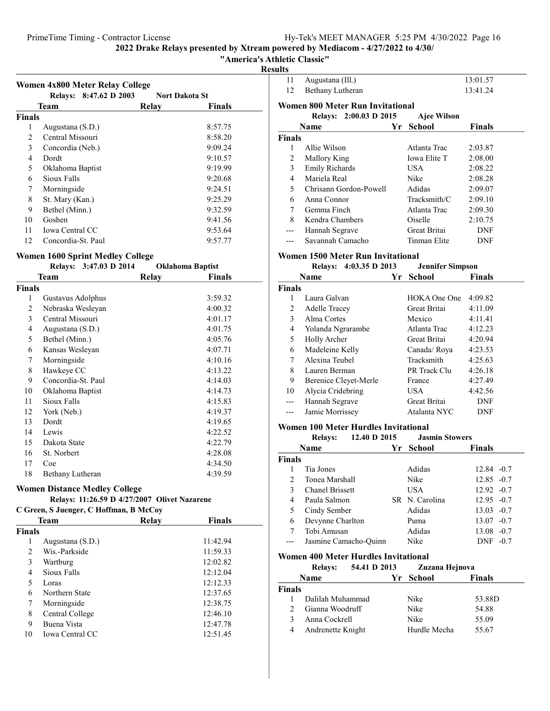"America's Athletic Classic"

### Results

| Women 4x800 Meter Relay College |                        |                       |               |  |
|---------------------------------|------------------------|-----------------------|---------------|--|
|                                 | Relays: 8:47.62 D 2003 | <b>Nort Dakota St</b> |               |  |
|                                 | Team                   | Relay                 | <b>Finals</b> |  |
| <b>Finals</b>                   |                        |                       |               |  |
| 1                               | Augustana (S.D.)       |                       | 8:57.75       |  |
| 2                               | Central Missouri       |                       | 8:58.20       |  |
| 3                               | Concordia (Neb.)       |                       | 9:09.24       |  |
| 4                               | Dordt                  |                       | 9:10.57       |  |
| 5                               | Oklahoma Baptist       |                       | 9:19.99       |  |
| 6                               | Sioux Falls            |                       | 9:20.68       |  |
| 7                               | Morningside            |                       | 9:24.51       |  |
| 8                               | St. Mary (Kan.)        |                       | 9:25.29       |  |
| 9                               | Bethel (Minn.)         |                       | 9:32.59       |  |
| 10                              | Goshen                 |                       | 9:41.56       |  |
| 11                              | Iowa Central CC        |                       | 9:53.64       |  |
| 12                              | Concordia-St. Paul     |                       | 9:57.77       |  |

### Women 1600 Sprint Medley College

|        | Relays: 3:47.03 D 2014 | <b>Oklahoma Baptist</b> |               |
|--------|------------------------|-------------------------|---------------|
|        | Team                   | Relay                   | <b>Finals</b> |
| Finals |                        |                         |               |
| 1      | Gustavus Adolphus      |                         | 3:59.32       |
| 2      | Nebraska Wesleyan      |                         | 4:00.32       |
| 3      | Central Missouri       |                         | 4:01.17       |
| 4      | Augustana (S.D.)       |                         | 4:01.75       |
| 5      | Bethel (Minn.)         |                         | 4:05.76       |
| 6      | Kansas Wesleyan        |                         | 4:07.71       |
| 7      | Morningside            |                         | 4:10.16       |
| 8      | Hawkeye CC             |                         | 4:13.22       |
| 9      | Concordia-St. Paul     |                         | 4:14.03       |
| 10     | Oklahoma Baptist       |                         | 4:14.73       |
| 11     | Sioux Falls            |                         | 4:15.83       |
| 12     | York (Neb.)            |                         | 4:19.37       |
| 13     | Dordt                  |                         | 4:19.65       |
| 14     | Lewis                  |                         | 4:22.52       |
| 15     | Dakota State           |                         | 4:22.79       |
| 16     | St. Norbert            |                         | 4:28.08       |
| 17     | Coe                    |                         | 4:34.50       |
| 18     | Bethany Lutheran       |                         | 4:39.59       |

## Women Distance Medley College

### Relays:  $11:26.59$  D  $4/27/2007$  Olivet Nazarene<br>S. Juanger, C. Hoffman, B. McCov C Green, S Juenger, C Hoffman, B McCoy

| C Green, S Juenger, C Hoffman, B McCoy |  |  |
|----------------------------------------|--|--|
|----------------------------------------|--|--|

|               | <b>Team</b>            | Relay | Finals   |  |
|---------------|------------------------|-------|----------|--|
| <b>Finals</b> |                        |       |          |  |
| 1             | Augustana (S.D.)       |       | 11:42.94 |  |
| 2             | Wis.-Parkside          |       | 11:59.33 |  |
| 3             | Wartburg               |       | 12:02.82 |  |
| 4             | Sioux Falls            |       | 12:12.04 |  |
| 5             | Loras                  |       | 12:12.33 |  |
| 6             | Northern State         |       | 12:37.65 |  |
| 7             | Morningside            |       | 12:38.75 |  |
| 8             | Central College        |       | 12:46.10 |  |
| 9             | Buena Vista            |       | 12:47.78 |  |
| 10            | <b>Iowa Central CC</b> |       | 12:51.45 |  |

| 11             | Augustana (Ill.)                                               |      |                     | 13:01.57      |
|----------------|----------------------------------------------------------------|------|---------------------|---------------|
| 12             | Bethany Lutheran                                               |      |                     | 13:41.24      |
|                | Women 800 Meter Run Invitational                               |      |                     |               |
|                | Relays: 2:00.03 D 2015                                         |      | Ajee Wilson         |               |
|                | Name                                                           | Yr - | School              | <b>Finals</b> |
| <b>Finals</b>  |                                                                |      |                     |               |
| 1              | Allie Wilson                                                   |      | Atlanta Trac        | 2:03.87       |
| $\overline{c}$ | <b>Mallory King</b>                                            |      | <b>Iowa Elite T</b> | 2:08.00       |
| 3              | <b>Emily Richards</b>                                          |      | USA                 | 2:08.22       |
| 4              | Mariela Real                                                   |      | Nike                | 2:08.28       |
| 5              | Chrisann Gordon-Powell                                         |      | Adidas              | 2:09.07       |
| 6              | Anna Connor                                                    |      | Tracksmith/C        | 2:09.10       |
| 7              | Gemma Finch                                                    |      | Atlanta Trac        | 2:09.30       |
| 8              | Kendra Chambers                                                |      | Oiselle             | 2:10.75       |
|                | Hannah Segrave                                                 |      | Great Britai        | DNF           |
| ---            | Savannah Camacho                                               |      | Tinman Elite        | <b>DNF</b>    |
|                | Women 1500 Meter Run Invitational<br>$P_1$ $(0.225)$ $(0.425)$ |      |                     |               |

|               | $4:03.35$ D 2013<br><b>Relays:</b> | <b>Jennifer Simpson</b> |               |
|---------------|------------------------------------|-------------------------|---------------|
|               | <b>Name</b>                        | Yr School               | <b>Finals</b> |
| <b>Finals</b> |                                    |                         |               |
|               | Laura Galvan                       | HOK A One One           | 4:09.82       |
| 2             | <b>Adelle Tracey</b>               | Great Britai            | 4:11.09       |
| 3             | Alma Cortes                        | Mexico                  | 4:11.41       |
| 4             | Yolanda Ngrarambe                  | Atlanta Trac            | 4:12.23       |
| 5             | <b>Holly Archer</b>                | Great Britai            | 4:20.94       |
| 6             | Madeleine Kelly                    | Canada/Roya             | 4:23.53       |
| 7             | Alexina Teubel                     | Tracksmith              | 4:25.63       |
| 8             | Lauren Berman                      | PR Track Clu            | 4:26.18       |
| 9             | Berenice Cleyet-Merle              | France                  | 4:27.49       |
| 10            | Alycia Cridebring                  | USA.                    | 4:42.56       |
|               | Hannah Segrave                     | Great Britai            | <b>DNF</b>    |
|               | Jamie Morrissey                    | Atalanta NYC            | DNF           |

### Women 100 Meter Hurdles Invitational

|               | 12.40 D 2015<br><b>Relays:</b> |      | <b>Jasmin Stowers</b> |                      |
|---------------|--------------------------------|------|-----------------------|----------------------|
|               | <b>Name</b>                    | Yr - | School                | <b>Finals</b>        |
| <b>Finals</b> |                                |      |                       |                      |
|               | Tia Jones                      |      | Adidas                | $12.84 - 0.7$        |
| $\mathcal{D}$ | Tonea Marshall                 |      | Nike                  | $12.85 - 0.7$        |
| $\mathbf{3}$  | <b>Chanel Brissett</b>         |      | <b>USA</b>            | $12.92 -0.7$         |
| 4             | Paula Salmon                   |      | SR N. Carolina        | $12.95 -0.7$         |
| 5             | Cindy Sember                   |      | Adidas                | $13.03 - 0.7$        |
| 6             | Devynne Charlton               |      | Puma                  | $13.07 -0.7$         |
| 7             | Tobi Amusan                    |      | Adidas                | $13.08 - 0.7$        |
|               | Jasmine Camacho-Ouinn          |      | Nike                  | $-0.7$<br><b>DNF</b> |

### Women 400 Meter Hurdles Invitational

|        | <b>Relays:</b>    | 54.41 D 2013 | Zuzana Hejnova |               |
|--------|-------------------|--------------|----------------|---------------|
|        | <b>Name</b>       |              | Yr School      | <b>Finals</b> |
| Finals |                   |              |                |               |
|        | Dalilah Muhammad  |              | Nike           | 53.88D        |
|        | Gianna Woodruff   |              | Nike           | 54.88         |
|        | Anna Cockrell     |              | Nike           | 55.09         |
| 4      | Andrenette Knight |              | Hurdle Mecha   | 55.67         |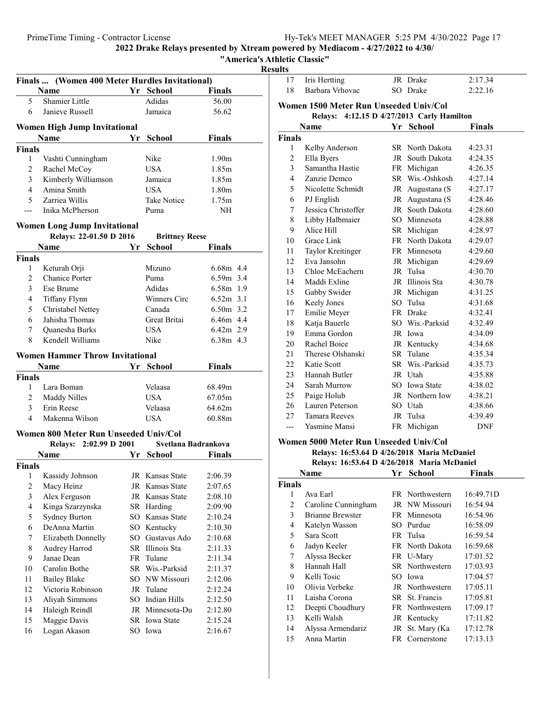"America's Athletic Classic"

Results

|                     |                                        | Finals  (Women 400 Meter Hurdles Invitational) |                          |                    |  |  |  |  |
|---------------------|----------------------------------------|------------------------------------------------|--------------------------|--------------------|--|--|--|--|
|                     | Name                                   |                                                | Yr School                | <b>Finals</b>      |  |  |  |  |
| 5                   | Shamier Little                         |                                                | Adidas                   | 56.00              |  |  |  |  |
| 6                   | Janieve Russell                        |                                                | Jamaica                  | 56.62              |  |  |  |  |
|                     |                                        |                                                |                          |                    |  |  |  |  |
|                     | <b>Women High Jump Invitational</b>    |                                                |                          |                    |  |  |  |  |
|                     | Name                                   | Yr                                             | School                   | <b>Finals</b>      |  |  |  |  |
| <b>Finals</b>       |                                        |                                                |                          |                    |  |  |  |  |
| 1                   | Vashti Cunningham                      |                                                | Nike                     | 1.90 <sub>m</sub>  |  |  |  |  |
| $\overline{c}$      | Rachel McCoy                           |                                                | <b>USA</b>               | 1.85m              |  |  |  |  |
| 3                   | Kimberly Williamson<br>Amina Smith     |                                                | Jamaica                  | 1.85m              |  |  |  |  |
| 4                   |                                        |                                                | USA.                     | 1.80m              |  |  |  |  |
| 5                   | Zarriea Willis                         |                                                | Take Notice              | 1.75m              |  |  |  |  |
| ---                 | Inika McPherson                        |                                                | Puma                     | NH                 |  |  |  |  |
|                     | <b>Women Long Jump Invitational</b>    |                                                |                          |                    |  |  |  |  |
|                     | Relays: 22-01.50 D 2016                |                                                | <b>Brittney Reese</b>    |                    |  |  |  |  |
|                     | Name                                   | Yr                                             | <b>School</b>            | <b>Finals</b>      |  |  |  |  |
| <b>Finals</b>       |                                        |                                                |                          |                    |  |  |  |  |
| 1                   | Keturah Orji                           |                                                | Mizuno                   | 6.68m 4.4          |  |  |  |  |
| 2                   | <b>Chanice Porter</b>                  |                                                | Puma                     | $6.59m$ 3.4        |  |  |  |  |
| 3                   | Ese Brume                              |                                                | Adidas                   | 6.58m 1.9          |  |  |  |  |
| 4                   | Tiffany Flynn                          |                                                | Winners Circ             | $6.52m$ 3.1        |  |  |  |  |
| 5                   | Christabel Nettey                      |                                                | Canada                   | $6.50m$ 3.2        |  |  |  |  |
| 6                   | Jahisha Thomas                         |                                                | Great Britai             | 6.46m 4.4          |  |  |  |  |
| 7                   | Quanesha Burks                         |                                                | <b>USA</b>               | $6.42m$ 2.9        |  |  |  |  |
| 8                   | Kendell Williams                       |                                                | Nike                     | 6.38m 4.3          |  |  |  |  |
|                     | <b>Women Hammer Throw Invitational</b> |                                                |                          |                    |  |  |  |  |
|                     | Name                                   | Yr                                             | <b>School</b>            | <b>Finals</b>      |  |  |  |  |
|                     |                                        |                                                |                          |                    |  |  |  |  |
|                     |                                        |                                                |                          |                    |  |  |  |  |
| <b>Finals</b>       |                                        |                                                |                          |                    |  |  |  |  |
| 1                   | Lara Boman                             |                                                | Velaasa<br><b>USA</b>    | 68.49m<br>67.05m   |  |  |  |  |
| $\overline{2}$      | Maddy Nilles<br>Erin Reese             |                                                | Velaasa                  | 64.62m             |  |  |  |  |
| 3<br>$\overline{4}$ | Makenna Wilson                         |                                                | <b>USA</b>               | 60.88m             |  |  |  |  |
|                     |                                        |                                                |                          |                    |  |  |  |  |
|                     | Women 800 Meter Run Unseeded Univ/Col  |                                                |                          |                    |  |  |  |  |
|                     | Relays: 2:02.99 D 2001                 |                                                | Svetlana Badrankova      |                    |  |  |  |  |
|                     | Name                                   |                                                | Yr School                | Finals             |  |  |  |  |
| <b>Finals</b>       |                                        |                                                |                          |                    |  |  |  |  |
|                     | 1 Kassidy Johnson                      |                                                | JR Kansas State          | 2:06.39            |  |  |  |  |
| 2                   | Macy Heinz                             |                                                | JR Kansas State          | 2:07.65            |  |  |  |  |
| 3                   | Alex Ferguson                          |                                                | JR Kansas State          | 2:08.10            |  |  |  |  |
| 4                   | Kinga Szarzynska                       |                                                | SR Harding               | 2:09.90            |  |  |  |  |
| 5                   | <b>Sydney Burton</b>                   |                                                | SO Kansas State          | 2:10.24            |  |  |  |  |
| 6                   | DeAnna Martin                          |                                                | SO Kentucky              | 2:10.30            |  |  |  |  |
| 7                   | Elizabeth Donnelly                     |                                                | SO Gustavus Ado          | 2:10.68            |  |  |  |  |
| 8                   | Audrey Harrod                          |                                                | SR Illinois Sta          | 2:11.33            |  |  |  |  |
| 9                   | Janae Dean                             |                                                | FR Tulane                | 2:11.34            |  |  |  |  |
| 10                  | Carolin Bothe                          |                                                | SR Wis.-Parksid          | 2:11.37            |  |  |  |  |
| 11                  | <b>Bailey Blake</b>                    |                                                | SO NW Missouri           | 2:12.06            |  |  |  |  |
| 12                  | Victoria Robinson                      |                                                | JR Tulane                | 2:12.24            |  |  |  |  |
| 13                  | Aliyah Simmons                         |                                                | SO Indian Hills          | 2:12.50            |  |  |  |  |
| 14                  | Haleigh Reindl                         |                                                | JR Minnesota-Du          | 2:12.80            |  |  |  |  |
| 15<br>16            | Maggie Davis<br>Logan Akason           |                                                | SR Iowa State<br>SO Iowa | 2:15.24<br>2:16.67 |  |  |  |  |

| 17             | Iris Hertting                                        |    | JR Drake        | 2:17.34       |  |  |  |
|----------------|------------------------------------------------------|----|-----------------|---------------|--|--|--|
| 18             | Barbara Vrhovac                                      |    | SO Drake        | 2:22.16       |  |  |  |
|                | Women 1500 Meter Run Unseeded Univ/Col               |    |                 |               |  |  |  |
|                | 4:12.15 D 4/27/2013 Carly Hamilton<br><b>Relays:</b> |    |                 |               |  |  |  |
|                | <b>Name</b>                                          |    | Yr School       | <b>Finals</b> |  |  |  |
| <b>Finals</b>  |                                                      |    |                 |               |  |  |  |
| 1              | Kelby Anderson                                       |    | SR North Dakota | 4:23.31       |  |  |  |
| $\overline{c}$ | Ella Byers                                           |    | JR South Dakota | 4:24.35       |  |  |  |
| 3              | Samantha Hastie                                      |    | FR Michigan     | 4:26.35       |  |  |  |
| $\overline{4}$ | Zanzie Demco                                         |    | SR Wis.-Oshkosh | 4:27.14       |  |  |  |
| 5              | Nicolette Schmidt                                    |    | JR Augustana (S | 4:27.17       |  |  |  |
| 6              | PJ English                                           |    | JR Augustana (S | 4:28.46       |  |  |  |
| 7              | Jessica Christoffer                                  |    | JR South Dakota | 4:28.60       |  |  |  |
| 8              | Libby Halbmaier                                      |    | SO Minnesota    | 4:28.88       |  |  |  |
| 9              | Alice Hill                                           |    | SR Michigan     | 4:28.97       |  |  |  |
| 10             | Grace Link                                           |    | FR North Dakota | 4:29.07       |  |  |  |
| 11             | Taylor Kreitinger                                    |    | FR Minnesota    | 4:29.60       |  |  |  |
| 12             | Eva Jansohn                                          |    | JR Michigan     | 4:29.69       |  |  |  |
| 13             | Chloe McEachern                                      |    | JR Tulsa        | 4:30.70       |  |  |  |
| 14             | Maddi Exline                                         |    | JR Illinois Sta | 4:30.78       |  |  |  |
| 15             | Gabby Swider                                         |    | JR Michigan     | 4:31.25       |  |  |  |
| 16             | Keely Jones                                          |    | SO Tulsa        | 4:31.68       |  |  |  |
| 17             | Emilie Meyer                                         |    | FR Drake        | 4:32.41       |  |  |  |
| 18             | Katja Bauerle                                        |    | SO Wis.-Parksid | 4:32.49       |  |  |  |
| 19             | Emma Gordon                                          |    | JR Iowa         | 4:34.09       |  |  |  |
| 20             | Rachel Boice                                         |    | JR Kentucky     | 4:34.68       |  |  |  |
| 21             | Therese Olshanski                                    |    | SR Tulane       | 4:35.34       |  |  |  |
| 22             | Katie Scott                                          |    | SR Wis.-Parksid | 4:35.73       |  |  |  |
| 23             | Hannah Butler                                        |    | JR Utah         | 4:35.88       |  |  |  |
| 24             | Sarah Murrow                                         |    | SO Iowa State   | 4:38.02       |  |  |  |
| 25             | Paige Holub                                          |    | JR Northern Iow | 4:38.21       |  |  |  |
| 26             | Lauren Peterson                                      |    | SO Utah         | 4:38.66       |  |  |  |
| 27             | <b>Tamara Reeves</b>                                 |    | JR Tulsa        | 4:39.49       |  |  |  |
| ---            | Yasmine Mansi                                        |    | FR Michigan     | <b>DNF</b>    |  |  |  |
|                | Women 5000 Meter Run Unseeded Univ/Col               |    |                 |               |  |  |  |
|                | Relays: 16:53.64 D 4/26/2018 Maria McDaniel          |    |                 |               |  |  |  |
|                | Relays: 16:53.64 D 4/26/2018 Maria McDaniel          |    |                 |               |  |  |  |
|                | <b>Name</b>                                          | Υr | <b>School</b>   | <b>Finals</b> |  |  |  |
| <b>Finals</b>  |                                                      |    |                 |               |  |  |  |

| Finals |                         |                        |           |
|--------|-------------------------|------------------------|-----------|
| 1      | Ava Earl                | FR Northwestern        | 16:49.71D |
| 2      | Caroline Cunningham     | JR NW Missouri         | 16:54.94  |
| 3      | <b>Brianne Brewster</b> | FR Minnesota           | 16:54.96  |
| 4      | Katelyn Wasson          | SO Purdue              | 16:58.09  |
| 5      | Sara Scott              | FR Tulsa               | 16:59.54  |
| 6      | Jadyn Keeler            | FR North Dakota        | 16:59.68  |
| 7      | Alyssa Becker           | FR U-Mary              | 17:01.52  |
| 8      | Hannah Hall             | <b>SR</b> Northwestern | 17:03.93  |
| 9      | Kelli Tosic             | SO Iowa                | 17:04.57  |
| 10     | Olivia Verbeke          | JR Northwestern        | 17:05.11  |
| 11     | Laisha Corona           | SR St. Francis         | 17:05.81  |
| 12     | Deepti Choudhury        | FR Northwestern        | 17:09.17  |
| 13     | Kelli Walsh             | JR Kentucky            | 17:11.82  |
| 14     | Alyssa Armendariz       | JR St. Mary (Ka        | 17:12.78  |
| 15     | Anna Martin             | FR Cornerstone         | 17:13.13  |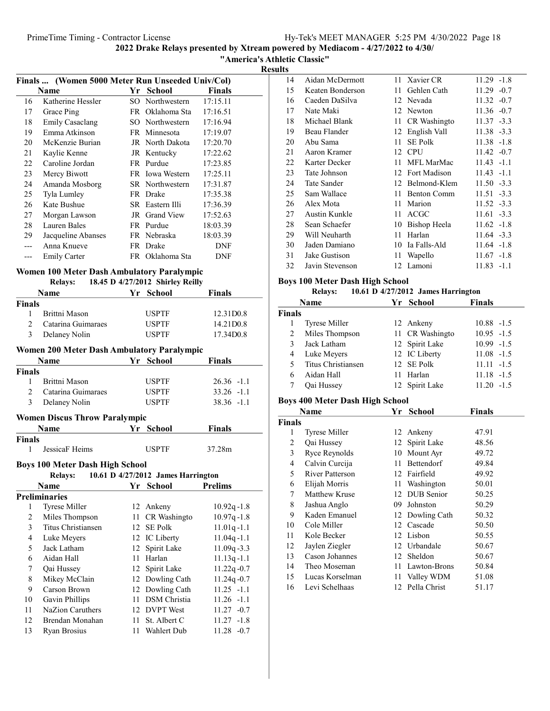"America's Athletic Classic"

Results

| Finals  (Women 5000 Meter Run Unseeded Univ/Col) |                    |    |                 |            |
|--------------------------------------------------|--------------------|----|-----------------|------------|
|                                                  | Name               | Yr | School          | Finals     |
| 16                                               | Katherine Hessler  |    | SO Northwestern | 17:15.11   |
| 17                                               | Grace Ping         |    | FR Oklahoma Sta | 17:16.51   |
| 18                                               | Emily Casaclang    |    | SO Northwestern | 17:16.94   |
| 19                                               | Emma Atkinson      |    | FR Minnesota    | 17:19.07   |
| 20                                               | McKenzie Burian    |    | JR North Dakota | 17:20.70   |
| 21                                               | Kaylie Kenne       |    | JR Kentucky     | 17:22.62   |
| 22                                               | Caroline Jordan    |    | FR Purdue       | 17:23.85   |
| 23                                               | Mercy Biwott       |    | FR Iowa Western | 17:25.11   |
| 24                                               | Amanda Mosborg     |    | SR Northwestern | 17:31.87   |
| 25                                               | Tyla Lumley        |    | FR Drake        | 17:35.38   |
| 26                                               | Kate Bushue        |    | SR Eastern Illi | 17:36.39   |
| 27                                               | Morgan Lawson      |    | JR Grand View   | 17:52.63   |
| 28                                               | Lauren Bales       |    | FR Purdue       | 18:03.39   |
| 29                                               | Jacqueline Abanses |    | FR Nebraska     | 18:03.39   |
|                                                  | Anna Knueve        |    | FR Drake        | DNF        |
|                                                  | Emily Carter       |    | FR Oklahoma Sta | <b>DNF</b> |
|                                                  |                    |    |                 |            |

### Women 100 Meter Dash Ambulatory Paralympic

|               | <b>Relays:</b>     |  | 18.45 D 4/27/2012 Shirley Reilly |               |  |
|---------------|--------------------|--|----------------------------------|---------------|--|
|               | <b>Name</b>        |  | Yr School                        | <b>Finals</b> |  |
| <b>Finals</b> |                    |  |                                  |               |  |
|               | Brittni Mason      |  | <b>USPTF</b>                     | 12.31D0.8     |  |
|               | Catarina Guimaraes |  | <b>USPTF</b>                     | 14.21D0.8     |  |
|               | Delaney Nolin      |  | <b>USPTF</b>                     | 17.34D0.8     |  |

### Women 200 Meter Dash Ambulatory Paralympic

|               | <b>Name</b>                          | Yr School    | <b>Finals</b> |
|---------------|--------------------------------------|--------------|---------------|
| <b>Finals</b> |                                      |              |               |
|               | Brittni Mason                        | <b>USPTF</b> | $26.36 -1.1$  |
|               | Catarina Guimaraes                   | <b>USPTF</b> | $33.26 -1.1$  |
| 3             | Delaney Nolin                        | <b>USPTF</b> | $38.36 -1.1$  |
|               | <b>Women Discus Throw Paralympic</b> |              |               |
|               | <b>Name</b>                          | Yr School    | <b>Finals</b> |
| Finals        |                                      |              |               |
|               | JessicaF Heims                       | USPTF        | 37.28m        |

### Boys 100 Meter Dash High School

| 10.61 D 4/27/2012 James Harrington<br><b>Relays:</b> |                      |    |                 |                |
|------------------------------------------------------|----------------------|----|-----------------|----------------|
|                                                      | <b>Name</b>          | Yr | School          | <b>Prelims</b> |
|                                                      | <b>Preliminaries</b> |    |                 |                |
| 1                                                    | <b>Tyrese Miller</b> |    | 12 Ankeny       | $10.92q - 1.8$ |
| 2                                                    | Miles Thompson       |    | 11 CR Washingto | $10.97q - 1.8$ |
| 3                                                    | Titus Christiansen   |    | 12 SE Polk      | $11.01q - 1.1$ |
| 4                                                    | Luke Meyers          |    | 12 IC Liberty   | $11.04q - 1.1$ |
| 5                                                    | Jack Latham          |    | 12 Spirit Lake  | $11.09q - 3.3$ |
| 6                                                    | Aidan Hall           |    | 11 Harlan       | $11.13q - 1.1$ |
| 7                                                    | Qai Hussey           |    | 12 Spirit Lake  | $11.22q - 0.7$ |
| 8                                                    | Mikey McClain        |    | 12 Dowling Cath | $11.24q - 0.7$ |
| 9                                                    | Carson Brown         |    | 12 Dowling Cath | $11.25 -1.1$   |
| 10                                                   | Gavin Phillips       |    | 11 DSM Christia | $11.26 - 1.1$  |
| 11                                                   | NaZion Caruthers     |    | 12 DVPT West    | $11.27 -0.7$   |
| 12                                                   | Brendan Monahan      |    | 11 St. Albert C | $11.27 - 1.8$  |
| 13                                                   | Ryan Brosius         |    | 11 Wahlert Dub  | $11.28 - 0.7$  |
|                                                      |                      |    |                 |                |

| 14 | Aidan McDermott  |     | 11 Xavier CR       | $11.29 - 1.8$ |
|----|------------------|-----|--------------------|---------------|
| 15 | Keaten Bonderson | 11. | Gehlen Cath        | $11.29 - 0.7$ |
| 16 | Caeden DaSilva   |     | 12 Nevada          | $11.32 -0.7$  |
| 17 | Nate Maki        |     | 12 Newton          | $11.36 - 0.7$ |
| 18 | Michael Blank    | 11  | CR Washingto       | $11.37 - 3.3$ |
| 19 | Beau Flander     | 12  | English Vall       | $11.38 - 3.3$ |
| 20 | Abu Sama         | 11  | <b>SE Polk</b>     | $11.38 - 1.8$ |
| 21 | Aaron Kramer     |     | 12 CPU             | $11.42 - 0.7$ |
| 22 | Karter Decker    | 11  | MFL MarMac         | $11.43 - 1.1$ |
| 23 | Tate Johnson     |     | 12 Fort Madison    | $11.43 -1.1$  |
| 24 | Tate Sander      |     | 12 Belmond-Klem    | $11.50 - 3.3$ |
| 25 | Sam Wallace      | 11  | <b>Benton Comm</b> | $11.51 - 3.3$ |
| 26 | Alex Mota        | 11  | Marion             | $11.52 - 3.3$ |
| 27 | Austin Kunkle    | 11  | <b>ACGC</b>        | $11.61 - 3.3$ |
| 28 | Sean Schaefer    | 10  | Bishop Heela       | $11.62 -1.8$  |
| 29 | Will Neuharth    | 11  | Harlan             | $11.64 - 3.3$ |
| 30 | Jaden Damiano    | 10  | Ia Falls-Ald       | $11.64 - 1.8$ |
| 31 | Jake Gustison    | 11  | Wapello            | $11.67 - 1.8$ |
| 32 | Javin Stevenson  |     | 12 Lamoni          | $11.83 - 1.1$ |

### Boys 100 Meter Dash High School

| <b>Relays:</b> | 10.61 D $4/27/2012$ James Harrington |
|----------------|--------------------------------------|

|               | Name                 | Yr School       | <b>Finals</b> |
|---------------|----------------------|-----------------|---------------|
| <b>Finals</b> |                      |                 |               |
|               | <b>Tyrese Miller</b> | 12 Ankeny       | $10.88 - 1.5$ |
| 2             | Miles Thompson       | 11 CR Washingto | $10.95 - 1.5$ |
| $\mathbf{3}$  | Jack Latham          | 12 Spirit Lake  | $10.99 - 1.5$ |
| 4             | Luke Meyers          | 12 IC Liberty   | $11.08 - 1.5$ |
| 5             | Titus Christiansen   | 12 SE Polk      | $11.11 - 1.5$ |
| 6             | Aidan Hall           | 11 Harlan       | $11.18 - 1.5$ |
|               | Qai Hussey           | 12 Spirit Lake  | $11.20 -1.5$  |

### Boys 400 Meter Dash High School

|               | Name                 | Yr | <b>School</b>     | Finals |  |
|---------------|----------------------|----|-------------------|--------|--|
| <b>Finals</b> |                      |    |                   |        |  |
| 1             | Tyrese Miller        |    | 12 Ankeny         | 47.91  |  |
| 2             | Qai Hussey           | 12 | Spirit Lake       | 48.56  |  |
| 3             | Ryce Reynolds        | 10 | Mount Ayr         | 49.72  |  |
| 4             | Calvin Curcija       | 11 | <b>Bettendorf</b> | 49.84  |  |
| 5             | River Patterson      |    | 12 Fairfield      | 49.92  |  |
| 6             | Elijah Morris        | 11 | Washington        | 50.01  |  |
| 7             | <b>Matthew Kruse</b> |    | 12 DUB Senior     | 50.25  |  |
| 8             | Jashua Anglo         | 09 | Johnston          | 50.29  |  |
| 9             | Kaden Emanuel        |    | 12 Dowling Cath   | 50.32  |  |
| 10            | Cole Miller          |    | 12 Cascade        | 50.50  |  |
| 11            | Kole Becker          | 12 | Lisbon            | 50.55  |  |
| 12            | Jaylen Ziegler       | 12 | Urbandale         | 50.67  |  |
| 13            | Cason Johannes       | 12 | Sheldon           | 50.67  |  |
| 14            | Theo Moseman         | 11 | Lawton-Brons      | 50.84  |  |
| 15            | Lucas Korselman      | 11 | Valley WDM        | 51.08  |  |
| 16            | Levi Schelhaas       | 12 | Pella Christ      | 51.17  |  |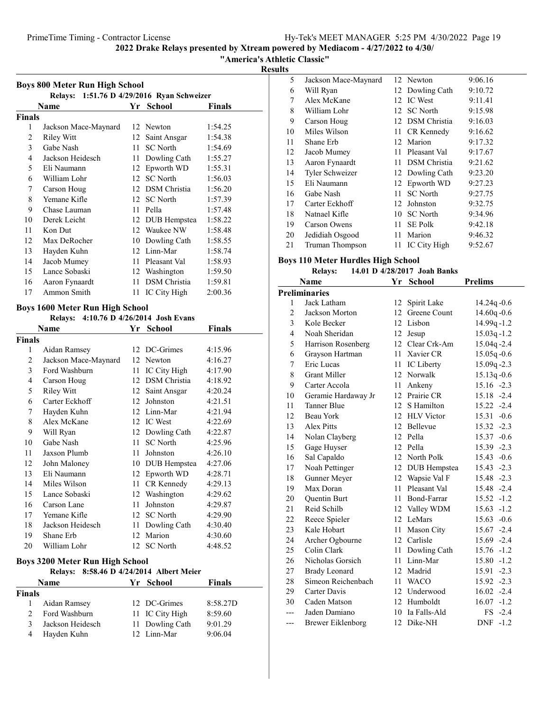"America's Athletic Classic"

Results

| <b>Boys 800 Meter Run High School</b> |                                            |    |                     |         |  |  |  |
|---------------------------------------|--------------------------------------------|----|---------------------|---------|--|--|--|
|                                       | Relays: 1:51.76 D 4/29/2016 Ryan Schweizer |    |                     |         |  |  |  |
|                                       | Name                                       | Yr | <b>School</b>       | Finals  |  |  |  |
| Finals                                |                                            |    |                     |         |  |  |  |
| 1                                     | Jackson Mace-Maynard                       | 12 | Newton              | 1:54.25 |  |  |  |
| 2                                     | <b>Riley Witt</b>                          | 12 | Saint Ansgar        | 1:54.38 |  |  |  |
| 3                                     | Gabe Nash                                  | 11 | <b>SC</b> North     | 1:54.69 |  |  |  |
| 4                                     | Jackson Heidesch                           | 11 | Dowling Cath        | 1:55.27 |  |  |  |
| 5                                     | Eli Naumann                                | 12 | Epworth WD          | 1:55.31 |  |  |  |
| 6                                     | William Lohr                               | 12 | <b>SC</b> North     | 1:56.03 |  |  |  |
| 7                                     | Carson Houg                                | 12 | <b>DSM</b> Christia | 1:56.20 |  |  |  |
| 8                                     | Yemane Kifle                               | 12 | <b>SC</b> North     | 1:57.39 |  |  |  |
| 9                                     | Chase Lauman                               | 11 | Pella               | 1:57.48 |  |  |  |
| 10                                    | Derek Leicht                               | 12 | DUB Hempstea        | 1:58.22 |  |  |  |
| 11                                    | Kon Dut                                    | 12 | Waukee NW           | 1:58.48 |  |  |  |
| 12                                    | Max DeRocher                               | 10 | Dowling Cath        | 1:58.55 |  |  |  |
| 13                                    | Hayden Kuhn                                | 12 | Linn-Mar            | 1:58.74 |  |  |  |
| 14                                    | Jacob Mumey                                | 11 | Pleasant Val        | 1:58.93 |  |  |  |
| 15                                    | Lance Sobaski                              | 12 | Washington          | 1:59.50 |  |  |  |
| 16                                    | Aaron Fynaardt                             | 11 | DSM Christia        | 1:59.81 |  |  |  |
| 17                                    | Ammon Smith                                | 11 | IC City High        | 2:00.36 |  |  |  |

### Boys 1600 Meter Run High School

### Relays: 4:10.76 D 4/26/2014 Josh Evans

| Name           |                                 |    | Yr<br><b>School</b>              | Finals   |
|----------------|---------------------------------|----|----------------------------------|----------|
| Finals         |                                 |    |                                  |          |
| 1              | Aidan Ramsey                    | 12 | DC-Grimes                        | 4:15.96  |
| $\overline{c}$ | Jackson Mace-Maynard            | 12 | Newton                           | 4:16.27  |
| 3              | Ford Washburn                   | 11 | IC City High                     | 4:17.90  |
| $\overline{4}$ | Carson Houg                     | 12 | <b>DSM</b> Christia              | 4:18.92  |
| 5              | <b>Riley Witt</b>               | 12 | Saint Ansgar                     | 4:20.24  |
| 6              | Carter Eckhoff                  | 12 | Johnston                         | 4:21.51  |
| 7              | Hayden Kuhn                     |    | 12 Linn-Mar                      | 4:21.94  |
| 8              | Alex McKane                     | 12 | <b>IC</b> West                   | 4:22.69  |
| 9              | Will Ryan                       |    | 12 Dowling Cath                  | 4:22.87  |
| 10             | Gabe Nash                       | 11 | <b>SC</b> North                  | 4:25.96  |
| 11             | Jaxson Plumb                    | 11 | Johnston                         | 4:26.10  |
| 12             | John Maloney                    | 10 | DUB Hempstea                     | 4:27.06  |
| 13             | Eli Naumann                     |    | 12 Epworth WD                    | 4:28.71  |
| 14             | Miles Wilson                    | 11 | CR Kennedy                       | 4:29.13  |
| 15             | Lance Sobaski                   |    | 12 Washington                    | 4:29.62  |
| 16             | Carson Lane                     | 11 | Johnston                         | 4:29.87  |
| 17             | Yemane Kifle                    |    | 12 SC North                      | 4:29.90  |
| 18             | Jackson Heidesch                | 11 | Dowling Cath                     | 4:30.40  |
| 19             | Shane Erb                       | 12 | Marion                           | 4:30.60  |
| 20             | William Lohr                    | 12 | <b>SC</b> North                  | 4:48.52  |
|                | Boys 3200 Meter Run High School |    |                                  |          |
|                | <b>Relays:</b>                  |    | 8:58.46 D 4/24/2014 Albert Meier |          |
|                | Name                            | Yr | <b>School</b>                    | Finals   |
| <b>Finals</b>  |                                 |    |                                  |          |
| 1              | Aidan Ramsey                    | 12 | DC-Grimes                        | 8:58.27D |
| 2              | Ford Washburn                   | 11 | IC City High                     | 8:59.60  |
| 3              | Jackson Heidesch                | 11 | Dowling Cath                     | 9:01.29  |

4 9:06.04 Hayden Kuhn 12 Linn-Mar

| 5  | Jackson Mace-Maynard |     | 12 Newton           | 9:06.16 |
|----|----------------------|-----|---------------------|---------|
| 6  | Will Ryan            |     | 12 Dowling Cath     | 9:10.72 |
| 7  | Alex McKane          | 12  | IC West             | 9:11.41 |
| 8  | William Lohr         |     | 12 SC North         | 9:15.98 |
| 9  | Carson Houg          |     | 12 DSM Christia     | 9:16.03 |
| 10 | Miles Wilson         |     | 11 CR Kennedy       | 9:16.62 |
| 11 | Shane Erb            |     | 12 Marion           | 9:17.32 |
| 12 | Jacob Mumey          | 11. | Pleasant Val        | 9:17.67 |
| 13 | Aaron Fynaardt       | 11  | <b>DSM</b> Christia | 9:21.62 |
| 14 | Tyler Schweizer      |     | 12 Dowling Cath     | 9:23.20 |
| 15 | Eli Naumann          |     | 12 Epworth WD       | 9:27.23 |
| 16 | Gabe Nash            | 11  | <b>SC</b> North     | 9:27.75 |
| 17 | Carter Eckhoff       | 12  | Johnston            | 9:32.75 |
| 18 | Natnael Kifle        | 10  | <b>SC</b> North     | 9:34.96 |
| 19 | Carson Owens         | 11  | <b>SE Polk</b>      | 9:42.18 |
| 20 | Jedidiah Osgood      | 11  | Marion              | 9:46.32 |
| 21 | Truman Thompson      | 11  | IC City High        | 9:52.67 |

### Boys 110 Meter Hurdles High School

### Relays: 14.01 D 4/28/2017 Joah Banks

| Name           |                          |                  | <b>School</b>   | <b>Prelims</b>       |
|----------------|--------------------------|------------------|-----------------|----------------------|
|                | <b>Preliminaries</b>     |                  |                 |                      |
| 1              | Jack Latham              | 12               | Spirit Lake     | $14.24q - 0.6$       |
| 2              | Jackson Morton           | 12 <sup>12</sup> | Greene Count    | $14.60q - 0.6$       |
| 3              | Kole Becker              |                  | 12 Lisbon       | 14.99q-1.2           |
| $\overline{4}$ | Noah Sheridan            | 12               | Jesup           | $15.03q - 1.2$       |
| 5              | Harrison Rosenberg       | 12               | Clear Crk-Am    | 15.04q-2.4           |
| 6              | Grayson Hartman          | 11               | Xavier CR       | $15.05q - 0.6$       |
| 7              | Eric Lucas               | 11.              | IC Liberty      | 15.09q-2.3           |
| 8              | <b>Grant Miller</b>      |                  | 12 Norwalk      | $15.13q - 0.6$       |
| 9              | Carter Accola            | 11               | Ankeny          | $15.16 -2.3$         |
| 10             | Geramie Hardaway Jr      | 12               | Prairie CR      | 15.18 -2.4           |
| 11             | <b>Tanner Blue</b>       | 12 <sup>2</sup>  | S Hamilton      | $15.22 -2.4$         |
| 12             | <b>Beau York</b>         |                  | 12 HLV Victor   | $15.31 - 0.6$        |
| 13             | Alex Pitts               |                  | 12 Bellevue     | 15.32 -2.3           |
| 14             | Nolan Clayberg           |                  | 12 Pella        | 15.37 -0.6           |
| 15             | Gage Huyser              | 12               | Pella           | 15.39 -2.3           |
| 16             | Sal Capaldo              | 12               | North Polk      | $15.43 -0.6$         |
| 17             | Noah Pettinger           | 12               | DUB Hempstea    | $-2.3$<br>15.43      |
| 18             | Gunner Meyer             |                  | 12 Wapsie Val F | 15.48 -2.3           |
| 19             | Max Doran                | 11               | Pleasant Val    | 15.48 -2.4           |
| 20             | <b>Ouentin Burt</b>      | 11               | Bond-Farrar     | $15.52 -1.2$         |
| 21             | Reid Schilb              | 12               | Valley WDM      | 15.63<br>$-1.2$      |
| 22             | Reece Spieler            | 12               | LeMars          | $15.63 -0.6$         |
| 23             | Kale Hobart              | 11               | Mason City      | $15.67 -2.4$         |
| 24             | Archer Ogbourne          |                  | 12 Carlisle     | 15.69 -2.4           |
| 25             | Colin Clark              |                  | 11 Dowling Cath | 15.76 -1.2           |
| 26             | Nicholas Gorsich         | 11               | Linn-Mar        | $15.80 - 1.2$        |
| 27             | <b>Brady Leonard</b>     | 12               | Madrid          | $-2.3$<br>15.91      |
| 28             | Simeon Reichenbach       | 11               | <b>WACO</b>     | $15.92 -2.3$         |
| 29             | Carter Davis             |                  | 12 Underwood    | $16.02 -2.4$         |
| 30             | Caden Matson             |                  | 12 Humboldt     | $16.07 - 1.2$        |
|                | Jaden Damiano            | 10               | Ia Falls-Ald    | $FS -2.4$            |
| ---            | <b>Brewer Eiklenborg</b> | 12               | Dike-NH         | $-1.2$<br><b>DNF</b> |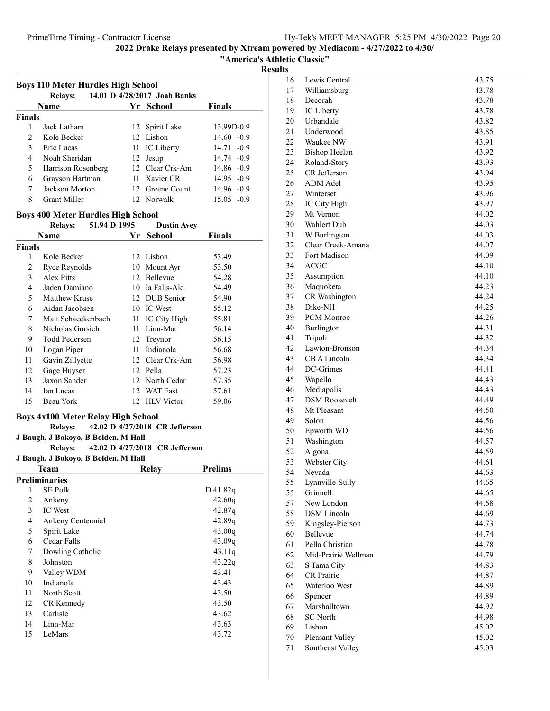"America's Athletic Classic"

### esults

|                | <b>Boys 110 Meter Hurdles High School</b> |    |                                |                |
|----------------|-------------------------------------------|----|--------------------------------|----------------|
|                | <b>Relays:</b>                            |    | 14.01 D 4/28/2017 Joah Banks   |                |
|                | Name                                      |    | Yr School                      | Finals         |
| <b>Finals</b>  |                                           |    |                                |                |
| 1              | Jack Latham                               |    | 12 Spirit Lake                 | 13.99D-0.9     |
| $\overline{c}$ | Kole Becker                               |    | 12 Lisbon                      | $14.60 -0.9$   |
| 3              | Eric Lucas                                |    | 11 IC Liberty                  | $14.71 - 0.9$  |
| 4              | Noah Sheridan                             |    | 12 Jesup                       | 14.74 -0.9     |
| 5              | Harrison Rosenberg                        |    | 12 Clear Crk-Am                | $14.86 - 0.9$  |
| 6              | Grayson Hartman                           |    | 11 Xavier CR                   | $14.95 -0.9$   |
| 7              | Jackson Morton                            |    | 12 Greene Count                | 14.96 -0.9     |
| 8              | <b>Grant Miller</b>                       |    | 12 Norwalk                     | $15.05 -0.9$   |
|                | <b>Boys 400 Meter Hurdles High School</b> |    |                                |                |
|                | 51.94 D 1995<br><b>Relays:</b>            |    | <b>Dustin Avey</b>             |                |
|                | Name                                      | Yr | <b>School</b>                  | Finals         |
| <b>Finals</b>  |                                           |    |                                |                |
| 1              | Kole Becker                               |    | 12 Lisbon                      | 53.49          |
| 2              | Ryce Reynolds                             |    | 10 Mount Ayr                   | 53.50          |
| 3              | Alex Pitts                                |    | 12 Bellevue                    | 54.28          |
| 4              | Jaden Damiano                             |    | 10 Ia Falls-Ald                | 54.49          |
| 5              | Matthew Kruse                             |    | 12 DUB Senior                  | 54.90          |
| 6              | Aidan Jacobsen                            |    | 10 IC West                     | 55.12          |
| 7              | Matt Schaeckenbach                        |    | 11 IC City High                | 55.81          |
| 8              | Nicholas Gorsich                          |    | 11 Linn-Mar                    | 56.14          |
| 9              | <b>Todd Pedersen</b>                      |    | 12 Treynor                     | 56.15          |
| 10             | Logan Piper                               |    | 11 Indianola                   | 56.68          |
| 11             | Gavin Zillyette                           |    | 12 Clear Crk-Am                | 56.98          |
| 12             | Gage Huyser                               |    | 12 Pella                       | 57.23          |
| 13             | Jaxon Sander                              |    | 12 North Cedar                 | 57.35          |
| 14             | Ian Lucas                                 |    | 12 WAT East                    | 57.61          |
| 15             | Beau York                                 |    | 12 HLV Victor                  | 59.06          |
|                | <b>Boys 4x100 Meter Relay High School</b> |    |                                |                |
|                | <b>Relays:</b>                            |    | 42.02 D 4/27/2018 CR Jefferson |                |
|                | J Baugh, J Bokoyo, B Bolden, M Hall       |    |                                |                |
|                | <b>Relays:</b>                            |    | 42.02 D 4/27/2018 CR Jefferson |                |
|                | J Baugh, J Bokoyo, B Bolden, M Hall       |    |                                |                |
|                | Team                                      |    | Relay                          | <b>Prelims</b> |
|                | Preliminaries                             |    |                                |                |
| 1              | <b>SE Polk</b>                            |    |                                | D 41.82q       |
| 2              | Ankeny                                    |    |                                | 42.60q         |
| 3              | IC West                                   |    |                                | 42.87q         |
| 4              | Ankeny Centennial                         |    |                                | 42.89q         |
| 5              | Spirit Lake                               |    |                                | 43.00q         |

6 43.09q Cedar Falls 7 43.11q Dowling Catholic 8 43.22q Johnston 9 Valley WDM 43.41<br>10 Indianola 43.43

11 43.50 North Scott 12 43.50 CR Kennedy 13 43.62 Carlisle 14 43.63 Linn-Mar 15 43.72 LeMars

10 Indianola

| 16 | Lewis Central        | 43.75 |
|----|----------------------|-------|
| 17 | Williamsburg         | 43.78 |
| 18 | Decorah              | 43.78 |
| 19 | IC Liberty           | 43.78 |
| 20 | Urbandale            | 43.82 |
| 21 | Underwood            | 43.85 |
| 22 | Waukee NW            | 43.91 |
| 23 | <b>Bishop Heelan</b> | 43.92 |
| 24 | Roland-Story         | 43.93 |
| 25 | CR Jefferson         | 43.94 |
| 26 | ADM Adel             | 43.95 |
| 27 | Winterset            | 43.96 |
| 28 | IC City High         | 43.97 |
| 29 | Mt Vernon            |       |
|    | Wahlert Dub          | 44.02 |
| 30 |                      | 44.03 |
| 31 | W Burlington         | 44.03 |
| 32 | Clear Creek-Amana    | 44.07 |
| 33 | Fort Madison         | 44.09 |
| 34 | <b>ACGC</b>          | 44.10 |
| 35 | Assumption           | 44.10 |
| 36 | Maquoketa            | 44.23 |
| 37 | CR Washington        | 44.24 |
| 38 | Dike-NH              | 44.25 |
| 39 | PCM Monroe           | 44.26 |
| 40 | Burlington           | 44.31 |
| 41 | Tripoli              | 44.32 |
| 42 | Lawton-Bronson       | 44.34 |
| 43 | CB A Lincoln         | 44.34 |
| 44 | DC-Grimes            | 44.41 |
| 45 | Wapello              | 44.43 |
| 46 | Mediapolis           | 44.43 |
| 47 | <b>DSM</b> Roosevelt | 44.49 |
| 48 | Mt Pleasant          | 44.50 |
| 49 | Solon                | 44.56 |
| 50 | Epworth WD           | 44.56 |
| 51 | Washington           | 44.57 |
| 52 | Algona               | 44.59 |
| 53 | Webster City         | 44.61 |
| 54 | Nevada               | 44.63 |
| 55 | Lynnville-Sully      | 44.65 |
| 55 | Grinnell             | 44.65 |
| 57 | New London           | 44.68 |
| 58 | <b>DSM</b> Lincoln   | 44.69 |
| 59 | Kingsley-Pierson     | 44.73 |
| 60 | <b>Bellevue</b>      | 44.74 |
| 61 | Pella Christian      | 44.78 |
| 62 | Mid-Prairie Wellman  | 44.79 |
| 63 | S Tama City          | 44.83 |
| 64 | CR Prairie           | 44.87 |
| 65 | Waterloo West        | 44.89 |
| 66 | Spencer              | 44.89 |
| 67 | Marshalltown         | 44.92 |
| 68 | <b>SC</b> North      | 44.98 |
|    |                      |       |
| 69 | Lisbon               | 45.02 |
| 70 | Pleasant Valley      | 45.02 |
| 71 | Southeast Valley     | 45.03 |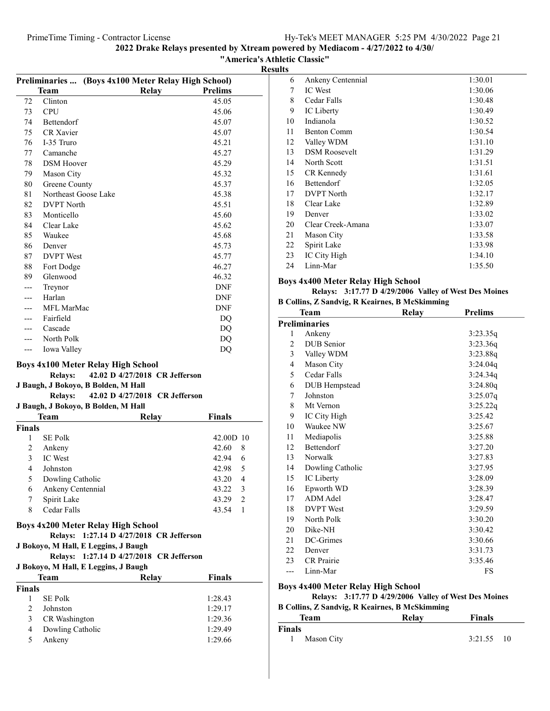ed by Mediacom - 4/27/2022 to 4/30/

Classic"

|                |                      | PrimeTimeTiming - Contractor License                |                                             |                |                     | Hy-                     |
|----------------|----------------------|-----------------------------------------------------|---------------------------------------------|----------------|---------------------|-------------------------|
|                |                      |                                                     | 2022 Drake Relays presented by Xtream power |                |                     |                         |
|                |                      |                                                     |                                             |                | "America's Athletic | <b>Results</b>          |
|                |                      | Preliminaries  (Boys 4x100 Meter Relay High School) |                                             |                |                     | 6                       |
|                | <b>Team</b>          |                                                     | <b>Relay</b>                                | <b>Prelims</b> |                     | 7                       |
| 72             | Clinton              |                                                     |                                             | 45.05          |                     | $\,$ $\,$               |
| 73             | <b>CPU</b>           |                                                     |                                             | 45.06          |                     | 9                       |
| 74             | Bettendorf           |                                                     |                                             | 45.07          |                     | 10                      |
| 75             | CR Xavier            |                                                     |                                             | 45.07          |                     | 11                      |
| 76             | I-35 Truro           |                                                     |                                             | 45.21          |                     | 12                      |
| 77             | Camanche             |                                                     |                                             | 45.27          |                     | 13                      |
| 78             | <b>DSM</b> Hoover    |                                                     |                                             | 45.29          |                     | 14                      |
| 79             | Mason City           |                                                     |                                             | 45.32          |                     | 15                      |
| 80             | Greene County        |                                                     |                                             | 45.37          |                     | 16                      |
| 81             | Northeast Goose Lake |                                                     |                                             | 45.38          |                     | 17                      |
| 82             | <b>DVPT</b> North    |                                                     |                                             | 45.51          |                     | 18                      |
| 83             | Monticello           |                                                     |                                             | 45.60          |                     | 19                      |
| 84             | Clear Lake           |                                                     |                                             | 45.62          |                     | 20                      |
| 85             | Waukee               |                                                     |                                             | 45.68          |                     | 21                      |
| 86             | Denver               |                                                     |                                             | 45.73          |                     | 22                      |
| 87             | <b>DVPT</b> West     |                                                     |                                             | 45.77          |                     | 23                      |
| 88             | Fort Dodge           |                                                     |                                             | 46.27          |                     | 24                      |
| 89             | Glenwood             |                                                     |                                             | 46.32          |                     |                         |
| ---            | Treynor              |                                                     |                                             | <b>DNF</b>     |                     | <b>Boys</b>             |
| ---            | Harlan               |                                                     |                                             | <b>DNF</b>     |                     |                         |
| ---            | MFL MarMac           |                                                     |                                             | <b>DNF</b>     |                     | <b>B</b> Col            |
| ---            | Fairfield            |                                                     |                                             | DQ             |                     |                         |
| ---            | Cascade              |                                                     |                                             | DQ             |                     | Preli                   |
| ---            | North Polk           |                                                     |                                             | DQ             |                     | 1                       |
| ---            | Iowa Valley          |                                                     |                                             | DQ             |                     | $\overline{c}$          |
|                |                      |                                                     |                                             |                |                     | $\overline{\mathbf{3}}$ |
|                |                      | <b>Boys 4x100 Meter Relay High School</b>           |                                             |                |                     | $\overline{4}$          |
|                | <b>Relays:</b>       |                                                     | 42.02 D 4/27/2018 CR Jefferson              |                |                     | 5                       |
|                |                      | J Baugh, J Bokoyo, B Bolden, M Hall                 |                                             |                |                     | 6                       |
|                | <b>Relays:</b>       |                                                     | 42.02 D 4/27/2018 CR Jefferson              |                |                     | $\boldsymbol{7}$        |
|                |                      | J Baugh, J Bokoyo, B Bolden, M Hall                 |                                             |                |                     | 8                       |
|                | Team                 |                                                     | Relay                                       | <b>Finals</b>  |                     | 9                       |
| <b>Finals</b>  |                      |                                                     |                                             |                |                     | 10                      |
| $\mathbf{1}$   | SE Polk              |                                                     |                                             | 42.00D 10      |                     | 11                      |
| $\overline{2}$ | Ankeny               |                                                     |                                             | 42.60          | $\,$ 8 $\,$         | 12                      |
| 3              | IC West              |                                                     |                                             | 42.94          | 6                   | 13                      |
| $\overline{4}$ | Johnston             |                                                     |                                             | 42.98          | 5                   | 14                      |
| 5              | Dowling Catholic     |                                                     |                                             | 43.20          | 4                   | 15                      |
| 6              | Ankeny Centennial    |                                                     |                                             | 43.22          | 3                   | 16                      |
| 7              | Spirit Lake          |                                                     |                                             | 43.29          | $\sqrt{2}$          | 17                      |
| 8              | Cedar Falls          |                                                     |                                             | 43.54          | $\mathbf{1}$        | 18                      |
|                |                      | <b>Boys 4x200 Meter Relay High School</b>           |                                             |                |                     | 19<br>20                |
|                |                      |                                                     |                                             |                |                     |                         |

### Relays: 1:27.14 D 4/27/2018 CR Jefferson

### J Bokoyo, M Hall, E Leggins, J Baugh

### Relays: 1:27.14 D 4/27/2018 CR Jefferson

### J Bokoyo, M Hall, E Leggins, J Baugh

|        | Team             | Relay | Finals  |  |
|--------|------------------|-------|---------|--|
| Finals |                  |       |         |  |
|        | <b>SE Polk</b>   |       | 1:28.43 |  |
|        | Johnston         |       | 1:29.17 |  |
| 3      | CR Washington    |       | 1:29.36 |  |
| 4      | Dowling Catholic |       | 1:29.49 |  |
| 5      | Ankeny           |       | 1:29.66 |  |
|        |                  |       |         |  |

| 6  | Ankeny Centennial    | 1:30.01 |
|----|----------------------|---------|
| 7  | <b>IC</b> West       | 1:30.06 |
| 8  | Cedar Falls          | 1:30.48 |
| 9  | IC Liberty           | 1:30.49 |
| 10 | Indianola            | 1:30.52 |
| 11 | Benton Comm          | 1:30.54 |
| 12 | Valley WDM           | 1:31.10 |
| 13 | <b>DSM Roosevelt</b> | 1:31.29 |
| 14 | North Scott          | 1:31.51 |
| 15 | CR Kennedy           | 1:31.61 |
| 16 | <b>Bettendorf</b>    | 1:32.05 |
| 17 | <b>DVPT</b> North    | 1:32.17 |
| 18 | Clear Lake           | 1:32.89 |
| 19 | Denver               | 1:33.02 |
| 20 | Clear Creek-Amana    | 1:33.07 |
| 21 | <b>Mason City</b>    | 1:33.58 |
| 22 | Spirit Lake          | 1:33.98 |
| 23 | IC City High         | 1:34.10 |
| 24 | Linn-Mar             | 1:35.50 |

### 4x400 Meter Relay High School

### Relays: 3:17.77 D 4/29/2006 Valley of West Des Moines

|  |  |  | <b>B Collins, Z Sandvig, R Keairnes, B McSkimming</b> |
|--|--|--|-------------------------------------------------------|
|  |  |  |                                                       |

|                | Team                 | Relay | <b>Prelims</b> |  |
|----------------|----------------------|-------|----------------|--|
|                | <b>Preliminaries</b> |       |                |  |
| 1              | Ankeny               |       | 3:23.35q       |  |
| $\overline{c}$ | <b>DUB</b> Senior    |       | 3:23.36q       |  |
| 3              | Valley WDM           |       | 3:23.88q       |  |
| 4              | Mason City           |       | 3:24.04q       |  |
| 5              | Cedar Falls          |       | 3:24.34q       |  |
| 6              | DUB Hempstead        |       | 3:24.80q       |  |
| 7              | Johnston             |       | 3:25.07q       |  |
| 8              | Mt Vernon            |       | 3:25.22q       |  |
| 9              | IC City High         |       | 3:25.42        |  |
| 10             | Waukee NW            |       | 3:25.67        |  |
| 11             | Mediapolis           |       | 3:25.88        |  |
| 12             | <b>Bettendorf</b>    |       | 3:27.20        |  |
| 13             | Norwalk              |       | 3:27.83        |  |
| 14             | Dowling Catholic     |       | 3:27.95        |  |
| 15             | IC Liberty           |       | 3:28.09        |  |
| 16             | Epworth WD           |       | 3:28.39        |  |
| 17             | <b>ADM</b> Adel      |       | 3:28.47        |  |
| 18             | <b>DVPT</b> West     |       | 3:29.59        |  |
| 19             | North Polk           |       | 3:30.20        |  |
| 20             | Dike-NH              |       | 3:30.42        |  |
| 21             | DC-Grimes            |       | 3:30.66        |  |
| 22             | Denver               |       | 3:31.73        |  |
| 23             | <b>CR</b> Prairie    |       | 3:35.46        |  |
| ---            | Linn-Mar             |       | FS             |  |

### Boys 4x400 Meter Relay High School

Relays:  $3:17.77$  D  $4/29/2006$  Valley of West Des Moines

| <b>B Collins, Z Sandvig, R Keairnes, B McSkimming</b> |            |       |         |     |
|-------------------------------------------------------|------------|-------|---------|-----|
|                                                       | Team       | Relay | Finals  |     |
| Finals                                                |            |       |         |     |
|                                                       | Mason City |       | 3:21.55 | -10 |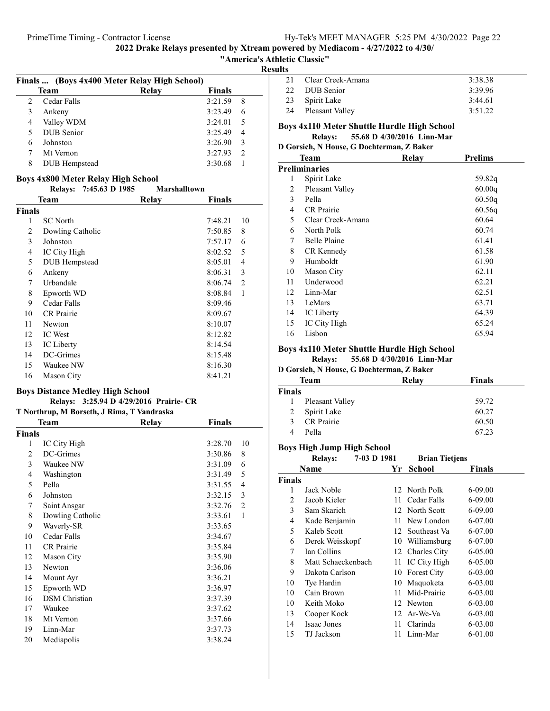### "America's Athletic Classic"

Results

|                   | Relay       | <b>Finals</b> |                                              |
|-------------------|-------------|---------------|----------------------------------------------|
| Cedar Falls       |             | 3:21.59       | 8                                            |
| Ankeny            |             | 3:23.49       | 6                                            |
| Valley WDM        |             | 3:24.01       | 5                                            |
| <b>DUB</b> Senior |             | 3:25.49       | 4                                            |
| Johnston          |             | 3:26.90       | 3                                            |
| Mt Vernon         |             | 3:27.93       | $\mathcal{D}$                                |
| DUB Hempstead     |             | 3:30.68       |                                              |
|                   | <b>Team</b> |               | Finals  (Boys 4x400 Meter Relay High School) |

### Boys 4x800 Meter Relay High School

### Relays:  $7:45.63$  D  $1985$  Marshalltown

| Team<br><b>Finals</b> |                   | Relay | Finals  |                |
|-----------------------|-------------------|-------|---------|----------------|
|                       |                   |       |         |                |
| 1                     | <b>SC</b> North   |       | 7:48.21 | 10             |
| 2                     | Dowling Catholic  |       | 7:50.85 | 8              |
| 3                     | Johnston          |       | 7:57.17 | 6              |
| 4                     | IC City High      |       | 8:02.52 | 5              |
| 5                     | DUB Hempstead     |       | 8:05.01 | 4              |
| 6                     | Ankeny            |       | 8:06.31 | 3              |
| 7                     | Urbandale         |       | 8:06.74 | $\overline{2}$ |
| 8                     | Epworth WD        |       | 8:08.84 | 1              |
| 9                     | Cedar Falls       |       | 8:09.46 |                |
| 10                    | <b>CR</b> Prairie |       | 8:09.67 |                |
| 11                    | Newton            |       | 8:10.07 |                |
| 12                    | <b>IC</b> West    |       | 8:12.82 |                |
| 13                    | IC Liberty        |       | 8:14.54 |                |
| 14                    | DC-Grimes         |       | 8:15.48 |                |
| 15                    | Waukee NW         |       | 8:16.30 |                |
| 16                    | Mason City        |       | 8:41.21 |                |

### Boys Distance Medley High School

### Relays: 3:25.94 D 4/29/2016 Prairie- CR

| T Northrup, M Borseth, J Rima, T Vandraska |                      |       |               |                |  |  |
|--------------------------------------------|----------------------|-------|---------------|----------------|--|--|
|                                            | <b>Team</b>          | Relay | <b>Finals</b> |                |  |  |
| <b>Finals</b>                              |                      |       |               |                |  |  |
| 1                                          | IC City High         |       | 3:28.70       | 10             |  |  |
| 2                                          | DC-Grimes            |       | 3:30.86       | 8              |  |  |
| 3                                          | Waukee NW            |       | 3:31.09       | 6              |  |  |
| 4                                          | Washington           |       | 3:31.49       | 5              |  |  |
| 5                                          | Pella                |       | 3:31.55       | 4              |  |  |
| 6                                          | Johnston             |       | 3:32.15       | 3              |  |  |
| 7                                          | Saint Ansgar         |       | 3:32.76       | $\overline{2}$ |  |  |
| 8                                          | Dowling Catholic     |       | 3:33.61       | $\mathbf{1}$   |  |  |
| 9                                          | Waverly-SR           |       | 3:33.65       |                |  |  |
| 10                                         | Cedar Falls          |       | 3:34.67       |                |  |  |
| 11                                         | <b>CR</b> Prairie    |       | 3:35.84       |                |  |  |
| 12                                         | Mason City           |       | 3:35.90       |                |  |  |
| 13                                         | Newton               |       | 3:36.06       |                |  |  |
| 14                                         | Mount Ayr            |       | 3:36.21       |                |  |  |
| 15                                         | Epworth WD           |       | 3:36.97       |                |  |  |
| 16                                         | <b>DSM</b> Christian |       | 3:37.39       |                |  |  |
| 17                                         | Waukee               |       | 3:37.62       |                |  |  |
| 18                                         | Mt Vernon            |       | 3:37.66       |                |  |  |
| 19                                         | Linn-Mar             |       | 3:37.73       |                |  |  |
| 20                                         | Mediapolis           |       | 3:38.24       |                |  |  |

| 21           | - Clear Creek-Amana | 3:38.38 |
|--------------|---------------------|---------|
| $22^{\circ}$ | DUB Senior          | 3:39.96 |
|              | 23 Spirit Lake      | 3:44.61 |
|              | 24 Pleasant Valley  | 3:51.22 |
|              |                     |         |

### Boys 4x110 Meter Shuttle Hurdle High School

### Relays: 55.68 D 4/30/2016 Linn-Mar

### D Gorsich, N House, G Dochterman, Z Baker

|    | <b>Team</b>         | Relay | <b>Prelims</b> |
|----|---------------------|-------|----------------|
|    | Preliminaries       |       |                |
| 1  | Spirit Lake         |       | 59.82q         |
| 2  | Pleasant Valley     |       | 60.00q         |
| 3  | Pella               |       | 60.50q         |
| 4  | <b>CR</b> Prairie   |       | 60.56q         |
| 5  | Clear Creek-Amana   |       | 60.64          |
| 6  | North Polk          |       | 60.74          |
| 7  | <b>Belle Plaine</b> |       | 61.41          |
| 8  | CR Kennedy          |       | 61.58          |
| 9  | Humboldt            |       | 61.90          |
| 10 | <b>Mason City</b>   |       | 62.11          |
| 11 | Underwood           |       | 62.21          |
| 12 | Linn-Mar            |       | 62.51          |
| 13 | LeMars              |       | 63.71          |
| 14 | IC Liberty          |       | 64.39          |
| 15 | IC City High        |       | 65.24          |
| 16 | Lisbon              |       | 65.94          |
|    |                     |       |                |

### Boys 4x110 Meter Shuttle Hurdle High School

Relays: 55.68 D 4/30/2016 Linn-Mar

D Gorsich, N House, G Dochterman, Z Baker

| Team          |                   | Relay | <b>Finals</b> |  |  |
|---------------|-------------------|-------|---------------|--|--|
| <b>Finals</b> |                   |       |               |  |  |
| 1             | Pleasant Valley   |       | 59.72         |  |  |
| 2             | Spirit Lake       |       | 60.27         |  |  |
| 3             | <b>CR</b> Prairie |       | 60.50         |  |  |
| Δ             | Pella             |       | 67.23         |  |  |
|               |                   |       |               |  |  |

## Boys High Jump High School

|        | <b>Relays:</b>     | 7-03 D 1981 |     | <b>Brian Tietjens</b> |         |
|--------|--------------------|-------------|-----|-----------------------|---------|
|        | Name               |             | Yr  | School                | Finals  |
| Finals |                    |             |     |                       |         |
| 1      | Jack Noble         |             |     | 12 North Polk         | 6-09.00 |
| 2      | Jacob Kieler       |             |     | 11 Cedar Falls        | 6-09.00 |
| 3      | Sam Skarich        |             |     | 12 North Scott        | 6-09.00 |
| 4      | Kade Benjamin      |             |     | 11 New London         | 6-07.00 |
| 5      | Kaleb Scott        |             |     | 12 Southeast Va       | 6-07.00 |
| 6      | Derek Weisskopf    |             |     | 10 Williamsburg       | 6-07.00 |
| 7      | Ian Collins        |             |     | 12 Charles City       | 6-05.00 |
| 8      | Matt Schaeckenbach |             |     | 11 IC City High       | 6-05.00 |
| 9      | Dakota Carlson     |             | 10  | <b>Forest City</b>    | 6-03.00 |
| 10     | Tye Hardin         |             |     | 10 Maquoketa          | 6-03.00 |
| 10     | Cain Brown         |             | 11  | Mid-Prairie           | 6-03.00 |
| 10     | Keith Moko         |             |     | 12 Newton             | 6-03.00 |
| 13     | Cooper Kock        |             |     | 12 Ar-We-Va           | 6-03.00 |
| 14     | Isaac Jones        |             | 11  | Clarinda              | 6-03.00 |
| 15     | TJ Jackson         |             | 11. | Linn-Mar              | 6-01.00 |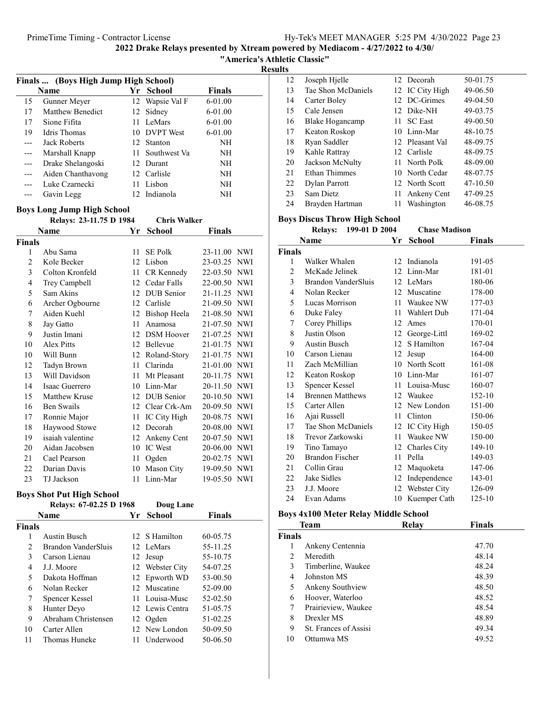"America's Athletic Classic"

Results

| Finals  (Boys High Jump High School) |                     |     |                 |           |  |
|--------------------------------------|---------------------|-----|-----------------|-----------|--|
|                                      | Name                | Yr. | School          | Finals    |  |
| 15                                   | Gunner Meyer        |     | 12 Wapsie Val F | 6-01.00   |  |
| 17                                   | Matthew Benedict    |     | 12 Sidney       | $6-01.00$ |  |
| 17                                   | Sione Fifita        |     | LeMars          | $6-01.00$ |  |
| 19                                   | Idris Thomas        |     | 10 DVPT West    | 6-01.00   |  |
|                                      | <b>Jack Roberts</b> |     | 12 Stanton      | NH        |  |
|                                      | Marshall Knapp      |     | 11 Southwest Va | NH        |  |
|                                      | Drake Shelangoski   |     | 12 Durant       | NH        |  |
|                                      | Aiden Chanthavong   |     | 12 Carlisle     | NH        |  |
|                                      | Luke Czarnecki      |     | 11 Lisbon       | NH        |  |
|                                      | Gavin Legg          |     | 12 Indianola    | NH        |  |

### Boys Long Jump High School

|                | Relays: 23-11.75 D 1984 |    | <b>Chris Walker</b> |                        |
|----------------|-------------------------|----|---------------------|------------------------|
|                | Name                    | Yr | <b>School</b>       | <b>Finals</b>          |
| Finals         |                         |    |                     |                        |
| 1              | Abu Sama                | 11 | <b>SE Polk</b>      | <b>NWI</b><br>23-11.00 |
| $\overline{2}$ | Kole Becker             | 12 | Lisbon              | 23-03.25 NWI           |
| 3              | Colton Kronfeld         | 11 | CR Kennedy          | 22-03.50<br><b>NWI</b> |
| $\overline{4}$ | Trey Campbell           | 12 | Cedar Falls         | 22-00.50 NWI           |
| 5              | Sam Akins               | 12 | <b>DUB</b> Senior   | 21-11.25 NWI           |
| 6              | Archer Ogbourne         | 12 | Carlisle            | 21-09.50 NWI           |
| 7              | Aiden Kuehl             | 12 | Bishop Heela        | 21-08.50 NWI           |
| 8              | Jay Gatto               | 11 | Anamosa             | 21-07.50<br><b>NWI</b> |
| 9              | Justin Imani            | 12 | <b>DSM</b> Hoover   | 21-07.25 NWI           |
| 10             | <b>Alex Pitts</b>       | 12 | Bellevue            | 21-01.75<br><b>NWI</b> |
| 10             | Will Bunn               | 12 | Roland-Story        | 21-01.75 NWI           |
| 12             | Tadyn Brown             | 11 | Clarinda            | 21-01.00<br>NWI        |
| 13             | Will Davidson           | 11 | Mt Pleasant         | 20-11.75<br><b>NWI</b> |
| 14             | Isaac Guerrero          | 10 | Linn-Mar            | 20-11.50<br><b>NWI</b> |
| 15             | Matthew Kruse           | 12 | <b>DUB</b> Senior   | 20-10.50 NWI           |
| 16             | Ben Swails              | 12 | Clear Crk-Am        | 20-09.50<br>NWI        |
| 17             | Ronnie Major            | 11 | IC City High        | 20-08.75<br><b>NWI</b> |
| 18             | Haywood Stowe           | 12 | Decorah             | <b>NWI</b><br>20-08.00 |
| 19             | isaiah valentine        | 12 | Ankeny Cent         | 20-07.50<br>NWI        |
| 20             | Aidan Jacobsen          | 10 | <b>IC</b> West      | 20-06.00 NWI           |
| 21             | Cael Pearson            | 11 | Ogden               | 20-02.75<br>NWI        |
| 22             | Darian Davis            | 10 | Mason City          | 19-09.50 NWI           |
| 23             | TJ Jackson              | 11 | Linn-Mar            | 19-05.50<br><b>NWI</b> |

# Boys Shot Put High School

|               | Relays: 67-02.25 D 1968 |     | Doug Lane       |               |
|---------------|-------------------------|-----|-----------------|---------------|
|               | Name                    | Yr  | School          | <b>Finals</b> |
| <b>Finals</b> |                         |     |                 |               |
| 1             | Austin Busch            |     | 12 S Hamilton   | 60-05.75      |
| 2             | Brandon VanderSluis     |     | 12 LeMars       | 55-11.25      |
| 3             | Carson Lienau           |     | 12 Jesup        | 55-10.75      |
| 4             | J.J. Moore              |     | 12 Webster City | 54-07.25      |
| 5             | Dakota Hoffman          |     | 12 Epworth WD   | 53-00.50      |
| 6             | Nolan Recker            |     | 12 Muscatine    | 52-09.00      |
| 7             | Spencer Kessel          |     | 11 Louisa-Musc  | 52-02.50      |
| 8             | Hunter Deyo             |     | 12 Lewis Centra | 51-05.75      |
| 9             | Abraham Christensen     |     | 12 Ogden        | 51-02.25      |
| 10            | Carter Allen            |     | 12 New London   | 50-09.50      |
| 11            | Thomas Huneke           | 11. | Underwood       | 50-06.50      |

| 12 | Joseph Hjelle      |     | 12 Decorah      | 50-01.75 |
|----|--------------------|-----|-----------------|----------|
| 13 | Tae Shon McDaniels |     | 12 IC City High | 49-06.50 |
| 14 | Carter Boley       |     | 12 DC-Grimes    | 49-04.50 |
| 15 | Cale Jensen        |     | 12 Dike-NH      | 49-03.75 |
| 16 | Blake Hogancamp    |     | 11 SC East      | 49-00.50 |
| 17 | Keaton Roskop      |     | 10 Linn-Mar     | 48-10.75 |
| 18 | Ryan Saddler       |     | 12 Pleasant Val | 48-09.75 |
| 19 | Kahle Rattray      |     | 12 Carlisle     | 48-09.75 |
| 20 | Jackson McNulty    |     | 11 North Polk   | 48-09.00 |
| 21 | Ethan Thimmes      |     | 10 North Cedar  | 48-07.75 |
| 22 | Dylan Parrott      |     | 12 North Scott  | 47-10.50 |
| 23 | Sam Dietz          | 11- | Ankeny Cent     | 47-09.25 |
| 24 | Brayden Hartman    | 11  | Washington      | 46-08.75 |
|    |                    |     |                 |          |

### Boys Discus Throw High School

|                | 199-01 D 2004<br><b>Relays:</b> |    | <b>Chase Madison</b> |               |  |
|----------------|---------------------------------|----|----------------------|---------------|--|
|                | Name                            | Yr | <b>School</b>        | <b>Finals</b> |  |
| <b>Finals</b>  |                                 |    |                      |               |  |
| 1              | Walker Whalen                   |    | 12 Indianola         | 191-05        |  |
| $\overline{2}$ | McKade Jelinek                  |    | 12 Linn-Mar          | 181-01        |  |
| 3              | Brandon VanderSluis             |    | 12 LeMars            | 180-06        |  |
| 4              | Nolan Recker                    | 12 | Muscatine            | 178-00        |  |
| 5              | Lucas Morrison                  |    | 11 Waukee NW         | 177-03        |  |
| 6              | Duke Faley                      | 11 | Wahlert Dub          | 171-04        |  |
| 7              | Corey Phillips                  | 12 | Ames                 | 170-01        |  |
| 8              | Justin Olson                    | 12 | George-Littl         | 169-02        |  |
| 9              | Austin Busch                    | 12 | S Hamilton           | 167-04        |  |
| 10             | Carson Lienau                   | 12 | Jesup                | 164-00        |  |
| 11             | Zach McMillian                  |    | 10 North Scott       | 161-08        |  |
| 12             | Keaton Roskop                   |    | 10 Linn-Mar          | 161-07        |  |
| 13             | <b>Spencer Kessel</b>           |    | 11 Louisa-Musc       | 160-07        |  |
| 14             | <b>Brennen Matthews</b>         |    | 12 Waukee            | 152-10        |  |
| 15             | Carter Allen                    |    | 12 New London        | 151-00        |  |
| 16             | Ajai Russell                    | 11 | Clinton              | 150-06        |  |
| 17             | Tae Shon McDaniels              | 12 | IC City High         | 150-05        |  |
| 18             | Trevor Zarkowski                |    | 11 Waukee NW         | 150-00        |  |
| 19             | Tino Tamayo                     |    | 12 Charles City      | 149-10        |  |
| 20             | Brandon Fischer                 | 11 | Pella                | 149-03        |  |
| 21             | Collin Grau                     | 12 | Maquoketa            | 147-06        |  |
| 22             | Jake Sidles                     | 12 | Independence         | 143-01        |  |
| 23             | J.J. Moore                      |    | 12 Webster City      | 126-09        |  |
| 24             | Evan Adams                      | 10 | Kuemper Cath         | 125-10        |  |

### Boys 4x100 Meter Relay Middle School

|               | Team                  | Relay | Finals |  |
|---------------|-----------------------|-------|--------|--|
| <b>Finals</b> |                       |       |        |  |
| 1             | Ankeny Centennia      |       | 47.70  |  |
| 2             | Meredith              |       | 48.14  |  |
| 3             | Timberline, Waukee    |       | 48.24  |  |
| 4             | Johnston MS           |       | 48.39  |  |
| 5             | Ankeny Southview      |       | 48.50  |  |
| 6             | Hoover, Waterloo      |       | 48.52  |  |
| 7             | Prairieview, Waukee   |       | 48.54  |  |
| 8             | Drexler MS            |       | 48.89  |  |
| 9             | St. Frances of Assisi |       | 49.34  |  |
| 10            | Ottumwa MS            |       | 49.52  |  |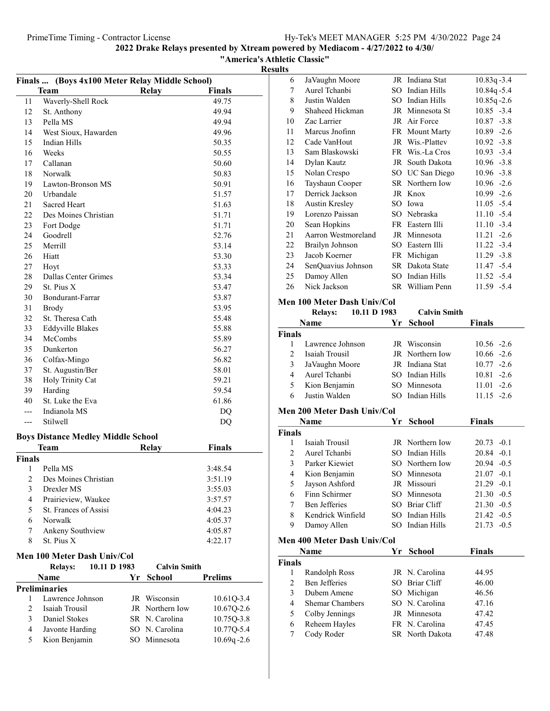"America's Athletic Classic"

| Finals  (Boys 4x100 Meter Relay Middle School) |                                           |    |                                 |                |  |
|------------------------------------------------|-------------------------------------------|----|---------------------------------|----------------|--|
|                                                | <b>Team</b>                               |    | Relay                           | <b>Finals</b>  |  |
| 11                                             | Waverly-Shell Rock                        |    |                                 | 49.75          |  |
| 12                                             | St. Anthony                               |    |                                 | 49.94          |  |
| 13                                             | Pella MS                                  |    |                                 | 49.94          |  |
| 14                                             | West Sioux, Hawarden                      |    |                                 | 49.96          |  |
| 15                                             | <b>Indian Hills</b>                       |    |                                 | 50.35          |  |
| 16                                             | Weeks                                     |    |                                 | 50.55          |  |
| 17                                             | Callanan                                  |    |                                 | 50.60          |  |
| 18                                             | Norwalk                                   |    |                                 | 50.83          |  |
| 19                                             | Lawton-Bronson MS                         |    |                                 | 50.91          |  |
| 20                                             | Urbandale                                 |    |                                 | 51.57          |  |
| 21                                             | Sacred Heart                              |    |                                 | 51.63          |  |
| 22                                             | Des Moines Christian                      |    |                                 | 51.71          |  |
| 23                                             | Fort Dodge                                |    |                                 | 51.71          |  |
| 24                                             | Goodrell                                  |    |                                 | 52.76          |  |
| 25                                             | Merrill                                   |    |                                 | 53.14          |  |
| 26                                             | Hiatt                                     |    |                                 | 53.30          |  |
| 27                                             | Hoyt                                      |    |                                 | 53.33          |  |
| 28                                             | Dallas Center Grimes                      |    |                                 | 53.34          |  |
| 29                                             | St. Pius X                                |    |                                 | 53.47          |  |
| 30                                             | Bondurant-Farrar                          |    |                                 | 53.87          |  |
| 31                                             | <b>Brody</b>                              |    |                                 | 53.95          |  |
| 32                                             | St. Theresa Cath                          |    |                                 | 55.48          |  |
| 33                                             | <b>Eddyville Blakes</b>                   |    |                                 | 55.88          |  |
| 34                                             | McCombs                                   |    |                                 | 55.89          |  |
| 35                                             | Dunkerton                                 |    |                                 | 56.27          |  |
| 36                                             | Colfax-Mingo                              |    |                                 | 56.82          |  |
| 37                                             | St. Augustin/Ber                          |    |                                 | 58.01          |  |
| 38                                             | Holy Trinity Cat                          |    |                                 | 59.21          |  |
| 39                                             | Harding                                   |    |                                 | 59.54          |  |
| 40                                             | St. Luke the Eva                          |    |                                 | 61.86          |  |
| $---$                                          | Indianola MS                              |    |                                 | DQ             |  |
| ---                                            | Stilwell                                  |    |                                 | DQ             |  |
|                                                |                                           |    |                                 |                |  |
|                                                | <b>Boys Distance Medley Middle School</b> |    |                                 |                |  |
|                                                | Team                                      |    | <b>Relay</b>                    | Finals         |  |
| Finals                                         |                                           |    |                                 |                |  |
| 1                                              | Pella MS                                  |    |                                 | 3:48.54        |  |
| 2                                              | Des Moines Christian                      |    |                                 | 3:51.19        |  |
| 3                                              | Drexler MS                                |    |                                 | 3:55.03        |  |
| $\overline{\mathbf{4}}$                        | Prairieview, Waukee                       |    |                                 | 3:57.57        |  |
| 5                                              | St. Frances of Assisi                     |    |                                 | 4:04.23        |  |
| 6                                              | Norwalk                                   |    |                                 | 4:05.37        |  |
| 7                                              | Ankeny Southview                          |    |                                 | 4:05.87        |  |
| 8                                              | St. Pius X                                |    |                                 | 4:22.17        |  |
|                                                | Men 100 Meter Dash Univ/Col               |    |                                 |                |  |
|                                                | 10.11 D 1983                              |    | <b>Calvin Smith</b>             |                |  |
|                                                | <b>Relays:</b><br>Name                    | Yr | <b>School</b>                   | <b>Prelims</b> |  |
|                                                | <b>Preliminaries</b>                      |    |                                 |                |  |
|                                                | Lawrence Johnson                          |    |                                 |                |  |
| 1<br>2                                         | Isaiah Trousil                            |    | JR Wisconsin<br>JR Northern Iow | 10.61Q-3.4     |  |
| 3                                              | <b>Daniel Stokes</b>                      |    |                                 | 10.67Q-2.6     |  |
| $\overline{4}$                                 |                                           |    | SR N. Carolina                  | 10.75Q-3.8     |  |
|                                                | Javonte Harding                           |    | SO N. Carolina                  | 10.77Q-5.4     |  |
| 5                                              | Kion Benjamin                             |    | SO Minnesota                    | $10.69q - 2.6$ |  |

| 6  | JaVaughn Moore      |        | JR Indiana Stat | $10.83q - 3.4$ |
|----|---------------------|--------|-----------------|----------------|
| 7  | Aurel Tchanbi       | SO.    | Indian Hills    | $10.84q - 5.4$ |
| 8  | Justin Walden       | $SO^-$ | Indian Hills    | $10.85q - 2.6$ |
| 9  | Shaheed Hickman     |        | JR Minnesota St | $10.85 - 3.4$  |
| 10 | Zac Larrier         |        | JR Air Force    | $10.87 - 3.8$  |
| 11 | Marcus Jnofinn      |        | FR Mount Marty  | $10.89 - 2.6$  |
| 12 | Cade VanHout        |        | JR Wis.-Plattev | $10.92 -3.8$   |
| 13 | Sam Blaskowski      |        | FR Wis.-La Cros | $10.93 - 3.4$  |
| 14 | Dylan Kautz         |        | JR South Dakota | $10.96 - 3.8$  |
| 15 | Nolan Crespo        |        | SO UC San Diego | $10.96 - 3.8$  |
| 16 | Tayshaun Cooper     |        | SR Northern Iow | $10.96 -2.6$   |
| 17 | Derrick Jackson     |        | JR Knox         | $10.99 - 2.6$  |
| 18 | Austin Kresley      |        | SO Iowa         | $11.05 - 5.4$  |
| 19 | Lorenzo Paissan     |        | SO Nebraska     | $11.10 - 5.4$  |
| 20 | Sean Hopkins        |        | FR Eastern Illi | $11.10 - 3.4$  |
| 21 | Aarron Westmoreland |        | JR Minnesota    | $11.21 - 2.6$  |
| 22 | Brailyn Johnson     | SO.    | Eastern Illi    | $11.22 - 3.4$  |
| 23 | Jacob Koerner       |        | FR Michigan     | $11.29 - 3.8$  |
| 24 | SenQuavius Johnson  |        | SR Dakota State | 11.47 -5.4     |
| 25 | Damoy Allen         | SO.    | Indian Hills    | $11.52 - 5.4$  |
| 26 | Nick Jackson        |        | SR William Penn | 11.59 -5.4     |
|    |                     |        |                 |                |

### Men 100 Meter Dash Univ/Col

| <b>Relays:</b>       |     | <b>Calvin Smith</b>                                             |                                                                                                                                                              |
|----------------------|-----|-----------------------------------------------------------------|--------------------------------------------------------------------------------------------------------------------------------------------------------------|
| Name                 | Yr  | <b>School</b>                                                   | <b>Finals</b>                                                                                                                                                |
| Finals               |     |                                                                 |                                                                                                                                                              |
| Lawrence Johnson     |     |                                                                 | $10.56 - 2.6$                                                                                                                                                |
| Isaiah Trousil       |     |                                                                 | $10.66 - 2.6$                                                                                                                                                |
| JaVaughn Moore       |     | Indiana Stat                                                    | $10.77 - 2.6$                                                                                                                                                |
| Aurel Tchanbi        | SO. | Indian Hills                                                    | $10.81 - 2.6$                                                                                                                                                |
| Kion Benjamin        |     |                                                                 | $11.01 -2.6$                                                                                                                                                 |
| Justin Walden        |     |                                                                 | $11.15 - 2.6$                                                                                                                                                |
|                      |     |                                                                 |                                                                                                                                                              |
| Name                 | Yr  | School                                                          | <b>Finals</b>                                                                                                                                                |
| <b>Finals</b>        |     |                                                                 |                                                                                                                                                              |
| Isaiah Trousil       |     |                                                                 | $20.73 - 0.1$                                                                                                                                                |
| Aurel Tchanbi        |     | Indian Hills                                                    | $20.84 - 0.1$                                                                                                                                                |
| Parker Kiewiet       |     |                                                                 | $20.94 - 0.5$                                                                                                                                                |
| Kion Benjamin        | SО  | Minnesota                                                       | 21.07<br>$-0.1$                                                                                                                                              |
| Jayson Ashford       |     |                                                                 | $21.29 - 0.1$                                                                                                                                                |
| Finn Schirmer        |     | Minnesota                                                       | $21.30 -0.5$                                                                                                                                                 |
| <b>Ben Jefferies</b> | SO. | Briar Cliff                                                     | 21.30<br>$-0.5$                                                                                                                                              |
| Kendrick Winfield    |     |                                                                 | $21.42 -0.5$                                                                                                                                                 |
| Damoy Allen          | SO. | Indian Hills                                                    | 21.73<br>$-0.5$                                                                                                                                              |
|                      |     | 10.11 D 1983<br>JR<br>SO.<br><b>Men 200 Meter Dash Univ/Col</b> | <b>IR</b> Wisconsin<br>JR Northern Iow<br>Minnesota<br>SO Indian Hills<br>JR Northern Iow<br>SO.<br>SO Northern Iow<br>JR Missouri<br>SO.<br>SO Indian Hills |

### Men 400 Meter Dash Univ/Col

|               | Name                   | Yr School              | <b>Finals</b> |  |
|---------------|------------------------|------------------------|---------------|--|
| <b>Finals</b> |                        |                        |               |  |
|               | Randolph Ross          | JR N. Carolina         | 44.95         |  |
| $\mathcal{D}$ | Ben Jefferies          | SO Briar Cliff         | 46.00         |  |
| 3             | Dubem Amene            | SO Michigan            | 46.56         |  |
| 4             | <b>Shemar Chambers</b> | SO N. Carolina         | 47.16         |  |
| 5             | Colby Jennings         | JR Minnesota           | 47.42         |  |
| 6             | Reheem Hayles          | FR N. Carolina         | 47.45         |  |
|               | Cody Roder             | <b>SR</b> North Dakota | 47.48         |  |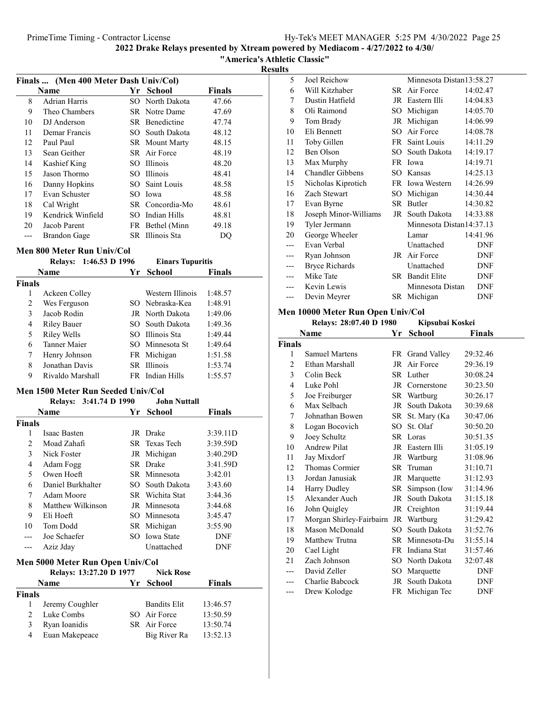"America's Athletic Classic"

Results

| Finals  (Men 400 Meter Dash Univ/Col) |                   |      |                 |               |  |
|---------------------------------------|-------------------|------|-----------------|---------------|--|
|                                       | Name              | Yr ' | <b>School</b>   | <b>Finals</b> |  |
| 8                                     | Adrian Harris     |      | SO North Dakota | 47.66         |  |
| 9                                     | Theo Chambers     |      | SR Notre Dame   | 47.69         |  |
| 10                                    | DJ Anderson       |      | SR Benedictine  | 47.74         |  |
| 11                                    | Demar Francis     |      | SO South Dakota | 48.12         |  |
| 12                                    | Paul Paul         |      | SR Mount Marty  | 48.15         |  |
| 13                                    | Sean Geither      |      | SR Air Force    | 48.19         |  |
| 14                                    | Kashief King      |      | SO Illinois     | 48.20         |  |
| 15                                    | Jason Thormo      |      | SO Illinois     | 48.41         |  |
| 16                                    | Danny Hopkins     |      | SO Saint Louis  | 48.58         |  |
| 17                                    | Evan Schuster     |      | SO Iowa         | 48.58         |  |
| 18                                    | Cal Wright        |      | SR Concordia-Mo | 48.61         |  |
| 19                                    | Kendrick Winfield |      | SO Indian Hills | 48.81         |  |
| 20                                    | Jacob Parent      |      | FR Bethel (Minn | 49.18         |  |
|                                       | Brandon Gage      |      | SR Illinois Sta | DO            |  |

### Men 800 Meter Run Univ/Col

|        | 1:46.53 D 1996<br><b>Relays:</b> | <b>Einars Tupuritis</b> |               |
|--------|----------------------------------|-------------------------|---------------|
|        | <b>Name</b>                      | Yr School               | <b>Finals</b> |
| Finals |                                  |                         |               |
| 1      | Ackeen Colley                    | Western Illinois        | 1:48.57       |
| 2      | Wes Ferguson                     | SO Nebraska-Kea         | 1:48.91       |
| 3      | Jacob Rodin                      | JR North Dakota         | 1:49.06       |
| 4      | <b>Riley Bauer</b>               | SO South Dakota         | 1:49.36       |
| 5      | Riley Wells                      | SO Illinois Sta         | 1:49.44       |
| 6      | Tanner Maier                     | SO Minnesota St         | 1:49.64       |
| 7      | Henry Johnson                    | FR Michigan             | 1:51.58       |
| 8      | Jonathan Davis                   | SR Illinois             | 1:53.74       |
| 9      | Rivaldo Marshall                 | FR Indian Hills         | 1:55.57       |

### Men 1500 Meter Run Seeded Univ/Col

|               | Relays: 3:41.74 D 1990 |     | <b>John Nuttall</b> |               |
|---------------|------------------------|-----|---------------------|---------------|
|               | Name                   | Yr. | School              | <b>Finals</b> |
| <b>Finals</b> |                        |     |                     |               |
| 1             | Isaac Basten           |     | JR Drake            | 3:39.11D      |
| 2             | Moad Zahafi            |     | SR Texas Tech       | 3:39.59D      |
| 3             | Nick Foster            |     | JR Michigan         | 3:40.29D      |
| 4             | Adam Fogg              |     | SR Drake            | 3:41.59D      |
| 5             | Owen Hoeft             |     | SR Minnesota        | 3:42.01       |
| 6             | Daniel Burkhalter      |     | SO South Dakota     | 3:43.60       |
| 7             | Adam Moore             |     | SR Wichita Stat     | 3:44.36       |
| 8             | Matthew Wilkinson      |     | JR Minnesota        | 3:44.68       |
| 9             | Eli Hoeft              |     | SO Minnesota        | 3:45.47       |
| 10            | Tom Dodd               |     | SR Michigan         | 3:55.90       |
|               | Joe Schaefer           |     | SO Iowa State       | DNF           |
| ---           | Aziz Jday              |     | Unattached          | DNF           |

#### Men 5000 Meter Run Open Univ/Col Relays: 13:27.20 D 1977 Nick Rose

|               | Name            | Yr School           | Finals   |  |
|---------------|-----------------|---------------------|----------|--|
| Finals        |                 |                     |          |  |
|               | Jeremy Coughler | <b>Bandits Elit</b> | 13:46.57 |  |
| $\mathcal{D}$ | Luke Combs      | SO Air Force        | 13:50.59 |  |
| 3             | Ryan Ioanidis   | SR Air Force        | 13:50.74 |  |
| 4             | Euan Makepeace  | Big River Ra        | 13:52.13 |  |
|               |                 |                     |          |  |

| 5   | Joel Reichow            |     | Minnesota Distan13:58.27 |            |
|-----|-------------------------|-----|--------------------------|------------|
| 6   | Will Kitzhaber          |     | SR Air Force             | 14:02.47   |
| 7   | Dustin Hatfield         | JR  | Eastern Illi             | 14:04.83   |
| 8   | Oli Raimond             | SO  | Michigan                 | 14:05.70   |
| 9   | Tom Brady               | JR  | Michigan                 | 14:06.99   |
| 10  | Eli Bennett             | SO. | Air Force                | 14:08.78   |
| 11  | Toby Gillen             | FR  | Saint Louis              | 14:11.29   |
| 12  | Ben Olson               | SO. | South Dakota             | 14:19.17   |
| 13  | Max Murphy              |     | FR Iowa                  | 14:19.71   |
| 14  | <b>Chandler Gibbens</b> | SO. | Kansas                   | 14:25.13   |
| 15  | Nicholas Kiprotich      |     | FR Iowa Western          | 14:26.99   |
| 16  | Zach Stewart            | SO  | Michigan                 | 14:30.44   |
| 17  | Evan Byrne              | SR. | Butler                   | 14:30.82   |
| 18  | Joseph Minor-Williams   |     | JR South Dakota          | 14:33.88   |
| 19  | Tyler Jermann           |     | Minnesota Distan14:37.13 |            |
| 20  | George Wheeler          |     | Lamar                    | 14:41.96   |
|     | Evan Verbal             |     | Unattached               | DNF        |
|     | Ryan Johnson            | JR  | Air Force                | DNF        |
| --- | <b>Bryce Richards</b>   |     | Unattached               | DNF        |
| --- | Mike Tate               |     | SR Bandit Elite          | DNF        |
|     | Kevin Lewis             |     | Minnesota Distan         | DNF        |
|     | Devin Meyrer            | SR  | Michigan                 | <b>DNF</b> |
|     |                         |     |                          |            |

### Men 10000 Meter Run Open Univ/Col

| Relays: 28:07.40 D 1980 | Kipsubai Koskei |
|-------------------------|-----------------|

|        | Name                     | Yr     | School          | Finals   |
|--------|--------------------------|--------|-----------------|----------|
| Finals |                          |        |                 |          |
| 1      | <b>Samuel Martens</b>    |        | FR Grand Valley | 29:32.46 |
| 2      | Ethan Marshall           | JR     | Air Force       | 29:36.19 |
| 3      | Colin Beck               |        | SR Luther       | 30:08.24 |
| 4      | Luke Pohl                |        | JR Cornerstone  | 30:23.50 |
| 5      | Joe Freiburger           |        | SR Wartburg     | 30:26.17 |
| 6      | Max Selbach              |        | JR South Dakota | 30:39.68 |
| 7      | Johnathan Bowen          |        | SR St. Mary (Ka | 30:47.06 |
| 8      | Logan Bocovich           | $SO^-$ | St. Olaf        | 30:50.20 |
| 9      | Joey Schultz             |        | SR Loras        | 30:51.35 |
| 10     | <b>Andrew Pilat</b>      |        | JR Eastern Illi | 31:05.19 |
| 11     | Jay Mixdorf              |        | JR Wartburg     | 31:08.96 |
| 12     | Thomas Cormier           |        | SR Truman       | 31:10.71 |
| 13     | Jordan Janusiak          |        | JR Marquette    | 31:12.93 |
| 14     | Harry Dudley             | SR     | Simpson (Iow    | 31:14.96 |
| 15     | Alexander Auch           | JR     | South Dakota    | 31:15.18 |
| 16     | John Quigley             | JR     | Creighton       | 31:19.44 |
| 17     | Morgan Shirley-Fairbairn | JR     | Wartburg        | 31:29.42 |
| 18     | Mason McDonald           | SO.    | South Dakota    | 31:52.76 |
| 19     | Matthew Trutna           |        | SR Minnesota-Du | 31:55.14 |
| 20     | Cael Light               |        | FR Indiana Stat | 31:57.46 |
| 21     | Zach Johnson             |        | SO North Dakota | 32:07.48 |
|        | David Zeller             | SO.    | Marquette       | DNF      |
|        | Charlie Babcock          |        | JR South Dakota | DNF      |
| ---    | Drew Kolodge             |        | FR Michigan Tec | DNF      |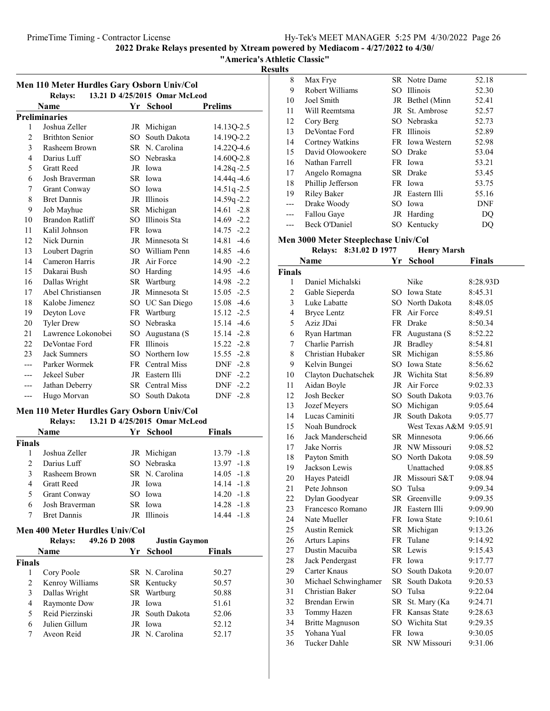"America's Athletic Classic"

Results

| Men 110 Meter Hurdles Gary Osborn Univ/Col |                        |        |                               |                |  |
|--------------------------------------------|------------------------|--------|-------------------------------|----------------|--|
|                                            | <b>Relays:</b>         |        | 13.21 D 4/25/2015 Omar McLeod |                |  |
|                                            | Name                   | Yr     | <b>School</b>                 | <b>Prelims</b> |  |
|                                            | <b>Preliminaries</b>   |        |                               |                |  |
| 1                                          | Joshua Zeller          |        | JR Michigan                   | 14.13Q-2.5     |  |
| $\overline{c}$                             | <b>Brithton Senior</b> | $SO^-$ | South Dakota                  | 14.19Q-2.2     |  |
| 3                                          | Rasheem Brown          |        | SR N. Carolina                | 14.22Q-4.6     |  |
| $\overline{4}$                             | Darius Luff            |        | SO Nebraska                   | 14.60Q-2.8     |  |
| 5                                          | <b>Gratt Reed</b>      |        | JR Iowa                       | 14.28q-2.5     |  |
| 6                                          | Josh Braverman         |        | SR Iowa                       | 14.44q-4.6     |  |
| 7                                          | Grant Conway           |        | SO Iowa                       | 14.51q-2.5     |  |
| 8                                          | <b>Bret Dannis</b>     |        | JR Illinois                   | 14.59q-2.2     |  |
| 9                                          | Job Mayhue             | SR     | Michigan                      | $14.61 - 2.8$  |  |
| 10                                         | Brandon Ratliff        | SO.    | Illinois Sta                  | $14.69 - 2.2$  |  |
| 11                                         | Kalil Johnson          |        | FR Iowa                       | $14.75 - 2.2$  |  |
| 12                                         | Nick Durnin            |        | JR Minnesota St               | $14.81 - 4.6$  |  |
| 13                                         | Loubert Dagrin         |        | SO William Penn               | 14.85 -4.6     |  |
| 14                                         | Cameron Harris         | JR     | Air Force                     | 14.90 -2.2     |  |
| 15                                         | Dakarai Bush           |        | SO Harding                    | 14.95 -4.6     |  |
| 16                                         | Dallas Wright          | SR     | Wartburg                      | 14.98 -2.2     |  |
| 17                                         | Abel Christiansen      | JR     | Minnesota St                  | $15.05 -2.5$   |  |
| 18                                         | Kalobe Jimenez         |        | SO UC San Diego               | 15.08 -4.6     |  |
| 19                                         | Deyton Love            | FR     | Wartburg                      | $15.12 -2.5$   |  |
| 20                                         | <b>Tyler Drew</b>      | SO.    | Nebraska                      | 15.14 -4.6     |  |
| 21                                         | Lawrence Lokonobei     | SO.    | Augustana (S                  | 15.14 -2.8     |  |
| 22                                         | DeVontae Ford          | FR     | <b>Illinois</b>               | $15.22 - 2.8$  |  |
| 23                                         | <b>Jack Sumners</b>    |        | SO Northern Iow               | $15.55 - 2.8$  |  |
|                                            | Parker Wormek          |        | FR Central Miss               | $-2.8$<br>DNF  |  |
| ---                                        | Jekeel Suber           |        | JR Eastern Illi               | DNF -2.2       |  |
| ---                                        | Jathan Deberry         |        | SR Central Miss               | $DNF -2.2$     |  |
| $---$                                      | Hugo Morvan            |        | SO South Dakota               | DNF -2.8       |  |

### Men 110 Meter Hurdles Gary Osborn Univ/Col

### Relays: 13.21 D 4/25/2015 Omar McLeod

|               | Name                | Yr School      | Finals        |
|---------------|---------------------|----------------|---------------|
| Finals        |                     |                |               |
|               | Joshua Zeller       | JR Michigan    | $13.79 - 1.8$ |
| $\mathcal{D}$ | Darius Luff         | SO Nebraska    | $13.97 - 1.8$ |
| $\mathbf{3}$  | Rasheem Brown       | SR N. Carolina | $14.05 - 1.8$ |
| 4             | <b>Gratt Reed</b>   | JR Iowa        | $14.14 - 1.8$ |
| 5.            | <b>Grant Conway</b> | SO Iowa        | $14.20 -1.8$  |
| 6             | Josh Braverman      | SR Iowa        | $14.28 - 1.8$ |
|               | <b>Bret Dannis</b>  | JR Illinois    | $14.44 - 1.8$ |

### Men 400 Meter Hurdles Univ/Col

|               | <b>Relays:</b>  | 49.26 D 2008 | <b>Justin Gaymon</b> |               |
|---------------|-----------------|--------------|----------------------|---------------|
|               | <b>Name</b>     |              | Yr School            | <b>Finals</b> |
| <b>Finals</b> |                 |              |                      |               |
|               | Cory Poole      |              | SR N. Carolina       | 50.27         |
| 2             | Kenroy Williams |              | SR Kentucky          | 50.57         |
| 3             | Dallas Wright   |              | SR Wartburg          | 50.88         |
| 4             | Raymonte Dow    |              | JR Iowa              | 51.61         |
| 5             | Reid Pierzinski |              | JR South Dakota      | 52.06         |
| 6             | Julien Gillum   |              | JR Iowa              | 52.12         |
|               | Aveon Reid      |              | JR N. Carolina       | 52.17         |

| 8     | Max Frye           | <b>SR</b> Notre Dame | 52.18 |
|-------|--------------------|----------------------|-------|
| 9     | Robert Williams    | SO Illinois          | 52.30 |
| 10    | Joel Smith         | JR Bethel (Minn      | 52.41 |
| 11    | Will Reemtsma      | JR St. Ambrose       | 52.57 |
| 12    | Cory Berg          | SO Nebraska          | 52.73 |
| 13    | DeVontae Ford      | FR Illinois          | 52.89 |
| 14    | Cortney Watkins    | FR Iowa Western      | 52.98 |
| 15    | David Olowookere   | SO Drake             | 53.04 |
| 16    | Nathan Farrell     | FR Iowa              | 53.21 |
| 17    | Angelo Romagna     | SR Drake             | 53.45 |
| 18    | Phillip Jefferson  | FR Iowa              | 53.75 |
| 19    | <b>Riley Baker</b> | JR Eastern Illi      | 55.16 |
| $---$ | Drake Woody        | SO Iowa              | DNF   |
|       | Fallou Gaye        | JR Harding           | DO    |
|       | Beck O'Daniel      | SO Kentucky          | DO    |

### Men 3000 Meter Steeplechase Univ/Col

| <b>Henry Marsh</b><br><b>Relays:</b><br>8:31.02 D 1977 |                        |        |                 |               |  |
|--------------------------------------------------------|------------------------|--------|-----------------|---------------|--|
|                                                        | Name                   | Yr     | <b>School</b>   | <b>Finals</b> |  |
| <b>Finals</b>                                          |                        |        |                 |               |  |
| 1                                                      | Daniel Michalski       |        | Nike            | 8:28.93D      |  |
| $\overline{c}$                                         | Gable Sieperda         |        | SO Iowa State   | 8:45.31       |  |
| 3                                                      | Luke Labatte           |        | SO North Dakota | 8:48.05       |  |
| $\overline{4}$                                         | <b>Bryce Lentz</b>     |        | FR Air Force    | 8:49.51       |  |
| 5                                                      | Aziz JDai              |        | FR Drake        | 8:50.34       |  |
| 6                                                      | Ryan Hartman           |        | FR Augustana (S | 8:52.22       |  |
| 7                                                      | Charlie Parrish        |        | JR Bradley      | 8:54.81       |  |
| 8                                                      | Christian Hubaker      | SR     | Michigan        | 8:55.86       |  |
| 9                                                      | Kelvin Bungei          |        | SO Iowa State   | 8:56.62       |  |
| 10                                                     | Clayton Duchatschek    |        | JR Wichita Stat | 8:56.89       |  |
| 11                                                     | Aidan Boyle            |        | JR Air Force    | 9:02.33       |  |
| 12                                                     | Josh Becker            |        | SO South Dakota | 9:03.76       |  |
| 13                                                     | Jozef Meyers           |        | SO Michigan     | 9:05.64       |  |
| 14                                                     | Lucas Caminiti         |        | JR South Dakota | 9:05.77       |  |
| 15                                                     | Noah Bundrock          |        | West Texas A&M  | 9:05.91       |  |
| 16                                                     | Jack Manderscheid      |        | SR Minnesota    | 9:06.66       |  |
| 17                                                     | Jake Norris            |        | JR NW Missouri  | 9:08.52       |  |
| 18                                                     | Payton Smith           |        | SO North Dakota | 9:08.59       |  |
| 19                                                     | Jackson Lewis          |        | Unattached      | 9:08.85       |  |
| 20                                                     | Hayes Pateidl          |        | JR Missouri S&T | 9:08.94       |  |
| 21                                                     | Pete Johnson           |        | SO Tulsa        | 9:09.34       |  |
| 22                                                     | Dylan Goodyear         |        | SR Greenville   | 9:09.35       |  |
| 23                                                     | Francesco Romano       |        | JR Eastern Illi | 9:09.90       |  |
| 24                                                     | Nate Mueller           |        | FR Iowa State   | 9:10.61       |  |
| 25                                                     | <b>Austin Remick</b>   |        | SR Michigan     | 9:13.26       |  |
| 26                                                     | Arturs Lapins          |        | FR Tulane       | 9:14.92       |  |
| 27                                                     | Dustin Macuiba         |        | SR Lewis        | 9:15.43       |  |
| 28                                                     | Jack Pendergast        |        | FR Iowa         | 9:17.77       |  |
| 29                                                     | Carter Knaus           | SO -   | South Dakota    | 9:20.07       |  |
| 30                                                     | Michael Schwinghamer   |        | SR South Dakota | 9:20.53       |  |
| 31                                                     | Christian Baker        | $SO^-$ | Tulsa           | 9:22.04       |  |
| 32                                                     | Brendan Erwin          |        | SR St. Mary (Ka | 9:24.71       |  |
| 33                                                     | Tommy Hazen            |        | FR Kansas State | 9:28.63       |  |
| 34                                                     | <b>Britte Magnuson</b> |        | SO Wichita Stat | 9:29.35       |  |
| 35                                                     | Yohana Yual            |        | FR Iowa         | 9:30.05       |  |
| 36                                                     | Tucker Dahle           |        | SR NW Missouri  | 9:31.06       |  |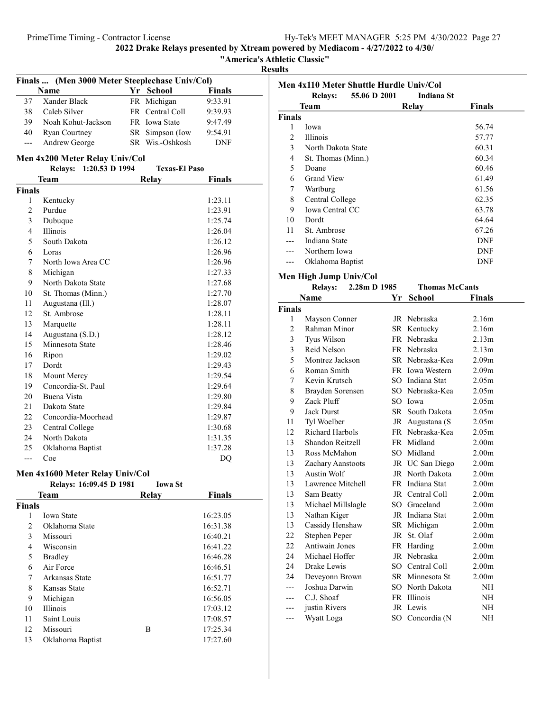"America's Athletic Classic"

Results

| Finals  (Men 3000 Meter Steeplechase Univ/Col) |                                 |  |                      |               |  |
|------------------------------------------------|---------------------------------|--|----------------------|---------------|--|
|                                                | <b>Name</b>                     |  | Yr School            | <b>Finals</b> |  |
| 37                                             | Xander Black                    |  | FR Michigan          | 9:33.91       |  |
| 38                                             | Caleb Silver                    |  | FR Central Coll      | 9:39.93       |  |
| 39                                             | Noah Kohut-Jackson              |  | FR Iowa State        | 9:47.49       |  |
| 40                                             | Ryan Courtney                   |  | SR Simpson (Iow      | 9:54.91       |  |
| ---                                            | Andrew George                   |  | SR Wis.-Oshkosh      | DNF           |  |
|                                                | Men 4x200 Meter Relay Univ/Col  |  |                      |               |  |
|                                                | Relays: 1:20.53 D 1994          |  | <b>Texas-El Paso</b> |               |  |
|                                                | Team                            |  | Relay                | <b>Finals</b> |  |
| <b>Finals</b>                                  |                                 |  |                      |               |  |
| 1                                              | Kentucky                        |  |                      | 1:23.11       |  |
| $\overline{c}$                                 | Purdue                          |  |                      | 1:23.91       |  |
| 3                                              | Dubuque                         |  |                      | 1:25.74       |  |
| 4                                              | Illinois                        |  |                      | 1:26.04       |  |
| 5                                              | South Dakota                    |  |                      | 1:26.12       |  |
| 6                                              | Loras                           |  |                      | 1:26.96       |  |
| 7                                              | North Iowa Area CC              |  |                      | 1:26.96       |  |
| 8                                              | Michigan                        |  |                      | 1:27.33       |  |
| 9                                              | North Dakota State              |  |                      | 1:27.68       |  |
| 10                                             | St. Thomas (Minn.)              |  |                      | 1:27.70       |  |
| 11                                             | Augustana (Ill.)                |  |                      | 1:28.07       |  |
| 12                                             | St. Ambrose                     |  |                      | 1:28.11       |  |
| 13                                             | Marquette                       |  |                      | 1:28.11       |  |
| 14                                             | Augustana (S.D.)                |  |                      | 1:28.12       |  |
| 15                                             | Minnesota State                 |  |                      | 1:28.46       |  |
| 16                                             | Ripon                           |  |                      | 1:29.02       |  |
| 17                                             | Dordt                           |  |                      | 1:29.43       |  |
| 18                                             | Mount Mercy                     |  |                      | 1:29.54       |  |
| 19                                             | Concordia-St. Paul              |  |                      | 1:29.64       |  |
| 20                                             | Buena Vista                     |  |                      | 1:29.80       |  |
| 21                                             | Dakota State                    |  |                      | 1:29.84       |  |
| 22                                             | Concordia-Moorhead              |  |                      | 1:29.87       |  |
| 23                                             | Central College                 |  |                      | 1:30.68       |  |
| 24                                             | North Dakota                    |  |                      | 1:31.35       |  |
| 25                                             | Oklahoma Baptist                |  |                      | 1:37.28       |  |
| $---$                                          | Coe                             |  |                      | DQ            |  |
|                                                | Men 4x1600 Meter Relay Univ/Col |  |                      |               |  |
|                                                | Relays: 16:09.45 D 1981         |  | <b>Iowa St</b>       |               |  |
|                                                | Team                            |  | <b>Relay</b>         | <b>Finals</b> |  |
| <b>Finals</b>                                  |                                 |  |                      |               |  |
| 1                                              | Iowa State                      |  |                      | 16:23.05      |  |
| $\overline{c}$                                 | Oklahoma State                  |  |                      | 16:31.38      |  |
| 3                                              | Missouri                        |  |                      | 16:40.21      |  |
| 4                                              | Wisconsin                       |  |                      | 16:41.22      |  |
| 5                                              | <b>Bradley</b>                  |  |                      | 16:46.28      |  |
| 6                                              | Air Force                       |  |                      | 16:46.51      |  |
| 7                                              | Arkansas State                  |  |                      | 16:51.77      |  |
| 8                                              | Kansas State                    |  |                      | 16:52.71      |  |
| 9                                              | Michigan                        |  |                      | 16:56.05      |  |
| 10                                             | Illinois                        |  |                      | 17:03.12      |  |
| 11                                             | Saint Louis                     |  |                      | 17:08.57      |  |
| 12                                             | Missouri                        |  | Β                    | 17:25.34      |  |

13 17:27.60 Oklahoma Baptist

|                | Men 4x110 Meter Shuttle Hurdle Univ/Col<br>55.06 D 2001<br><b>Relavs:</b> |    | <b>Indiana St</b>     |                   |
|----------------|---------------------------------------------------------------------------|----|-----------------------|-------------------|
|                | <b>Team</b>                                                               |    | <b>Relay</b>          | <b>Finals</b>     |
| <b>Finals</b>  |                                                                           |    |                       |                   |
| 1              | Iowa                                                                      |    |                       | 56.74             |
| $\mathfrak{2}$ | Illinois                                                                  |    |                       | 57.77             |
| 3              | North Dakota State                                                        |    |                       | 60.31             |
| $\overline{4}$ | St. Thomas (Minn.)                                                        |    |                       | 60.34             |
| 5              | Doane                                                                     |    |                       | 60.46             |
| 6              | <b>Grand View</b>                                                         |    |                       | 61.49             |
| 7              | Wartburg                                                                  |    |                       | 61.56             |
| 8              | Central College                                                           |    |                       | 62.35             |
| 9              | Iowa Central CC                                                           |    |                       | 63.78             |
| 10             | Dordt                                                                     |    |                       | 64.64             |
| 11             | St. Ambrose                                                               |    |                       | 67.26             |
| ---            | Indiana State                                                             |    |                       | DNF               |
| ---            | Northern Iowa                                                             |    |                       | DNF               |
| ---            | Oklahoma Baptist                                                          |    |                       | DNF               |
|                |                                                                           |    |                       |                   |
|                | Men High Jump Univ/Col                                                    |    |                       |                   |
|                | 2.28m D 1985<br><b>Relays:</b>                                            |    | <b>Thomas McCants</b> |                   |
|                | Name                                                                      | Υr | <b>School</b>         | <b>Finals</b>     |
| <b>Finals</b>  |                                                                           |    |                       |                   |
| 1              | Mayson Conner                                                             |    | JR Nebraska           | 2.16m             |
| $\overline{2}$ | Rahman Minor                                                              |    | SR Kentucky           | 2.16m             |
| $\mathfrak{Z}$ | Tyus Wilson                                                               |    | FR Nebraska           | 2.13m             |
| 3              | Reid Nelson                                                               |    | FR Nebraska           | 2.13 <sub>m</sub> |
| 5              | Montrez Jackson                                                           |    | SR Nebraska-Kea       | 2.09 <sub>m</sub> |
| 6              | Roman Smith                                                               |    | FR Iowa Western       | 2.09 <sub>m</sub> |
| 7              | Kevin Krutsch                                                             |    | SO Indiana Stat       | 2.05m             |
| 8              | Brayden Sorensen                                                          |    | SO Nebraska-Kea       | 2.05m             |
| 9              | Zack Pluff                                                                |    | SO Iowa               | 2.05m             |
| 9              | <b>Jack Durst</b>                                                         |    | SR South Dakota       | 2.05 <sub>m</sub> |
| 11             | Tyl Woelber                                                               |    | JR Augustana (S       | 2.05m             |
| 12             | Richard Harbols                                                           |    | FR Nebraska-Kea       | 2.05 <sub>m</sub> |
| 13             | Shandon Reitzell                                                          |    | FR Midland            | 2.00 <sub>m</sub> |
| 13             | Ross McMahon                                                              |    | SO Midland            | 2.00 <sub>m</sub> |
| 13             | Zachary Aanstoots                                                         |    | JR UC San Diego       | 2.00 <sub>m</sub> |
| 13             | Austin Wolf                                                               |    | JR North Dakota       | 2.00 <sub>m</sub> |
| 13             | Lawrence Mitchell                                                         |    | FR Indiana Stat       | 2.00 <sub>m</sub> |
| 13             | Sam Beatty                                                                |    | JR Central Coll       | 2.00 <sub>m</sub> |
| 13             | Michael Millslagle                                                        |    | SO Graceland          | 2.00 <sub>m</sub> |
| 13             | Nathan Kiger                                                              |    | JR Indiana Stat       | 2.00 <sub>m</sub> |
| 13             | Cassidy Henshaw                                                           |    | SR Michigan           | 2.00 <sub>m</sub> |
| 22             | Stephen Peper                                                             | JR | St. Olaf              | 2.00 <sub>m</sub> |
| 22             | <b>Antiwain Jones</b>                                                     |    | FR Harding            | 2.00 <sub>m</sub> |
| 24             | Michael Hoffer                                                            | JR | Nebraska              | 2.00 <sub>m</sub> |
| 24             | Drake Lewis                                                               |    | SO Central Coll       | 2.00 <sub>m</sub> |
| 24             | Deveyonn Brown                                                            |    | SR Minnesota St       | 2.00 <sub>m</sub> |
|                | Joshua Darwin                                                             |    | SO North Dakota       | NH                |
|                | C.J. Shoaf                                                                |    | FR Illinois           | NH                |
| ---            | justin Rivers                                                             |    | JR Lewis              | NH                |
| ---            | Wyatt Loga                                                                | SO | Concordia (N          | NH                |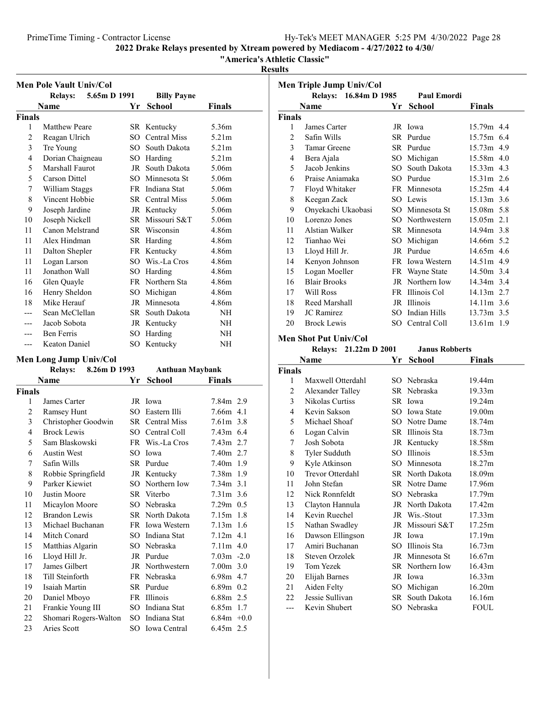"America's Athletic Classic"

Results

|                | Men Pole Vault Univ/Col |              |          |                        |                   |  |
|----------------|-------------------------|--------------|----------|------------------------|-------------------|--|
|                | <b>Relays:</b>          | 5.65m D 1991 |          | <b>Billy Payne</b>     |                   |  |
|                | Name                    |              | Yr       | <b>School</b>          | Finals            |  |
| Finals         |                         |              |          |                        |                   |  |
| 1              | <b>Matthew Peare</b>    |              |          | SR Kentucky            | 5.36m             |  |
| $\overline{c}$ | Reagan Ulrich           |              | SO       | <b>Central Miss</b>    | 5.21 <sub>m</sub> |  |
| 3              | Tre Young               |              | $SO^-$   | South Dakota           | 5.21 <sub>m</sub> |  |
| 4              | Dorian Chaigneau        |              | $SO_{-}$ | Harding                | 5.21 <sub>m</sub> |  |
| 5              | Marshall Faurot         |              |          | JR South Dakota        | 5.06m             |  |
| 5              | Carson Dittel           |              | $SO^-$   | Minnesota St           | 5.06m             |  |
| 7              | William Staggs          |              | FR       | Indiana Stat           | 5.06m             |  |
| 8              | Vincent Hobbie          |              |          | <b>SR</b> Central Miss | 5.06m             |  |
| 9              | Joseph Jardine          |              |          | JR Kentucky            | 5.06m             |  |
| 10             | Joseph Nickell          |              |          | SR Missouri S&T        | 5.06m             |  |
| 11             | Canon Melstrand         |              |          | SR Wisconsin           | 4.86m             |  |
| 11             | Alex Hindman            |              |          | SR Harding             | 4.86m             |  |
| 11             | Dalton Shepler          |              |          | FR Kentucky            | 4.86m             |  |
| 11             | Logan Larson            |              |          | SO Wis.-La Cros        | 4.86m             |  |
| 11             | Jonathon Wall           |              | SO.      | Harding                | 4.86m             |  |
| 16             | Glen Quayle             |              |          | FR Northern Sta        | 4.86m             |  |
| 16             | Henry Sheldon           |              | $SO_{-}$ | Michigan               | 4.86m             |  |
| 18             | Mike Herauf             |              | JR       | Minnesota              | 4.86m             |  |
|                | Sean McClellan          |              | SR -     | South Dakota           | NH                |  |
|                | Jacob Sobota            |              |          | JR Kentucky            | NH                |  |
|                | <b>Ben Ferris</b>       |              | SO       | Harding                | <b>NH</b>         |  |
| ---            | Keaton Daniel           |              | SО       | Kentucky               | NΗ                |  |

### Men Long Jump Univ/Col

| 8.26m D 1993<br><b>Relays:</b> |                       |  | <b>Anthuan Maybank</b> |                 |               |
|--------------------------------|-----------------------|--|------------------------|-----------------|---------------|
|                                | Name                  |  | Yr                     | <b>School</b>   | <b>Finals</b> |
| Finals                         |                       |  |                        |                 |               |
| 1                              | James Carter          |  |                        | JR Iowa         | 7.84m 2.9     |
| 2                              | Ramsey Hunt           |  |                        | SO Eastern Illi | $7.66m$ 4.1   |
| 3                              | Christopher Goodwin   |  |                        | SR Central Miss | $7.61m$ 3.8   |
| 4                              | <b>Brock Lewis</b>    |  |                        | SO Central Coll | $7.43m$ 6.4   |
| 5                              | Sam Blaskowski        |  |                        | FR Wis.-La Cros | $7.43m$ 2.7   |
| 6                              | <b>Austin West</b>    |  | SО                     | Iowa            | 7.40m 2.7     |
| 7                              | Safin Wills           |  |                        | SR Purdue       | $7.40m$ 1.9   |
| 8                              | Robbie Springfield    |  |                        | JR Kentucky     | 7.38m 1.9     |
| 9                              | Parker Kiewiet        |  |                        | SO Northern Iow | $7.34m$ 3.1   |
| 10                             | Justin Moore          |  |                        | SR Viterbo      | $7.31m$ 3.6   |
| 11                             | Micaylon Moore        |  |                        | SO Nebraska     | $7.29m$ 0.5   |
| 12                             | Brandon Lewis         |  |                        | SR North Dakota | $7.15m$ 1.8   |
| 13                             | Michael Buchanan      |  |                        | FR Iowa Western | $7.13m$ 1.6   |
| 14                             | Mitch Conard          |  |                        | SO Indiana Stat | $7.12m$ 4.1   |
| 15                             | Matthias Algarin      |  |                        | SO Nebraska     | $7.11m$ 4.0   |
| 16                             | Lloyd Hill Jr.        |  |                        | JR Purdue       | $7.03m -2.0$  |
| 17                             | James Gilbert         |  |                        | JR Northwestern | $7.00m$ 3.0   |
| 18                             | Till Steinforth       |  |                        | FR Nebraska     | 6.98m 4.7     |
| 19                             | Isaiah Martin         |  |                        | SR Purdue       | $6.89m$ 0.2   |
| 20                             | Daniel Mboyo          |  |                        | FR Illinois     | 6.88m 2.5     |
| 21                             | Frankie Young III     |  |                        | SO Indiana Stat | $6.85m$ 1.7   |
| 22                             | Shomari Rogers-Walton |  | SO.                    | Indiana Stat    | $6.84m + 0.0$ |
| 23                             | Aries Scott           |  |                        | SO Iowa Central | 6.45m 2.5     |

| Men Triple Jump Univ/Col |                       |     |                    |               |  |
|--------------------------|-----------------------|-----|--------------------|---------------|--|
|                          | Relays: 16.84m D 1985 |     | <b>Paul Emordi</b> |               |  |
|                          | Name                  | Yr  | <b>School</b>      | <b>Finals</b> |  |
| Finals                   |                       |     |                    |               |  |
| 1                        | James Carter          |     | JR Iowa            | 15.79m 4.4    |  |
| $\overline{2}$           | Safin Wills           |     | SR Purdue          | 15.75m 6.4    |  |
| 3                        | Tamar Greene          |     | SR Purdue          | $15.73m$ 4.9  |  |
| 4                        | Bera Ajala            |     | SO Michigan        | 15.58m 4.0    |  |
| 5                        | Jacob Jenkins         |     | SO South Dakota    | $15.33m$ 4.3  |  |
| 6                        | Praise Aniamaka       |     | SO Purdue          | $15.31m$ 2.6  |  |
| 7                        | Floyd Whitaker        |     | FR Minnesota       | 15.25m 4.4    |  |
| 8                        | Keegan Zack           |     | SO Lewis           | $15.13m$ 3.6  |  |
| 9                        | Onyekachi Ukaobasi    |     | SO Minnesota St    | 15.08m 5.8    |  |
| 10                       | Lorenzo Jones         |     | SO Northwestern    | $15.05m$ 2.1  |  |
| 11                       | Alstian Walker        |     | SR Minnesota       | 14.94m 3.8    |  |
| 12                       | Tianhao Wei           | SO. | Michigan           | 14.66m 5.2    |  |
| 13                       | Lloyd Hill Jr.        |     | JR Purdue          | 14.65m 4.6    |  |
| 14                       | Kenyon Johnson        |     | FR Iowa Western    | $14.51m$ 4.9  |  |
| 15                       | Logan Moeller         |     | FR Wayne State     | 14.50m 3.4    |  |
| 16                       | <b>Blair Brooks</b>   |     | JR Northern Iow    | 14.34m 3.4    |  |
| 17                       | Will Ross             |     | FR Illinois Col    | $14.13m$ 2.7  |  |
| 18                       | Reed Marshall         |     | JR Illinois        | 14.11m 3.6    |  |
| 19                       | <b>JC</b> Ramirez     |     | SO Indian Hills    | 13.73m 3.5    |  |
| 20                       | <b>Brock Lewis</b>    |     | SO Central Coll    | 13.61m 1.9    |  |
|                          |                       |     |                    |               |  |

# Men Shot Put Univ/Col

|               | Relays: 21.22m D 2001 |    | <b>Janus Robberts</b> |                    |
|---------------|-----------------------|----|-----------------------|--------------------|
|               | Name                  | Yr | <b>School</b>         | <b>Finals</b>      |
| <b>Finals</b> |                       |    |                       |                    |
| 1             | Maxwell Otterdahl     |    | SO Nebraska           | 19.44m             |
| 2             | Alexander Talley      |    | SR Nebraska           | 19.33 <sub>m</sub> |
| 3             | Nikolas Curtiss       |    | SR Iowa               | 19.24m             |
| 4             | Kevin Sakson          |    | SO Iowa State         | 19.00 <sub>m</sub> |
| 5             | Michael Shoaf         |    | SO Notre Dame         | 18.74m             |
| 6             | Logan Calvin          |    | SR Illinois Sta       | 18.73m             |
| 7             | Josh Sobota           |    | JR Kentucky           | 18.58m             |
| 8             | Tyler Sudduth         |    | SO Illinois           | 18.53m             |
| 9             | Kyle Atkinson         |    | SO Minnesota          | 18.27m             |
| 10            | Trevor Otterdahl      |    | SR North Dakota       | 18.09m             |
| 11            | John Stefan           |    | SR Notre Dame         | 17.96m             |
| 12            | Nick Ronnfeldt        |    | SO Nebraska           | 17.79m             |
| 13            | Clayton Hannula       |    | JR North Dakota       | 17.42m             |
| 14            | Kevin Ruechel         |    | JR Wis.-Stout         | 17.33 <sub>m</sub> |
| 15            | Nathan Swadley        |    | JR Missouri S&T       | 17.25m             |
| 16            | Dawson Ellingson      |    | JR Iowa               | 17.19m             |
| 17            | Amiri Buchanan        |    | SO Illinois Sta       | 16.73m             |
| 18            | Steven Orzolek        |    | JR Minnesota St       | 16.67m             |
| 19            | Tom Yezek             |    | SR Northern Iow       | 16.43m             |
| 20            | Elijah Barnes         |    | JR Iowa               | 16.33m             |
| 21            | Aiden Felty           |    | SO Michigan           | 16.20m             |
| 22            | Jessie Sullivan       |    | SR South Dakota       | 16.16m             |
|               | Kevin Shubert         |    | SO Nebraska           | FOUL               |
|               |                       |    |                       |                    |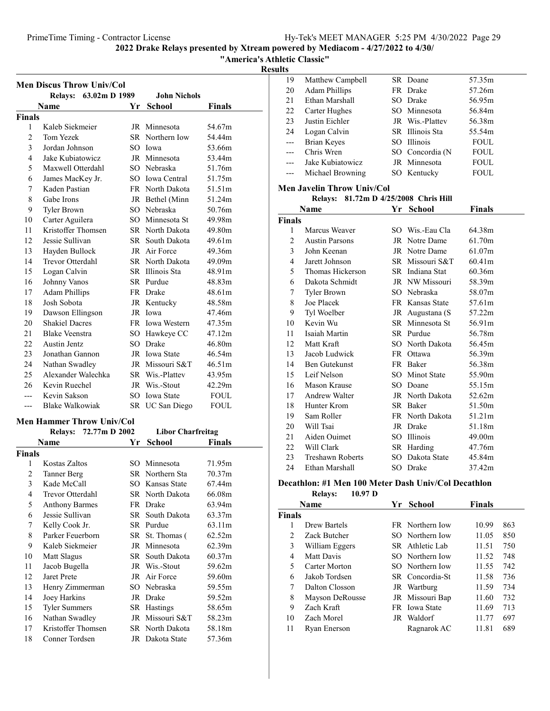"America's Athletic Classic"

Results

|                | <b>Men Discus Throw Univ/Col</b> |      |                          |               |
|----------------|----------------------------------|------|--------------------------|---------------|
|                | <b>Relays:</b><br>63.02m D 1989  |      | <b>John Nichols</b>      |               |
|                | Name                             | Yr - | School                   | <b>Finals</b> |
| <b>Finals</b>  |                                  |      |                          |               |
| 1              | Kaleb Siekmeier                  |      | JR Minnesota             | 54.67m        |
| 2              | Tom Yezek                        |      | SR Northern Iow          | 54.44m        |
| 3              | Jordan Johnson                   |      | SO Iowa                  | 53.66m        |
| 4              | Jake Kubiatowicz                 |      | JR Minnesota             | 53.44m        |
| 5              | Maxwell Otterdahl                |      | SO Nebraska              | 51.76m        |
| 6              | James MacKey Jr.                 |      | SO Iowa Central          | 51.75m        |
| 7              | Kaden Pastian                    |      | FR North Dakota          | 51.51m        |
| 8              | Gabe Irons                       |      | JR Bethel (Minn          | 51.24m        |
| 9              | <b>Tyler Brown</b>               |      | SO Nebraska              | 50.76m        |
| 10             | Carter Aguilera                  |      | SO Minnesota St          | 49.98m        |
| 11             | Kristoffer Thomsen               |      | SR North Dakota          | 49.80m        |
| 12             | Jessie Sullivan                  |      | SR South Dakota          | 49.61m        |
| 13             | Hayden Bullock                   |      | JR Air Force             | 49.36m        |
| 14             | Trevor Otterdahl                 |      | SR North Dakota          | 49.09m        |
| 15             | Logan Calvin                     |      | SR Illinois Sta          | 48.91m        |
| 16             | Johnny Vanos                     |      | SR Purdue                | 48.83m        |
| 17             | <b>Adam Phillips</b>             |      | FR Drake                 | 48.61m        |
| 18             | Josh Sobota                      |      | JR Kentucky              | 48.58m        |
| 19             | Dawson Ellingson                 |      | JR Iowa                  | 47.46m        |
| 20             | <b>Shakiel Dacres</b>            |      | FR Iowa Western          | 47.35m        |
| 21             | <b>Blake Veenstra</b>            |      | SO Hawkeye CC            | 47.12m        |
| 22             | Austin Jentz                     |      | SO Drake                 | 46.80m        |
| 23             | Jonathan Gannon                  |      | JR Iowa State            | 46.54m        |
| 24             | Nathan Swadley                   |      | JR Missouri S&T          | 46.51m        |
| 25             | Alexander Walechka               |      | SR Wis.-Plattev          | 43.95m        |
| 26             | Kevin Ruechel                    |      | JR Wis.-Stout            | 42.29m        |
| ---            | Kevin Sakson                     |      | SO Iowa State            | FOUL          |
| ---            | Blake Walkowiak                  |      | SR UC San Diego          | FOUL          |
|                | <b>Men Hammer Throw Univ/Col</b> |      |                          |               |
|                | 72.77m D 2002<br><b>Relays:</b>  |      | <b>Libor Charfreitag</b> |               |
|                | Name                             | Υr   | School                   | <b>Finals</b> |
| <b>Finals</b>  |                                  |      |                          |               |
| 1              | Kostas Zaltos                    |      | SO Minnesota             | 71.95m        |
| $\overline{2}$ | Tanner Berg                      |      | SR Northern Sta          | 70.37m        |
| 3              | Kade McCall                      |      | SO Kansas State          | 67.44m        |
| 4              | Trevor Otterdahl                 |      | SR North Dakota          | 66.08m        |
| 5              | <b>Anthony Barmes</b>            |      | FR Drake                 | 63.94m        |
| 6              | Jessie Sullivan                  | SR   | South Dakota             | 63.37m        |
| 7              | Kelly Cook Jr.                   |      | SR Purdue                | 63.11m        |
| 8              | Parker Feuerborn                 | SR   | St. Thomas (             | 62.52m        |
| 9              | Kaleb Siekmeier                  |      | JR Minnesota             | 62.39m        |
| 10             | Matt Slagus                      |      | SR South Dakota          | 60.37m        |
| 11             | Jacob Bugella                    |      | JR Wis.-Stout            | 59.62m        |
| 12             | Jaret Prete                      |      | JR Air Force             | 59.60m        |
| 13             | Henry Zimmerman                  |      | SO Nebraska              | 59.55m        |
| 14             | Joey Harkins                     |      | JR Drake                 | 59.52m        |
| 15             | Tyler Summers                    |      | SR Hastings              | 58.65m        |
| 16             | Nathan Swadley                   | JR   | Missouri S&T             | 58.23m        |
| 17             | Kristoffer Thomsen               |      | SR North Dakota          | 58.18m        |
| 18             | Conner Tordsen                   |      | JR Dakota State          | 57.36m        |

| 19    | Matthew Campbell     | SR Doane        | 57.35m      |
|-------|----------------------|-----------------|-------------|
| 20    | <b>Adam Phillips</b> | FR Drake        | 57.26m      |
| 21    | Ethan Marshall       | SO Drake        | 56.95m      |
| 22    | Carter Hughes        | SO Minnesota    | 56.84m      |
| 23    | Justin Eichler       | JR Wis.-Plattey | 56.38m      |
| 24    | Logan Calvin         | SR Illinois Sta | 55.54m      |
| $---$ | Brian Keyes          | SO Illinois     | <b>FOUL</b> |
|       | Chris Wren           | SO Concordia (N | <b>FOUL</b> |
|       | Jake Kubiatowicz     | JR Minnesota    | <b>FOUL</b> |
|       | Michael Browning     | SO Kentucky     | <b>FOUL</b> |
|       |                      |                 |             |

### Men Javelin Throw Univ/Col

Relays: 81.72m D 4/25/2008 Chris Hill

|                | Name                    | Yr School       | <b>Finals</b> |
|----------------|-------------------------|-----------------|---------------|
| <b>Finals</b>  |                         |                 |               |
| 1              | Marcus Weaver           | SO Wis.-Eau Cla | 64.38m        |
| $\overline{2}$ | <b>Austin Parsons</b>   | JR Notre Dame   | 61.70m        |
| 3              | John Keenan             | JR Notre Dame   | 61.07m        |
| 4              | Jarett Johnson          | SR Missouri S&T | 60.41m        |
| 5              | Thomas Hickerson        | SR Indiana Stat | 60.36m        |
| 6              | Dakota Schmidt          | JR NW Missouri  | 58.39m        |
| 7              | Tyler Brown             | SO Nebraska     | 58.07m        |
| 8              | Joe Placek              | FR Kansas State | 57.61m        |
| 9              | Tyl Woelber             | JR Augustana (S | 57.22m        |
| 10             | Kevin Wu                | SR Minnesota St | 56.91m        |
| 11             | Isaiah Martin           | SR Purdue       | 56.78m        |
| 12             | Matt Kraft              | SO North Dakota | 56.45m        |
| 13             | Jacob Ludwick           | FR Ottawa       | 56.39m        |
| 14             | Ben Gutekunst           | FR Baker        | 56.38m        |
| 15             | Leif Nelson             | SO Minot State  | 55.90m        |
| 16             | Mason Krause            | SO Doane        | 55.15m        |
| 17             | Andrew Walter           | JR North Dakota | 52.62m        |
| 18             | Hunter Krom             | SR Baker        | 51.50m        |
| 19             | Sam Roller              | FR North Dakota | 51.21m        |
| 20             | Will Tsai               | JR Drake        | 51.18m        |
| 21             | Aiden Ouimet            | SO Illinois     | 49.00m        |
|                | 22 Will Clark           | SR Harding      | 47.76m        |
| 23             | <b>Treshawn Roberts</b> | SO Dakota State | 45.84m        |
| 24             | Ethan Marshall          | SO Drake        | 37.42m        |

### Decathlon: #1 Men 100 Meter Dash Univ/Col Decathlon

Relays: 10.97 D

|        | <b>Name</b>     |    | Yr School              | <b>Finals</b> |     |
|--------|-----------------|----|------------------------|---------------|-----|
| Finals |                 |    |                        |               |     |
|        | Drew Bartels    |    | <b>FR</b> Northern Iow | 10.99         | 863 |
| 2      | Zack Butcher    |    | SO Northern Iow        | 11.05         | 850 |
| 3      | William Eggers  |    | SR Athletic Lab        | 11.51         | 750 |
| 4      | Matt Davis      |    | SO Northern Iow        | 11.52         | 748 |
| 5      | Carter Morton   |    | SO Northern Iow        | 11.55         | 742 |
| 6      | Jakob Tordsen   |    | SR Concordia-St        | 11.58         | 736 |
| 7      | Dalton Closson  |    | JR Wartburg            | 11.59         | 734 |
| 8      | Mayson DeRousse |    | JR Missouri Bap        | 11.60         | 732 |
| 9      | Zach Kraft      |    | FR Iowa State          | 11.69         | 713 |
| 10     | Zach Morel      | JR | Waldorf                | 11.77         | 697 |
| 11     | Ryan Enerson    |    | Ragnarok AC            | 11.81         | 689 |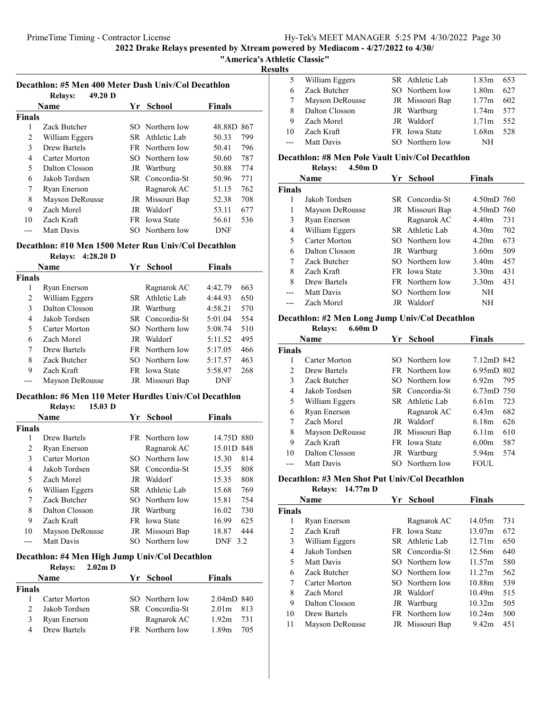Decathlon: #5 Men 400 Meter Dash Univ/Col Decathlon

2022 Drake Relays presented by Xtream powered by Mediacom - 4/27/2022 to 4/30/

### "America's Athletic Classic"

### Results

| .  |                  |                 |                   |     |  |
|----|------------------|-----------------|-------------------|-----|--|
|    | 5 William Eggers | SR Athletic Lab | 1.83m             | 653 |  |
| 6  | Zack Butcher     | SO Northern Iow | 1.80m             | 627 |  |
|    | Mayson DeRousse  | JR Missouri Bap | 1.77m             | 602 |  |
| 8  | Dalton Closson   | JR Wartburg     | 1.74m 577         |     |  |
| 9  | Zach Morel       | JR Waldorf      | 1.71 <sub>m</sub> | 552 |  |
| 10 | Zach Kraft       | FR Iowa State   | 1.68m             | 528 |  |
|    | Matt Davis       | SO Northern Iow | NH                |     |  |
|    |                  |                 |                   |     |  |

### Decathlon: #8 Men Pole Vault Univ/Col Decathlon

Relays: 4.50m D

|               | <b>Name</b>     | Yr School            | <b>Finals</b>            |
|---------------|-----------------|----------------------|--------------------------|
| <b>Finals</b> |                 |                      |                          |
|               | Jakob Tordsen   | SR Concordia-St      | $4.50 \text{m}D$ 760     |
| 1             | Mayson DeRousse | JR Missouri Bap      | $4.50 \text{m}D$ 760     |
| 3             | Ryan Enerson    | Ragnarok AC          | 4.40m<br>731             |
| 4             | William Eggers  | SR Athletic Lab      | 4.30m<br>702             |
| 5             | Carter Morton   | SO Northern Iow      | 673<br>4.20 <sub>m</sub> |
| 6             | Dalton Closson  | JR Wartburg          | 509<br>3.60m             |
| 7             | Zack Butcher    | SO Northern Iow      | 457<br>3.40 <sub>m</sub> |
| 8             | Zach Kraft      | <b>FR</b> Iowa State | 431<br>3.30 <sub>m</sub> |
| 8             | Drew Bartels    | FR Northern Iow      | 431<br>3.30 <sub>m</sub> |
|               | Matt Davis      | SO Northern Iow      | NH                       |
|               | Zach Morel      | JR Waldorf           | NΗ                       |

### Decathlon: #2 Men Long Jump Univ/Col Decathlon

Relays: 6.60m D

|        | Name            | Yr | <b>School</b>   | <b>Finals</b>        |     |
|--------|-----------------|----|-----------------|----------------------|-----|
| Finals |                 |    |                 |                      |     |
|        | Carter Morton   |    | SO Northern Iow | 7.12mD 842           |     |
| 2      | Drew Bartels    |    | FR Northern Iow | $6.95 \text{m}D$ 802 |     |
| 3      | Zack Butcher    |    | SO Northern Iow | 6.92m                | 795 |
| 4      | Jakob Tordsen   |    | SR Concordia-St | $6.73 \text{m}D$ 750 |     |
| 5      | William Eggers  |    | SR Athletic Lab | 6.61m                | 723 |
| 6      | Ryan Enerson    |    | Ragnarok AC     | 6.43m                | 682 |
| 7      | Zach Morel      |    | JR Waldorf      | 6.18m                | 626 |
| 8      | Mayson DeRousse |    | JR Missouri Bap | 6.11m                | 610 |
| 9      | Zach Kraft      |    | FR Iowa State   | 6.00 <sub>m</sub>    | 587 |
| 10     | Dalton Closson  |    | JR Wartburg     | 5.94m                | 574 |
|        | Matt Davis      |    | SO Northern Iow | <b>FOUL</b>          |     |

### Decathlon: #3 Men Shot Put Univ/Col Decathlon

Relays: 14.77m D

|               | Name            | Yr | School          | <b>Finals</b> |     |
|---------------|-----------------|----|-----------------|---------------|-----|
| <b>Finals</b> |                 |    |                 |               |     |
| 1             | Ryan Enerson    |    | Ragnarok AC     | 14.05m        | 731 |
| 2             | Zach Kraft      |    | FR Iowa State   | 13.07m        | 672 |
| 3             | William Eggers  |    | SR Athletic Lab | 12.71m        | 650 |
| 4             | Jakob Tordsen   |    | SR Concordia-St | 12.56m        | 640 |
| 5             | Matt Davis      |    | SO Northern Iow | 11.57m        | 580 |
| 6             | Zack Butcher    |    | SO Northern Iow | 11.27m        | 562 |
| 7             | Carter Morton   |    | SO Northern Iow | 10.88m        | 539 |
| 8             | Zach Morel      |    | JR Waldorf      | 10.49m        | 515 |
| 9             | Dalton Closson  |    | JR Wartburg     | 10.32m        | 505 |
| 10            | Drew Bartels    |    | FR Northern Iow | 10.24m        | 500 |
| 11            | Mayson DeRousse |    | JR Missouri Bap | 9.42m         | 451 |

|               | 49.20 <sub>D</sub><br><b>Relays:</b> |     |                        |               |     |
|---------------|--------------------------------------|-----|------------------------|---------------|-----|
|               | <b>Name</b>                          | Yr. | School                 | <b>Finals</b> |     |
| <b>Finals</b> |                                      |     |                        |               |     |
| 1             | Zack Butcher                         |     | SO Northern Iow        | 48.88D        | 867 |
| 2             | William Eggers                       |     | SR Athletic Lab        | 50.33         | 799 |
| 3             | Drew Bartels                         |     | <b>FR</b> Northern Iow | 50.41         | 796 |
| 4             | Carter Morton                        |     | SO Northern Iow        | 50.60         | 787 |
| 5             | Dalton Closson                       |     | JR Wartburg            | 50.88         | 774 |
| 6             | Jakob Tordsen                        |     | SR Concordia-St        | 50.96         | 771 |
| 7             | Ryan Enerson                         |     | Ragnarok AC            | 51.15         | 762 |
| 8             | Mayson DeRousse                      |     | JR Missouri Bap        | 52.38         | 708 |
| 9             | Zach Morel                           |     | <b>JR</b> Waldorf      | 53.11         | 677 |
| 10            | Zach Kraft                           |     | FR Iowa State          | 56.61         | 536 |
|               | Matt Davis                           |     | SO Northern Iow        | DNF           |     |

### Decathlon: #10 Men 1500 Meter Run Univ/Col Decathlon Relays: 4:28.20 D

|        | 1.0111707           |    |                        |            |     |
|--------|---------------------|----|------------------------|------------|-----|
|        | <b>Name</b>         | Yr | <b>School</b>          | Finals     |     |
| Finals |                     |    |                        |            |     |
| 1      | Ryan Enerson        |    | Ragnarok AC            | 4:42.79    | 663 |
| 2      | William Eggers      |    | SR Athletic Lab        | 4:44.93    | 650 |
| 3      | Dalton Closson      |    | JR Wartburg            | 4:58.21    | 570 |
| 4      | Jakob Tordsen       |    | SR Concordia-St        | 5:01.04    | 554 |
| 5      | Carter Morton       |    | SO Northern Iow        | 5:08.74    | 510 |
| 6      | Zach Morel          |    | JR Waldorf             | 5:11.52    | 495 |
| 7      | <b>Drew Bartels</b> |    | <b>FR</b> Northern Iow | 5:17.05    | 466 |
| 8      | Zack Butcher        |    | SO Northern Iow        | 5:17.57    | 463 |
| 9      | Zach Kraft          |    | FR Iowa State          | 5:58.97    | 268 |
|        | Mayson DeRousse     |    | JR Missouri Bap        | <b>DNF</b> |     |
|        |                     |    |                        |            |     |

### Decathlon: #6 Men 110 Meter Hurdles Univ/Col Decathlon

|               | $15.03$ D<br><b>Relays:</b> |    |                        |                   |
|---------------|-----------------------------|----|------------------------|-------------------|
|               | Name                        | Yr | School                 | <b>Finals</b>     |
| <b>Finals</b> |                             |    |                        |                   |
| 1             | Drew Bartels                |    | <b>FR</b> Northern Iow | 14.75D 880        |
| 2             | Ryan Enerson                |    | Ragnarok AC            | 15.01D 848        |
| 3             | Carter Morton               |    | SO Northern Iow        | 15.30<br>814      |
| 4             | Jakob Tordsen               |    | SR Concordia-St        | 808<br>15.35      |
| 5             | Zach Morel                  |    | <b>JR</b> Waldorf      | 15.35<br>808      |
| 6             | William Eggers              |    | SR Athletic Lab        | 769<br>15.68      |
| 7             | Zack Butcher                |    | SO Northern Iow        | 15.81<br>754      |
| 8             | Dalton Closson              |    | JR Wartburg            | 730<br>16.02      |
| 9             | Zach Kraft                  |    | <b>FR</b> Iowa State   | 625<br>16.99      |
| 10            | Mayson DeRousse             |    | JR Missouri Bap        | 18.87<br>444      |
|               | Matt Davis                  |    | SO Northern Iow        | <b>DNF</b><br>3.2 |

### Decathlon: #4 Men High Jump Univ/Col Decathlon

### Relays: 2.02m D

| <b>Name</b> |                      | Yr School       | <b>Finals</b>        |     |
|-------------|----------------------|-----------------|----------------------|-----|
| Finals      |                      |                 |                      |     |
|             | <b>Carter Morton</b> | SO Northern Iow | $2.04 \text{m}D$ 840 |     |
|             | Jakob Tordsen        | SR Concordia-St | $2.01m$ 813          |     |
| 3.          | Ryan Enerson         | Ragnarok AC     | $1.92m$ 731          |     |
|             | Drew Bartels         | FR Northern Iow | 1.89m                | 705 |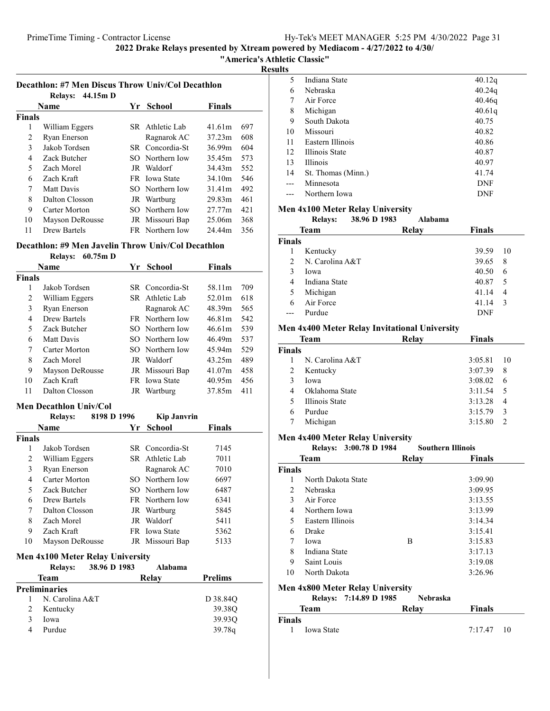"America's Athletic Classic"

Results

| Decathlon: #7 Men Discus Throw Univ/Col Decathlon<br>44.15m D<br><b>Relays:</b> |                 |     |                      |               |     |  |
|---------------------------------------------------------------------------------|-----------------|-----|----------------------|---------------|-----|--|
|                                                                                 | <b>Name</b>     | Yr. | School               | <b>Finals</b> |     |  |
| <b>Finals</b>                                                                   |                 |     |                      |               |     |  |
| 1                                                                               | William Eggers  |     | SR Athletic Lab      | 41.61m        | 697 |  |
| 2                                                                               | Ryan Enerson    |     | Ragnarok AC          | 37.23m        | 608 |  |
| 3                                                                               | Jakob Tordsen   |     | SR Concordia-St      | 36.99m        | 604 |  |
| 4                                                                               | Zack Butcher    |     | SO Northern Iow      | 35.45m        | 573 |  |
| 5                                                                               | Zach Morel      |     | JR Waldorf           | 34.43m        | 552 |  |
| 6                                                                               | Zach Kraft      |     | <b>FR</b> Iowa State | 34.10m        | 546 |  |
| 7                                                                               | Matt Davis      |     | SO Northern Iow      | 31.41m        | 492 |  |
| 8                                                                               | Dalton Closson  |     | JR Wartburg          | 29.83m        | 461 |  |
| 9                                                                               | Carter Morton   |     | SO Northern Iow      | 27.77m        | 421 |  |
| 10                                                                              | Mayson DeRousse |     | JR Missouri Bap      | 25.06m        | 368 |  |
| 11                                                                              | Drew Bartels    |     | FR Northern Iow      | 24.44m        | 356 |  |

### Decathlon: #9 Men Javelin Throw Univ/Col Decathlon

Relays: 60.75m D

| Name          |                 | Yr School              | <b>Finals</b> |     |
|---------------|-----------------|------------------------|---------------|-----|
| <b>Finals</b> |                 |                        |               |     |
| 1             | Jakob Tordsen   | SR Concordia-St        | 58.11m        | 709 |
| 2             | William Eggers  | SR Athletic Lab        | 52.01m        | 618 |
| 3             | Ryan Enerson    | Ragnarok AC            | 48.39m        | 565 |
| 4             | Drew Bartels    | <b>FR</b> Northern Iow | 46.81m        | 542 |
| 5             | Zack Butcher    | SO Northern Iow        | 46.61m        | 539 |
| 6             | Matt Davis      | SO Northern Iow        | 46.49m        | 537 |
| 7             | Carter Morton   | SO Northern Iow        | 45.94m        | 529 |
| 8             | Zach Morel      | JR Waldorf             | 43.25m        | 489 |
| 9             | Mayson DeRousse | JR Missouri Bap        | 41.07m        | 458 |
| 10            | Zach Kraft      | <b>FR</b> Iowa State   | 40.95m        | 456 |
| 11            | Dalton Closson  | JR Wartburg            | 37.85m        | 411 |

### Men Decathlon Univ/Col

|               | <b>Relays:</b>         | 8198 D 1996 |    | <b>Kip Janvrin</b> |               |
|---------------|------------------------|-------------|----|--------------------|---------------|
|               | Name                   |             | Yr | <b>School</b>      | <b>Finals</b> |
| <b>Finals</b> |                        |             |    |                    |               |
|               | Jakob Tordsen          |             |    | SR Concordia-St    | 7145          |
| 2             | William Eggers         |             |    | SR Athletic Lab    | 7011          |
| 3             | Ryan Enerson           |             |    | Ragnarok AC        | 7010          |
| 4             | Carter Morton          |             |    | SO Northern Iow    | 6697          |
| 5             | Zack Butcher           |             |    | SO Northern Iow    | 6487          |
| 6             | Drew Bartels           |             |    | FR Northern Iow    | 6341          |
| 7             | Dalton Closson         |             |    | JR Wartburg        | 5845          |
| 8             | Zach Morel             |             |    | JR Waldorf         | 5411          |
| 9             | Zach Kraft             |             |    | FR Iowa State      | 5362          |
| 10            | <b>Mayson DeRousse</b> |             |    | JR Missouri Bap    | 5133          |

### Men 4x100 Meter Relay University

|   | <b>Relays:</b>       | 38.96 D 1983 | Alabama |                |
|---|----------------------|--------------|---------|----------------|
|   | Team                 |              | Relay   | <b>Prelims</b> |
|   | <b>Preliminaries</b> |              |         |                |
|   | N. Carolina A&T      |              |         | D 38.84Q       |
| 2 | Kentucky             |              |         | 39.38O         |
| 3 | Iowa                 |              |         | 39.93O         |
| 4 | Purdue               |              |         | 39.78g         |

| 5   | Indiana State         | 40.12q     |
|-----|-----------------------|------------|
| 6   | Nebraska              | 40.24q     |
| 7   | Air Force             | 40.46q     |
| 8   | Michigan              | 40.61q     |
| 9   | South Dakota          | 40.75      |
| 10  | Missouri              | 40.82      |
| 11  | Eastern Illinois      | 40.86      |
| 12  | <b>Illinois State</b> | 40.87      |
| 13  | <b>Illinois</b>       | 40.97      |
| 14  | St. Thomas (Minn.)    | 41.74      |
| --- | Minnesota             | <b>DNF</b> |
|     | Northern Iowa         | DNF        |
|     |                       |            |

### Men 4x100 Meter Relay University

|                | <b>Relays:</b>  | 38.96 D 1983 | Alabama |        |     |
|----------------|-----------------|--------------|---------|--------|-----|
|                | Team            |              | Relay   | Finals |     |
| <b>Finals</b>  |                 |              |         |        |     |
|                | Kentucky        |              |         | 39.59  | 10  |
| $\mathfrak{D}$ | N. Carolina A&T |              |         | 39.65  | 8   |
| 3              | Iowa            |              |         | 40.50  | 6   |
| 4              | Indiana State   |              |         | 40.87  | - 5 |
| 5              | Michigan        |              |         | 41.14  | 4   |
| 6              | Air Force       |              |         | 41.14  | 3   |
|                | Purdue          |              |         | DNF    |     |

### Men 4x400 Meter Relay Invitational University

| <b>Team</b>   |                       | Relay | <b>Finals</b> |               |
|---------------|-----------------------|-------|---------------|---------------|
| <b>Finals</b> |                       |       |               |               |
|               | N. Carolina A&T       |       | 3:05.81       | -10           |
| 2             | Kentucky              |       | 3:07.39       | 8             |
| 3             | Iowa                  |       | 3:08.02       | 6             |
| 4             | Oklahoma State        |       | 3:11.54       | 5             |
| 5             | <b>Illinois State</b> |       | 3:13.28       | 4             |
| 6             | Purdue                |       | 3:15.79       | 3             |
|               | Michigan              |       | 3:15.80       | $\mathcal{D}$ |

#### Men 4x400 Meter Relay University Relays:  $3.0078$  D 1984 Southern Illinois

|               | NUAV3. 3.00.70 D 1707 |       | элипги и типпог |  |  |
|---------------|-----------------------|-------|-----------------|--|--|
|               | Team                  | Relay | <b>Finals</b>   |  |  |
| <b>Finals</b> |                       |       |                 |  |  |
| 1             | North Dakota State    |       | 3:09.90         |  |  |
| 2             | Nebraska              |       | 3:09.95         |  |  |
| 3             | Air Force             |       | 3:13.55         |  |  |
| 4             | Northern Iowa         |       | 3:13.99         |  |  |
| 5             | Eastern Illinois      |       | 3:14.34         |  |  |
| 6             | Drake                 |       | 3:15.41         |  |  |
| 7             | Iowa                  | B     | 3:15.83         |  |  |
| 8             | Indiana State         |       | 3:17.13         |  |  |
| 9             | Saint Louis           |       | 3:19.08         |  |  |
| 10            | North Dakota          |       | 3:26.96         |  |  |
|               |                       |       |                 |  |  |

### Men 4x800 Meter Relay University

|               |            | Relays: 7:14.89 D 1985 | <b>Nebraska</b> |               |  |
|---------------|------------|------------------------|-----------------|---------------|--|
|               | Team       |                        | Relav           | <b>Finals</b> |  |
| <b>Finals</b> |            |                        |                 |               |  |
| 1.            | Iowa State |                        |                 | $7:17.47$ 10  |  |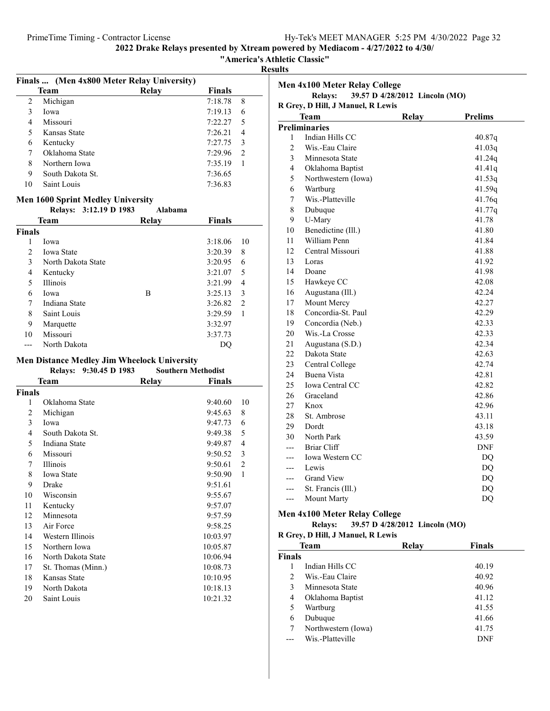"America's Athletic Classic"

Results

|    | Finals  (Men 4x800 Meter Relay University) |       |         |               |
|----|--------------------------------------------|-------|---------|---------------|
|    | <b>Team</b>                                | Relay | Finals  |               |
| 2  | Michigan                                   |       | 7:18.78 | 8             |
| 3  | Iowa                                       |       | 7:19.13 | 6             |
| 4  | Missouri                                   |       | 7:22.27 | 5             |
| 5  | Kansas State                               |       | 7:26.21 | 4             |
| 6  | Kentucky                                   |       | 7:27.75 | 3             |
|    | Oklahoma State                             |       | 7:29.96 | $\mathcal{L}$ |
| 8  | Northern Iowa                              |       | 7:35.19 |               |
| 9  | South Dakota St.                           |       | 7:36.65 |               |
| 10 | Saint Louis                                |       | 7:36.83 |               |
|    |                                            |       |         |               |

#### Men 1600 Sprint Medley University

|               | Relays: 3:12.19 D 1983 | Alabama |               |    |
|---------------|------------------------|---------|---------------|----|
|               | Team                   | Relay   | <b>Finals</b> |    |
| <b>Finals</b> |                        |         |               |    |
| 1             | Iowa                   |         | 3:18.06       | 10 |
| 2             | <b>Iowa State</b>      |         | 3:20.39       | 8  |
| 3             | North Dakota State     |         | 3:20.95       | 6  |
| 4             | Kentucky               |         | 3:21.07       | 5  |
| 5             | <b>Illinois</b>        |         | 3:21.99       | 4  |
| 6             | Iowa                   | B       | 3:25.13       | 3  |
| 7             | Indiana State          |         | 3:26.82       | 2  |
| 8             | Saint Louis            |         | 3:29.59       | 1  |
| 9             | Marquette              |         | 3:32.97       |    |
| 10            | Missouri               |         | 3:37.73       |    |
|               | North Dakota           |         | DO            |    |

#### Men Distance Medley Jim Wheelock University

|        | 9:30.45 D 1983<br><b>Relays:</b> | <b>Southern Methodist</b> |                |
|--------|----------------------------------|---------------------------|----------------|
|        | Team                             | <b>Finals</b><br>Relay    |                |
| Finals |                                  |                           |                |
| 1      | Oklahoma State                   | 9:40.60                   | 10             |
| 2      | Michigan                         | 9:45.63                   | 8              |
| 3      | Iowa                             | 9:47.73                   | 6              |
| 4      | South Dakota St.                 | 9:49.38                   | 5              |
| 5      | Indiana State                    | 9:49.87                   | $\overline{4}$ |
| 6      | Missouri                         | 9:50.52                   | 3              |
| 7      | Illinois                         | 9:50.61                   | $\overline{2}$ |
| 8      | <b>Iowa State</b>                | 9:50.90                   | $\mathbf{1}$   |
| 9      | Drake                            | 9:51.61                   |                |
| 10     | Wisconsin                        | 9:55.67                   |                |
| 11     | Kentucky                         | 9:57.07                   |                |
| 12     | Minnesota                        | 9:57.59                   |                |
| 13     | Air Force                        | 9:58.25                   |                |
| 14     | Western Illinois                 | 10:03.97                  |                |
| 15     | Northern Iowa                    | 10:05.87                  |                |
| 16     | North Dakota State               | 10:06.94                  |                |
| 17     | St. Thomas (Minn.)               | 10:08.73                  |                |
| 18     | Kansas State                     | 10:10.95                  |                |
| 19     | North Dakota                     | 10:18.13                  |                |
| 20     | Saint Louis                      | 10:21.32                  |                |
|        |                                  |                           |                |

| <b>Men 4x100 Meter Relay College</b>             |                                        |  |        |  |  |  |  |
|--------------------------------------------------|----------------------------------------|--|--------|--|--|--|--|
| 39.57 D 4/28/2012 Lincoln (MO)<br><b>Relays:</b> |                                        |  |        |  |  |  |  |
| R Grey, D Hill, J Manuel, R Lewis                |                                        |  |        |  |  |  |  |
|                                                  | Team<br><b>Relay</b><br><b>Prelims</b> |  |        |  |  |  |  |
|                                                  | <b>Preliminaries</b>                   |  |        |  |  |  |  |
| 1                                                | Indian Hills CC                        |  | 40.87q |  |  |  |  |
| $\overline{c}$                                   | Wis.-Eau Claire                        |  | 41.03q |  |  |  |  |
| 3                                                | Minnesota State                        |  | 41.24q |  |  |  |  |
| 4                                                | Oklahoma Baptist                       |  | 41.41q |  |  |  |  |
| 5                                                | Northwestern (Iowa)                    |  | 41.53q |  |  |  |  |
| 6                                                | Wartburg                               |  | 41.59q |  |  |  |  |
| 7                                                | Wis.-Platteville                       |  | 41.76q |  |  |  |  |
| 8                                                | Dubuque                                |  | 41.77q |  |  |  |  |
| 9                                                | U-Mary                                 |  | 41.78  |  |  |  |  |
| 10                                               | Benedictine (Ill.)                     |  | 41.80  |  |  |  |  |
| 11                                               | William Penn                           |  | 41.84  |  |  |  |  |
| 12                                               | Central Missouri                       |  | 41.88  |  |  |  |  |
| 13                                               | Loras                                  |  | 41.92  |  |  |  |  |
| 14                                               | Doane                                  |  | 41.98  |  |  |  |  |
| 15                                               | Hawkeye CC                             |  | 42.08  |  |  |  |  |
| 16                                               | Augustana (Ill.)                       |  | 42.24  |  |  |  |  |
| 17                                               | Mount Mercy                            |  | 42.27  |  |  |  |  |
| 18                                               | Concordia-St. Paul                     |  | 42.29  |  |  |  |  |
| 19                                               | Concordia (Neb.)                       |  | 42.33  |  |  |  |  |
| 20                                               | Wis.-La Crosse                         |  | 42.33  |  |  |  |  |
| 21                                               | Augustana (S.D.)                       |  | 42.34  |  |  |  |  |
| 22                                               | Dakota State                           |  | 42.63  |  |  |  |  |
| 23                                               | Central College                        |  | 42.74  |  |  |  |  |
| 24                                               | Buena Vista                            |  | 42.81  |  |  |  |  |
| 25                                               | Iowa Central CC                        |  | 42.82  |  |  |  |  |
| 26                                               | Graceland                              |  | 42.86  |  |  |  |  |
| 27                                               | Knox                                   |  | 42.96  |  |  |  |  |
| 28                                               | St. Ambrose                            |  | 43.11  |  |  |  |  |
| 29                                               | Dordt                                  |  | 43.18  |  |  |  |  |
| 30                                               | North Park                             |  | 43.59  |  |  |  |  |
|                                                  | <b>Briar Cliff</b>                     |  | DNF    |  |  |  |  |
| ---                                              | Iowa Western CC                        |  | DQ     |  |  |  |  |
| ---                                              | Lewis                                  |  | DQ     |  |  |  |  |
|                                                  | <b>Grand View</b>                      |  | DQ     |  |  |  |  |
|                                                  | St. Francis (Ill.)                     |  | DQ     |  |  |  |  |
| $---$                                            | Mount Marty                            |  | DQ     |  |  |  |  |

### Men 4x100 Meter Relay College

### Relays: 39.57 D 4/28/2012 Lincoln (MO)

R Grey, D Hill, J Manuel, R Lewis

| Team          |                     | Relay | Finals |
|---------------|---------------------|-------|--------|
| <b>Finals</b> |                     |       |        |
|               | Indian Hills CC     |       | 40.19  |
| 2             | Wis.-Eau Claire     |       | 40.92  |
| 3             | Minnesota State     |       | 40.96  |
| 4             | Oklahoma Baptist    |       | 41.12  |
| 5             | Wartburg            |       | 41.55  |
| 6             | Dubuque             |       | 41.66  |
| 7             | Northwestern (Iowa) |       | 41.75  |
|               | Wis.-Platteville    |       | DNF    |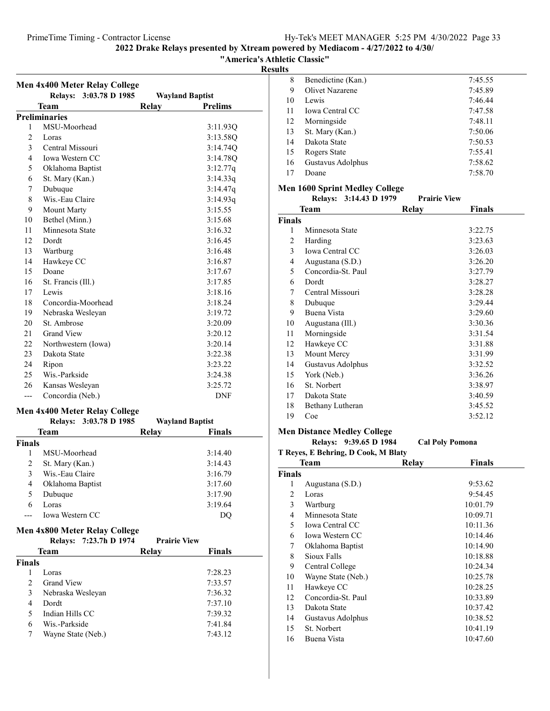"America's Athletic Classic"

Results

|                | <b>Men 4x400 Meter Relay College</b> |       |                        |
|----------------|--------------------------------------|-------|------------------------|
|                | Relays: 3:03.78 D 1985               |       | <b>Wayland Baptist</b> |
|                | Team                                 | Relay | <b>Prelims</b>         |
|                | <b>Preliminaries</b>                 |       |                        |
| 1              | MSU-Moorhead                         |       | 3:11.93Q               |
| 2              | Loras                                |       | 3:13.58Q               |
| 3              | Central Missouri                     |       | 3:14.74Q               |
| $\overline{4}$ | Iowa Western CC                      |       | 3:14.78Q               |
| 5              | Oklahoma Baptist                     |       | 3:12.77q               |
| 6              | St. Mary (Kan.)                      |       | 3:14.33q               |
| 7              | Dubuque                              |       | 3:14.47q               |
| 8              | Wis.-Eau Claire                      |       | 3:14.93q               |
| 9              | <b>Mount Marty</b>                   |       | 3:15.55                |
| 10             | Bethel (Minn.)                       |       | 3:15.68                |
| 11             | Minnesota State                      |       | 3:16.32                |
| 12             | Dordt                                |       | 3:16.45                |
| 13             | Wartburg                             |       | 3:16.48                |
| 14             | Hawkeye CC                           |       | 3:16.87                |
| 15             | Doane                                |       | 3:17.67                |
| 16             | St. Francis (Ill.)                   |       | 3:17.85                |
| 17             | Lewis                                |       | 3:18.16                |
| 18             | Concordia-Moorhead                   |       | 3:18.24                |
| 19             | Nebraska Wesleyan                    |       | 3:19.72                |
| 20             | St. Ambrose                          |       | 3:20.09                |
| 21             | <b>Grand View</b>                    |       | 3:20.12                |
| 22             | Northwestern (Iowa)                  |       | 3:20.14                |
| 23             | Dakota State                         |       | 3:22.38                |
| 24             | Ripon                                |       | 3:23.22                |
| 25             | Wis.-Parkside                        |       | 3:24.38                |
| 26             | Kansas Wesleyan                      |       | 3:25.72                |
| ---            | Concordia (Neb.)                     |       | <b>DNF</b>             |
|                | <b>Men 4x400 Meter Relay College</b> |       |                        |
|                | <b>Relays:</b><br>3:03.78 D 1985     |       | <b>Wayland Baptist</b> |
|                | Team                                 | Relay | Finals                 |

| <b>Finals</b> |                        |         |
|---------------|------------------------|---------|
|               | MSU-Moorhead           | 3:14.40 |
| 2             | St. Mary (Kan.)        | 3:14.43 |
| 3             | Wis.-Eau Claire        | 3:16.79 |
| 4             | Oklahoma Baptist       | 3:17.60 |
| 5             | Dubuque                | 3:17.90 |
| 6             | Loras                  | 3:19.64 |
|               | <b>Iowa Western CC</b> |         |
|               |                        |         |

### Men 4x800 Meter Relay College

|               | 7:23.7h D 1974<br><b>Relays:</b> | <b>Prairie View</b> |         |
|---------------|----------------------------------|---------------------|---------|
| Team          |                                  | Relay               | Finals  |
| <b>Finals</b> |                                  |                     |         |
|               | Loras                            |                     | 7:28.23 |
| $\mathcal{P}$ | <b>Grand View</b>                |                     | 7:33.57 |
| 3             | Nebraska Wesleyan                |                     | 7:36.32 |
| 4             | Dordt                            |                     | 7:37.10 |
| 5             | Indian Hills CC                  |                     | 7:39.32 |
| 6             | Wis.-Parkside                    |                     | 7:41.84 |
| 7             | Wayne State (Neb.)               |                     | 7:43.12 |

| 8  | Benedictine (Kan.)     | 7:45.55 |
|----|------------------------|---------|
| 9  | Olivet Nazarene        | 7:45.89 |
| 10 | Lewis                  | 7:46.44 |
| 11 | <b>Iowa Central CC</b> | 7:47.58 |
| 12 | Morningside            | 7:48.11 |
| 13 | St. Mary (Kan.)        | 7:50.06 |
| 14 | Dakota State           | 7:50.53 |
| 15 | Rogers State           | 7:55.41 |
| 16 | Gustavus Adolphus      | 7:58.62 |
| 17 | Doane                  | 7:58.70 |
|    |                        |         |

### Men 1600 Sprint Medley College

|        | Relays: 3:14.43 D 1979 | <b>Prairie View</b> |         |
|--------|------------------------|---------------------|---------|
|        | Team                   | Relay               | Finals  |
| Finals |                        |                     |         |
| 1      | Minnesota State        |                     | 3:22.75 |
| 2      | Harding                |                     | 3:23.63 |
| 3      | Iowa Central CC        |                     | 3:26.03 |
| 4      | Augustana (S.D.)       |                     | 3:26.20 |
| 5      | Concordia-St. Paul     |                     | 3:27.79 |
| 6      | Dordt                  |                     | 3:28.27 |
| 7      | Central Missouri       |                     | 3:28.28 |
| 8      | Dubuque                |                     | 3:29.44 |
| 9      | Buena Vista            |                     | 3:29.60 |
| 10     | Augustana (Ill.)       |                     | 3:30.36 |
| 11     | Morningside            |                     | 3:31.54 |
| 12     | Hawkeye CC             |                     | 3:31.88 |
| 13     | Mount Mercy            |                     | 3:31.99 |
| 14     | Gustavus Adolphus      |                     | 3:32.52 |
| 15     | York (Neb.)            |                     | 3:36.26 |
| 16     | St. Norbert            |                     | 3:38.97 |
| 17     | Dakota State           |                     | 3:40.59 |
| 18     | Bethany Lutheran       |                     | 3:45.52 |
| 19     | Coe                    |                     | 3:52.12 |

### Men Distance Medley College

Relays: 9:39.65 D 1984 Cal Poly Pomona

T Reyes, E Behring, D Cook, M Blaty

| Team          |                    | <b>Relay</b> | <b>Finals</b> |  |
|---------------|--------------------|--------------|---------------|--|
| <b>Finals</b> |                    |              |               |  |
| 1             | Augustana (S.D.)   |              | 9:53.62       |  |
| 2             | Loras              |              | 9:54.45       |  |
| 3             | Wartburg           |              | 10:01.79      |  |
| 4             | Minnesota State    |              | 10:09.71      |  |
| 5             | Iowa Central CC    |              | 10:11.36      |  |
| 6             | Iowa Western CC    |              | 10:14.46      |  |
| 7             | Oklahoma Baptist   |              | 10:14.90      |  |
| 8             | Sioux Falls        |              | 10:18.88      |  |
| 9             | Central College    |              | 10:24.34      |  |
| 10            | Wayne State (Neb.) |              | 10:25.78      |  |
| 11            | Hawkeye CC         |              | 10:28.25      |  |
| 12            | Concordia-St. Paul |              | 10:33.89      |  |
| 13            | Dakota State       |              | 10:37.42      |  |
| 14            | Gustavus Adolphus  |              | 10:38.52      |  |
| 15            | St. Norbert        |              | 10:41.19      |  |
| 16            | Buena Vista        |              | 10:47.60      |  |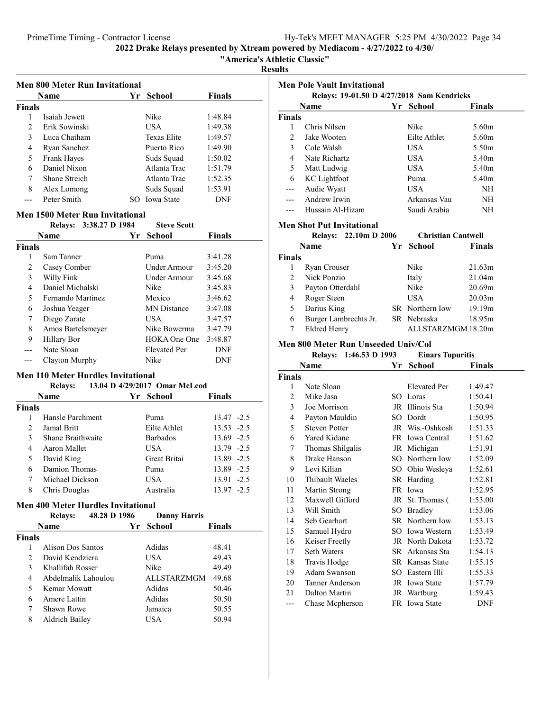"America's Athletic Classic"

Results

|                               | <b>Name</b>   | Yr School     | <b>Finals</b> |
|-------------------------------|---------------|---------------|---------------|
| <b>Finals</b>                 |               |               |               |
|                               | Isaiah Jewett | Nike          | 1:48.84       |
| $\mathfrak{D}_{\mathfrak{p}}$ | Erik Sowinski | USA           | 1:49.38       |
| 3                             | Luca Chatham  | Texas Elite   | 1:49.57       |
| 4                             | Ryan Sanchez  | Puerto Rico   | 1:49.90       |
| 5                             | Frank Hayes   | Suds Squad    | 1:50.02       |
| 6                             | Daniel Nixon  | Atlanta Trac  | 1:51.79       |
| 7                             | Shane Streich | Atlanta Trac  | 1:52.35       |
| 8                             | Alex Lomong   | Suds Squad    | 1:53.91       |
|                               | Peter Smith   | SO Iowa State | DNF           |

### Men 1500 Meter Run Invitational

|               | 3:38.27 D 1984<br><b>Relays:</b>   | <b>Steve Scott</b>  |         |  |  |  |
|---------------|------------------------------------|---------------------|---------|--|--|--|
|               | <b>Finals</b><br>Yr School<br>Name |                     |         |  |  |  |
| <b>Finals</b> |                                    |                     |         |  |  |  |
| 1             | Sam Tanner                         | Puma                | 3:41.28 |  |  |  |
| 2             | Casey Comber                       | Under Armour        | 3:45.20 |  |  |  |
| 3             | Willy Fink                         | Under Armour        | 3:45.68 |  |  |  |
| 4             | Daniel Michalski                   | Nike                | 3:45.83 |  |  |  |
| 5             | Fernando Martinez                  | Mexico              | 3:46.62 |  |  |  |
| 6             | Joshua Yeager                      | <b>MN</b> Distance  | 3:47.08 |  |  |  |
| 7             | Diego Zarate                       | <b>USA</b>          | 3:47.57 |  |  |  |
| 8             | Amos Bartelsmeyer                  | Nike Bowerma        | 3:47.79 |  |  |  |
| 9             | Hillary Bor                        | HOKA One One        | 3:48.87 |  |  |  |
|               | Nate Sloan                         | <b>Elevated Per</b> | DNF     |  |  |  |
|               | Clayton Murphy                     | Nike                | DNF     |  |  |  |

### Men 110 Meter Hurdles Invitational

|               | <b>Relays:</b>    | 13.04 D 4/29/2017 Omar McLeod |               |
|---------------|-------------------|-------------------------------|---------------|
|               | <b>Name</b>       | Yr School                     | Finals        |
| Finals        |                   |                               |               |
|               | Hansle Parchment  | Puma                          | $13.47 - 2.5$ |
| $\mathcal{D}$ | Jamal Britt       | Eilte Athlet                  | $13.53 - 2.5$ |
| 3             | Shane Braithwaite | <b>Barbados</b>               | $13.69 - 2.5$ |
| 4             | Aaron Mallet      | USA                           | $13.79 - 2.5$ |
| 5             | David King        | Great Britai                  | 13.89 -2.5    |
| 6             | Damion Thomas     | Puma                          | 13.89 -2.5    |
|               | Michael Dickson   | USA                           | $13.91 - 2.5$ |
| 8             | Chris Douglas     | Australia                     | $13.97 - 2.5$ |
|               |                   |                               |               |

### Men 400 Meter Hurdles Invitational

| Men 400 Meter Hurules Invitational |                                |    |                     |        |  |
|------------------------------------|--------------------------------|----|---------------------|--------|--|
|                                    | 48.28 D 1986<br><b>Relays:</b> |    | <b>Danny Harris</b> |        |  |
|                                    | <b>Name</b>                    | Yr | <b>School</b>       | Finals |  |
| <b>Finals</b>                      |                                |    |                     |        |  |
|                                    | Alison Dos Santos              |    | Adidas              | 48.41  |  |
| $\mathfrak{D}$                     | David Kendziera                |    | USA.                | 49.43  |  |
| 3                                  | Khallifah Rosser               |    | Nike                | 49.49  |  |
| 4                                  | Abdelmalik Lahoulou            |    | <b>ALLSTARZMGM</b>  | 49.68  |  |
| 5                                  | Kemar Mowatt                   |    | Adidas              | 50.46  |  |
| 6                                  | Amere Lattin                   |    | Adidas              | 50.50  |  |
| 7                                  | Shawn Rowe                     |    | Jamaica             | 50.55  |  |
| 8                                  | Aldrich Bailey                 |    | USA                 | 50.94  |  |

| <b>Men Pole Vault Invitational</b> |                                                |    |                           |                   |  |
|------------------------------------|------------------------------------------------|----|---------------------------|-------------------|--|
|                                    | Relays: 19-01.50 D 4/27/2018 Sam Kendricks     |    |                           |                   |  |
|                                    | Name                                           |    | Yr School                 | <b>Finals</b>     |  |
| <b>Finals</b>                      |                                                |    |                           |                   |  |
| 1                                  | Chris Nilsen                                   |    | Nike                      | 5.60m             |  |
| 2                                  | Jake Wooten                                    |    | Eilte Athlet              | 5.60 <sub>m</sub> |  |
| 3                                  | Cole Walsh                                     |    | <b>USA</b>                | 5.50 <sub>m</sub> |  |
| 4                                  | Nate Richartz                                  |    | <b>USA</b>                | 5.40 <sub>m</sub> |  |
| 5                                  | Matt Ludwig                                    |    | <b>USA</b>                | 5.40 <sub>m</sub> |  |
| 6                                  | <b>KC</b> Lightfoot                            |    | Puma                      | 5.40 <sub>m</sub> |  |
| $---$                              | Audie Wyatt                                    |    | <b>USA</b>                | NΗ                |  |
| ---                                | Andrew Irwin                                   |    | Arkansas Vau              | NH                |  |
| ---                                | Hussain Al-Hizam                               |    | Saudi Arabia              | NH                |  |
|                                    |                                                |    |                           |                   |  |
|                                    | <b>Men Shot Put Invitational</b>               |    |                           |                   |  |
|                                    | Relays: 22.10m D 2006                          |    | <b>Christian Cantwell</b> |                   |  |
|                                    | Name                                           | Yr | <b>School</b>             | <b>Finals</b>     |  |
| <b>Finals</b>                      |                                                |    |                           |                   |  |
| 1                                  | Ryan Crouser                                   |    | Nike                      | 21.63m            |  |
| 2                                  | Nick Ponzio                                    |    | Italy                     | 21.04m            |  |
| 3                                  | Payton Otterdahl                               |    | Nike                      | 20.69m            |  |
| 4                                  | Roger Steen                                    |    | <b>USA</b>                | 20.03m            |  |
| 5                                  | Darius King                                    |    | SR Northern Iow           | 19.19m            |  |
| 6                                  | Burger Lambrechts Jr.                          |    | SR Nebraska               | 18.95m            |  |
|                                    | 7<br><b>Eldred Henry</b><br>ALLSTARZMGM 18.20m |    |                           |                   |  |
|                                    | Men 800 Meter Run Unseeded Univ/Col            |    |                           |                   |  |
|                                    | Relays: 1:46.53 D 1993                         |    | <b>Einars Tupuritis</b>   |                   |  |
|                                    | Name                                           | Yr | <b>School</b>             | <b>Finals</b>     |  |
| <b>Finals</b>                      |                                                |    |                           |                   |  |
| 1                                  | Nate Sloan                                     |    | <b>Elevated Per</b>       | 1:49.47           |  |
| 2                                  | Mike Jasa                                      |    | SO Loras                  | 1:50.41           |  |
| 3                                  | Joe Morrison                                   |    | JR Illinois Sta           | 1:50.94           |  |
| 4                                  | Payton Mauldin                                 |    | SO Dordt                  | 1:50.95           |  |
| 5                                  | <b>Steven Potter</b>                           |    | JR Wis.-Oshkosh           | 1:51.33           |  |
| 6                                  | Yared Kidane                                   |    | FR Iowa Central           | 1:51.62           |  |
| 7                                  | Thomas Shilgalis                               |    | JR Michigan               | 1:51.91           |  |
| 8                                  | Drake Hanson                                   |    | SO Northern Iow           | 1:52.09           |  |
| 9                                  | Levi Kilian                                    |    | SO Ohio Wesleya           | 1:52.61           |  |
| 10                                 | Thibault Waeles                                |    | SR Harding                | 1:52.81           |  |
| 11                                 | Martin Strong                                  |    | FR Iowa                   | 1:52.95           |  |
| 12                                 | Maxwell Gifford                                | JR | St. Thomas (              | 1:53.00           |  |
| 13                                 | Will Smith                                     |    | SO Bradley                | 1:53.06           |  |
| 14                                 | Seb Gearhart                                   |    | SR Northern Iow           | 1:53.13           |  |
| 15                                 | Samuel Hydro                                   |    | SO Iowa Western           | 1:53.49           |  |
| 16                                 | Keiser Freetly                                 |    | JR North Dakota           | 1:53.72           |  |
| 17                                 | Seth Waters                                    |    | SR Arkansas Sta           | 1:54.13           |  |
| 18                                 | Travis Hodge                                   |    | SR Kansas State           | 1:55.15           |  |
| 19                                 | Adam Swanson                                   |    | SO Eastern Illi           | 1:55.33           |  |
| 20                                 | Tanner Anderson                                |    | JR Iowa State             | 1:57.79           |  |

21 Dalton Martin JR Wartburg 1:59.43<br>
--- Chase Mcpherson FR Iowa State DNF --- Chase Mcpherson FR Iowa State DNF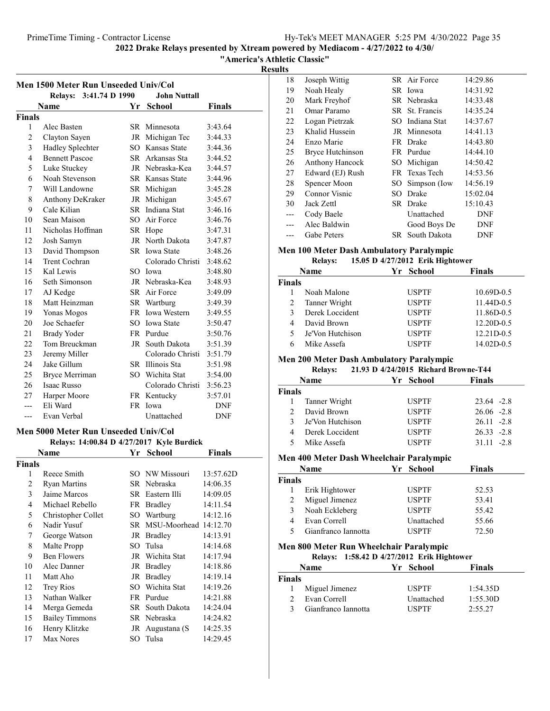"America's Athletic Classic"

Results

|                                               | Men 1500 Meter Run Unseeded Univ/Col |           |                        |               |  |
|-----------------------------------------------|--------------------------------------|-----------|------------------------|---------------|--|
| Relays: 3:41.74 D 1990<br><b>John Nuttall</b> |                                      |           |                        |               |  |
|                                               | Name                                 | Yr        | <b>School</b>          | <b>Finals</b> |  |
| <b>Finals</b>                                 |                                      |           |                        |               |  |
| 1                                             | Alec Basten                          |           | SR Minnesota           | 3:43.64       |  |
| $\overline{2}$                                | Clayton Sayen                        |           | JR Michigan Tec        | 3:44.33       |  |
| 3                                             | Hadley Splechter                     | <b>SO</b> | Kansas State           | 3:44.36       |  |
| 4                                             | <b>Bennett Pascoe</b>                | SR        | Arkansas Sta           | 3:44.52       |  |
| 5                                             | Luke Stuckey                         |           | JR Nebraska-Kea        | 3:44.57       |  |
| 6                                             | Noah Stevenson                       |           | <b>SR</b> Kansas State | 3:44.96       |  |
| 7                                             | Will Landowne                        | SR        | Michigan               | 3:45.28       |  |
| 8                                             | Anthony DeKraker                     | JR        | Michigan               | 3:45.67       |  |
| 9                                             | Cale Kilian                          |           | SR Indiana Stat        | 3:46.16       |  |
| 10                                            | Sean Maison                          |           | SO Air Force           | 3:46.76       |  |
| 11                                            | Nicholas Hoffman                     |           | SR Hope                | 3:47.31       |  |
| 12                                            | Josh Samyn                           | JR        | North Dakota           | 3:47.87       |  |
| 13                                            | David Thompson                       |           | SR Iowa State          | 3:48.26       |  |
| 14                                            | Trent Cochran                        |           | Colorado Christi       | 3:48.62       |  |
| 15                                            | Kal Lewis                            |           | SO Iowa                | 3:48.80       |  |
| 16                                            | Seth Simonson                        |           | JR Nebraska-Kea        | 3:48.93       |  |
| 17                                            | AJ Kedge                             |           | SR Air Force           | 3:49.09       |  |
| 18                                            | Matt Heinzman                        |           | SR Wartburg            | 3:49.39       |  |
| 19                                            | Yonas Mogos                          |           | FR Iowa Western        | 3:49.55       |  |
| 20                                            | Joe Schaefer                         | SO.       | <b>Iowa State</b>      | 3:50.47       |  |
| 21                                            | <b>Brady Yoder</b>                   |           | FR Purdue              | 3:50.76       |  |
| 22                                            | Tom Breuckman                        |           | JR South Dakota        | 3:51.39       |  |
| 23                                            | Jeremy Miller                        |           | Colorado Christi       | 3:51.79       |  |
| 24                                            | Jake Gillum                          |           | SR Illinois Sta        | 3:51.98       |  |
| 25                                            | Bryce Merriman                       | SO.       | Wichita Stat           | 3:54.00       |  |
| 26                                            | <b>Isaac Russo</b>                   |           | Colorado Christi       | 3:56.23       |  |
| 27                                            | Harper Moore                         |           | FR Kentucky            | 3:57.01       |  |
| ---                                           | Eli Ward                             |           | FR Iowa                | <b>DNF</b>    |  |
| ---                                           | Evan Verbal                          |           | Unattached             | <b>DNF</b>    |  |

#### Men 5000 Meter Run Unseeded Univ/Col Relays: 14:00.84 D 4/27/2017 Kyle Burdick

| 110111707      |                       |      |                       |           |  |
|----------------|-----------------------|------|-----------------------|-----------|--|
|                | Name                  | Yr   | <b>School</b>         | Finals    |  |
| Finals         |                       |      |                       |           |  |
| 1              | Reece Smith           | SO.  | NW Missouri           | 13:57.62D |  |
| 2              | Ryan Martins          |      | SR Nebraska           | 14:06.35  |  |
| 3              | Jaime Marcos          |      | SR Eastern Illi       | 14:09.05  |  |
| $\overline{4}$ | Michael Rebello       |      | FR Bradley            | 14:11.54  |  |
| 5              | Christopher Collet    |      | SO Wartburg           | 14:12.16  |  |
| 6              | Nadir Yusuf           | SR - | MSU-Moorhead 14:12.70 |           |  |
| 7              | George Watson         |      | JR Bradley            | 14:13.91  |  |
| 8              | Malte Propp           | SO.  | Tulsa                 | 14:14.68  |  |
| 9              | <b>Ben Flowers</b>    |      | JR Wichita Stat       | 14:17.94  |  |
| 10             | Alec Danner           |      | JR Bradley            | 14:18.86  |  |
| 11             | Matt Aho              |      | JR Bradley            | 14:19.14  |  |
| 12             | <b>Trey Rios</b>      | SO.  | Wichita Stat          | 14:19.26  |  |
| 13             | Nathan Walker         |      | FR Purdue             | 14:21.88  |  |
| 14             | Merga Gemeda          |      | SR South Dakota       | 14:24.04  |  |
| 15             | <b>Bailey Timmons</b> |      | SR Nebraska           | 14:24.82  |  |
| 16             | Henry Klitzke         |      | JR Augustana (S       | 14:25.35  |  |
| 17             | Max Nores             |      | SO Tulsa              | 14:29.45  |  |

| 18  | Joseph Wittig           |      | SR Air Force    | 14:29.86   |
|-----|-------------------------|------|-----------------|------------|
| 19  | Noah Healy              |      | SR Iowa         | 14:31.92   |
| 20  | Mark Freyhof            |      | SR Nebraska     | 14:33.48   |
| 21  | Omar Paramo             |      | SR St. Francis  | 14:35.24   |
| 22  | Logan Pietrzak          |      | SO Indiana Stat | 14:37.67   |
| 23  | Khalid Hussein          |      | JR Minnesota    | 14:41.13   |
| 24  | Enzo Marie              |      | FR Drake        | 14:43.80   |
| 25  | <b>Bryce Hutchinson</b> |      | FR Purdue       | 14:44.10   |
| 26  | <b>Anthony Hancock</b>  |      | SO Michigan     | 14:50.42   |
| 27  | Edward (EJ) Rush        |      | FR Texas Tech   | 14:53.56   |
| 28  | Spencer Moon            | SO - | Simpson (Iow    | 14:56.19   |
| 29  | Connor Visnic           | SO.  | Drake           | 15:02.04   |
| 30  | Jack Zettl              |      | SR Drake        | 15:10.43   |
| --- | Cody Baele              |      | Unattached      | DNF        |
|     | Alec Baldwin            |      | Good Boys De    | <b>DNF</b> |
|     | Gabe Peters             |      | SR South Dakota | DNF        |

### Men 100 Meter Dash Ambulatory Paralympic

| <b>Relays:</b> |  | 15.05 D 4/27/2012 Erik Hightower |  |
|----------------|--|----------------------------------|--|

|               | Name             | Yr School    | <b>Finals</b> |
|---------------|------------------|--------------|---------------|
| <b>Finals</b> |                  |              |               |
|               | Noah Malone      | <b>USPTF</b> | 10.69D-0.5    |
| 2             | Tanner Wright    | <b>USPTF</b> | 11.44D-0.5    |
| 3             | Derek Loccident  | <b>USPTF</b> | 11.86D-0.5    |
| 4             | David Brown      | <b>USPTF</b> | 12.20D-0.5    |
| 5             | Je'Von Hutchison | <b>USPTF</b> | 12.21D-0.5    |
| 6             | Mike Assefa      | <b>USPTF</b> | 14.02D-0.5    |

### Men 200 Meter Dash Ambulatory Paralympic

| 21.93 D 4/24/2015 Richard Browne-T44<br><b>Relays:</b> |                  |              |               |  |
|--------------------------------------------------------|------------------|--------------|---------------|--|
|                                                        | <b>Name</b>      | Yr School    | <b>Finals</b> |  |
| Finals                                                 |                  |              |               |  |
|                                                        | Tanner Wright    | <b>USPTF</b> | $23.64 - 2.8$ |  |
|                                                        | David Brown      | <b>USPTF</b> | $26.06 -2.8$  |  |
|                                                        | Je'Von Hutchison | <b>USPTF</b> | $26.11 - 2.8$ |  |
| 4                                                      | Derek Loccident  | <b>USPTF</b> | $26.33 - 2.8$ |  |
|                                                        | Mike Assefa      | <b>USPTF</b> | $31.11 - 2.8$ |  |
|                                                        |                  |              |               |  |

### Men 400 Meter Dash Wheelchair Paralympic

|        | Name                | Yr School    | <b>Finals</b> |  |
|--------|---------------------|--------------|---------------|--|
| Finals |                     |              |               |  |
|        | Erik Hightower      | <b>USPTF</b> | 52.53         |  |
|        | Miguel Jimenez      | <b>USPTF</b> | 53.41         |  |
|        | Noah Eckleberg      | <b>USPTF</b> | 55.42         |  |
|        | Evan Correll        | Unattached   | 55.66         |  |
|        | Gianfranco Iannotta | <b>USPTF</b> | 72.50         |  |
|        |                     |              |               |  |

### Men 800 Meter Run Wheelchair Paralympic

### Relays: 1:58.42 D 4/27/2012 Erik Hightower

|               | <b>Name</b>         |  | Yr School         | <b>Finals</b> |  |
|---------------|---------------------|--|-------------------|---------------|--|
| <b>Finals</b> |                     |  |                   |               |  |
|               | Miguel Jimenez      |  | <b>USPTF</b>      | 1:54.35D      |  |
| $\mathcal{D}$ | Evan Correll        |  | <b>Unattached</b> | 1:55.30D      |  |
| $\mathbf{z}$  | Gianfranco Iannotta |  | <b>USPTE</b>      | 2:55.27       |  |